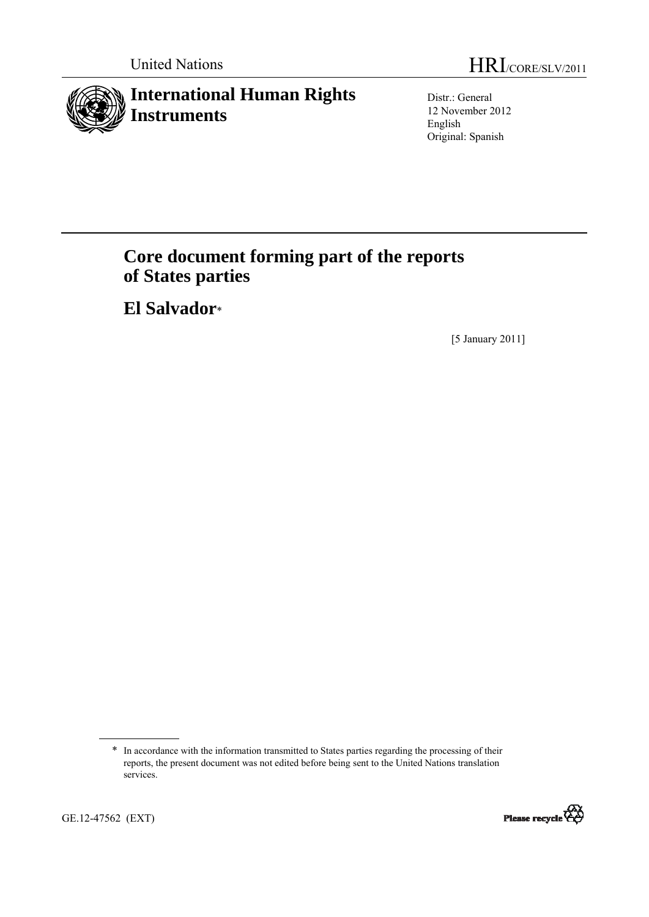

Distr.: General 12 November 2012 English Original: Spanish

# **Core document forming part of the reports of States parties**

 **El Salvador**\*

[5 January 2011]



<sup>\*</sup> In accordance with the information transmitted to States parties regarding the processing of their reports, the present document was not edited before being sent to the United Nations translation services.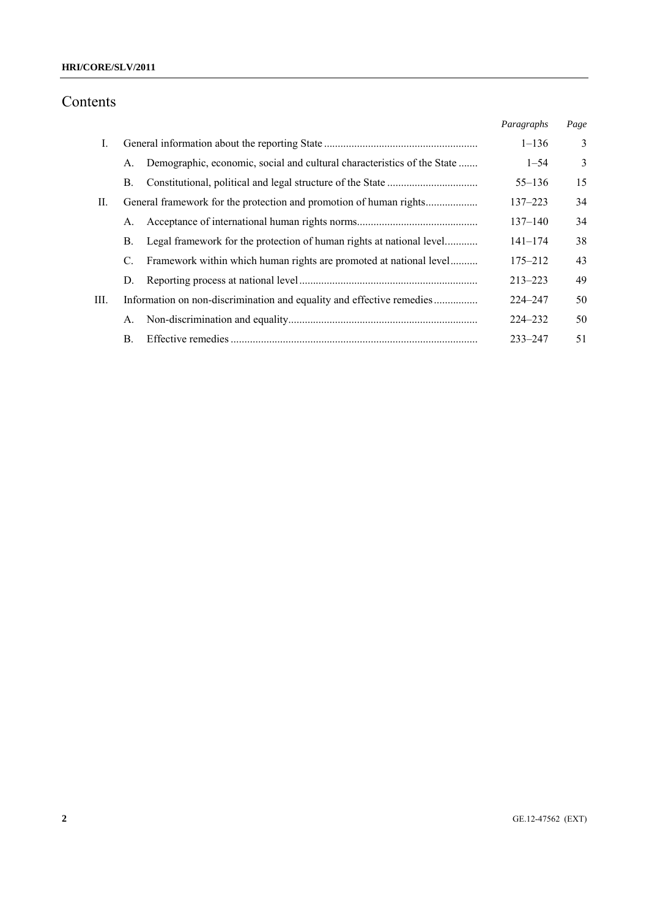# **HRI/CORE/SLV/2011**

# Contents

|      |                                                                               | Paragraphs  | Page |
|------|-------------------------------------------------------------------------------|-------------|------|
| I.   |                                                                               | $1 - 136$   | 3    |
|      | Demographic, economic, social and cultural characteristics of the State<br>A. | $1 - 54$    | 3    |
|      | В.                                                                            | $55 - 136$  | 15   |
| П.   |                                                                               | $137 - 223$ | 34   |
|      | А.                                                                            | $137 - 140$ | 34   |
|      | Legal framework for the protection of human rights at national level<br>Β.    | $141 - 174$ | 38   |
|      | Framework within which human rights are promoted at national level<br>C.      | $175 - 212$ | 43   |
|      | D.                                                                            | $213 - 223$ | 49   |
| III. | Information on non-discrimination and equality and effective remedies         | $224 - 247$ | 50   |
|      | А.                                                                            | $224 - 232$ | 50   |
|      | $\mathbf{B}$ .                                                                | $233 - 247$ | 51   |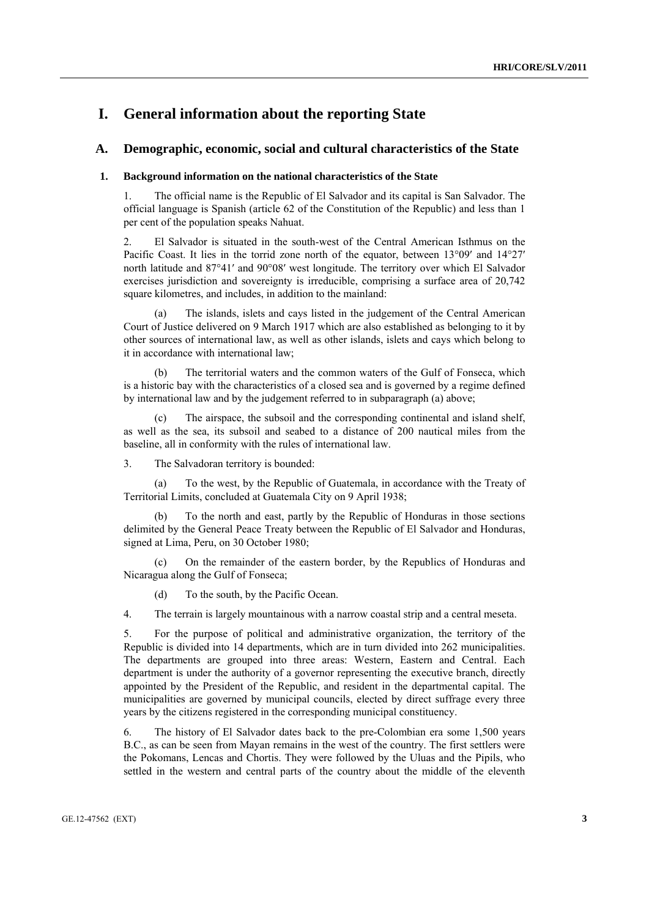# **I. General information about the reporting State**

# **A. Demographic, economic, social and cultural characteristics of the State**

#### **1. Background information on the national characteristics of the State**

1. The official name is the Republic of El Salvador and its capital is San Salvador. The official language is Spanish (article 62 of the Constitution of the Republic) and less than 1 per cent of the population speaks Nahuat.

2. El Salvador is situated in the south-west of the Central American Isthmus on the Pacific Coast. It lies in the torrid zone north of the equator, between 13°09′ and 14°27′ north latitude and 87°41′ and 90°08′ west longitude. The territory over which El Salvador exercises jurisdiction and sovereignty is irreducible, comprising a surface area of 20,742 square kilometres, and includes, in addition to the mainland:

The islands, islets and cays listed in the judgement of the Central American Court of Justice delivered on 9 March 1917 which are also established as belonging to it by other sources of international law, as well as other islands, islets and cays which belong to it in accordance with international law;

The territorial waters and the common waters of the Gulf of Fonseca, which is a historic bay with the characteristics of a closed sea and is governed by a regime defined by international law and by the judgement referred to in subparagraph (a) above;

 (c) The airspace, the subsoil and the corresponding continental and island shelf, as well as the sea, its subsoil and seabed to a distance of 200 nautical miles from the baseline, all in conformity with the rules of international law.

3. The Salvadoran territory is bounded:

 (a) To the west, by the Republic of Guatemala, in accordance with the Treaty of Territorial Limits, concluded at Guatemala City on 9 April 1938;

 (b) To the north and east, partly by the Republic of Honduras in those sections delimited by the General Peace Treaty between the Republic of El Salvador and Honduras, signed at Lima, Peru, on 30 October 1980;

 (c) On the remainder of the eastern border, by the Republics of Honduras and Nicaragua along the Gulf of Fonseca;

(d) To the south, by the Pacific Ocean.

4. The terrain is largely mountainous with a narrow coastal strip and a central meseta.

5. For the purpose of political and administrative organization, the territory of the Republic is divided into 14 departments, which are in turn divided into 262 municipalities. The departments are grouped into three areas: Western, Eastern and Central. Each department is under the authority of a governor representing the executive branch, directly appointed by the President of the Republic, and resident in the departmental capital. The municipalities are governed by municipal councils, elected by direct suffrage every three years by the citizens registered in the corresponding municipal constituency.

6. The history of El Salvador dates back to the pre-Colombian era some 1,500 years B.C., as can be seen from Mayan remains in the west of the country. The first settlers were the Pokomans, Lencas and Chortis. They were followed by the Uluas and the Pipils, who settled in the western and central parts of the country about the middle of the eleventh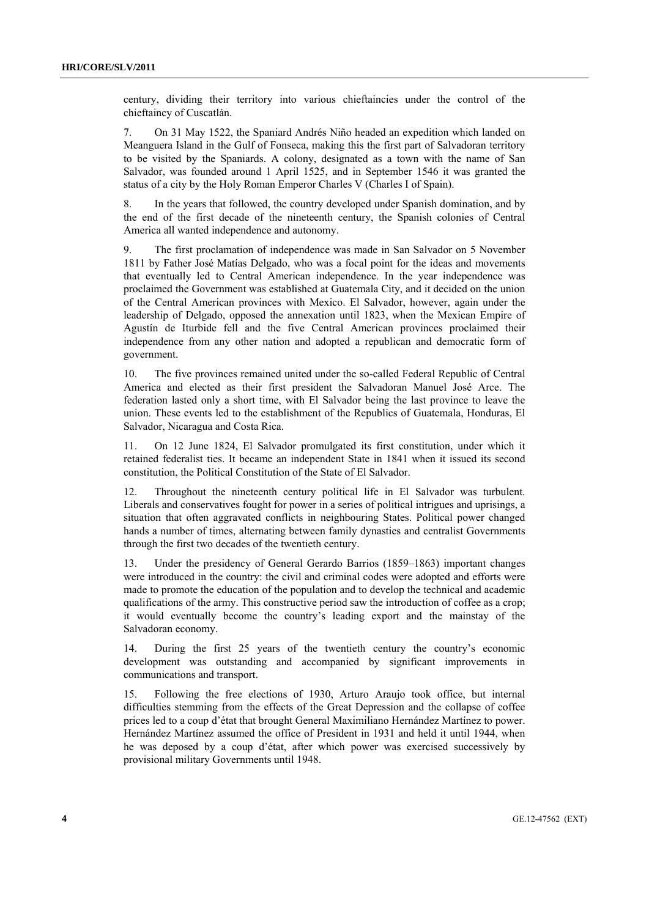century, dividing their territory into various chieftaincies under the control of the chieftaincy of Cuscatlán.

7. On 31 May 1522, the Spaniard Andrés Niño headed an expedition which landed on Meanguera Island in the Gulf of Fonseca, making this the first part of Salvadoran territory to be visited by the Spaniards. A colony, designated as a town with the name of San Salvador, was founded around 1 April 1525, and in September 1546 it was granted the status of a city by the Holy Roman Emperor Charles V (Charles I of Spain).

8. In the years that followed, the country developed under Spanish domination, and by the end of the first decade of the nineteenth century, the Spanish colonies of Central America all wanted independence and autonomy.

9. The first proclamation of independence was made in San Salvador on 5 November 1811 by Father José Matías Delgado, who was a focal point for the ideas and movements that eventually led to Central American independence. In the year independence was proclaimed the Government was established at Guatemala City, and it decided on the union of the Central American provinces with Mexico. El Salvador, however, again under the leadership of Delgado, opposed the annexation until 1823, when the Mexican Empire of Agustín de Iturbide fell and the five Central American provinces proclaimed their independence from any other nation and adopted a republican and democratic form of government.

10. The five provinces remained united under the so-called Federal Republic of Central America and elected as their first president the Salvadoran Manuel José Arce. The federation lasted only a short time, with El Salvador being the last province to leave the union. These events led to the establishment of the Republics of Guatemala, Honduras, El Salvador, Nicaragua and Costa Rica.

11. On 12 June 1824, El Salvador promulgated its first constitution, under which it retained federalist ties. It became an independent State in 1841 when it issued its second constitution, the Political Constitution of the State of El Salvador.

12. Throughout the nineteenth century political life in El Salvador was turbulent. Liberals and conservatives fought for power in a series of political intrigues and uprisings, a situation that often aggravated conflicts in neighbouring States. Political power changed hands a number of times, alternating between family dynasties and centralist Governments through the first two decades of the twentieth century.

13. Under the presidency of General Gerardo Barrios (1859–1863) important changes were introduced in the country: the civil and criminal codes were adopted and efforts were made to promote the education of the population and to develop the technical and academic qualifications of the army. This constructive period saw the introduction of coffee as a crop; it would eventually become the country's leading export and the mainstay of the Salvadoran economy.

14. During the first 25 years of the twentieth century the country's economic development was outstanding and accompanied by significant improvements in communications and transport.

15. Following the free elections of 1930, Arturo Araujo took office, but internal difficulties stemming from the effects of the Great Depression and the collapse of coffee prices led to a coup d'état that brought General Maximiliano Hernández Martínez to power. Hernández Martínez assumed the office of President in 1931 and held it until 1944, when he was deposed by a coup d'état, after which power was exercised successively by provisional military Governments until 1948.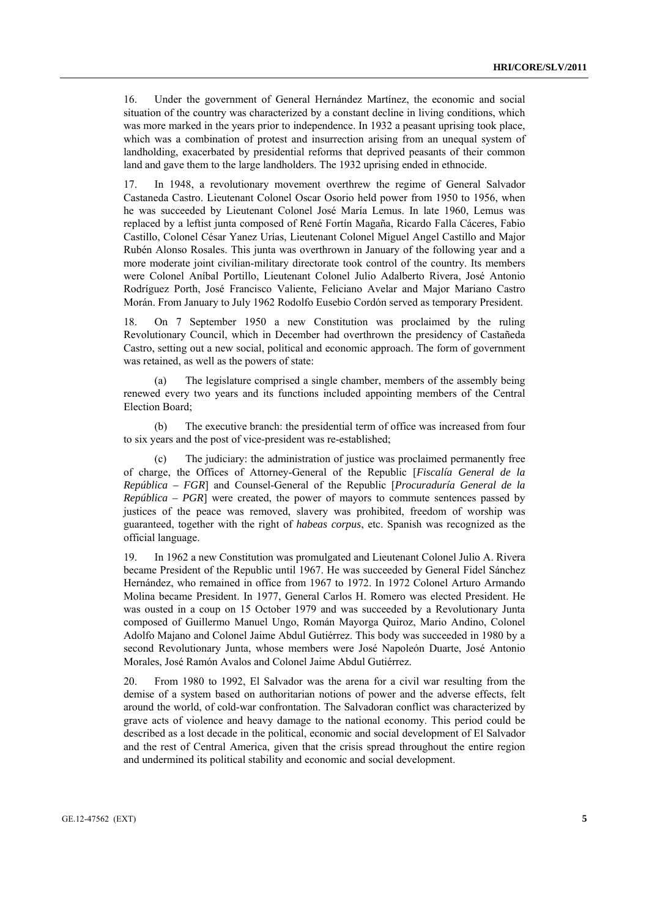16. Under the government of General Hernández Martínez, the economic and social situation of the country was characterized by a constant decline in living conditions, which was more marked in the years prior to independence. In 1932 a peasant uprising took place, which was a combination of protest and insurrection arising from an unequal system of landholding, exacerbated by presidential reforms that deprived peasants of their common land and gave them to the large landholders. The 1932 uprising ended in ethnocide.

17. In 1948, a revolutionary movement overthrew the regime of General Salvador Castaneda Castro. Lieutenant Colonel Oscar Osorio held power from 1950 to 1956, when he was succeeded by Lieutenant Colonel José María Lemus. In late 1960, Lemus was replaced by a leftist junta composed of René Fortín Magaña, Ricardo Falla Cáceres, Fabio Castillo, Colonel César Yanez Urías, Lieutenant Colonel Miguel Angel Castillo and Major Rubén Alonso Rosales. This junta was overthrown in January of the following year and a more moderate joint civilian-military directorate took control of the country. Its members were Colonel Aníbal Portillo, Lieutenant Colonel Julio Adalberto Rivera, José Antonio Rodríguez Porth, José Francisco Valiente, Feliciano Avelar and Major Mariano Castro Morán. From January to July 1962 Rodolfo Eusebio Cordón served as temporary President.

18. On 7 September 1950 a new Constitution was proclaimed by the ruling Revolutionary Council, which in December had overthrown the presidency of Castañeda Castro, setting out a new social, political and economic approach. The form of government was retained, as well as the powers of state:

 (a) The legislature comprised a single chamber, members of the assembly being renewed every two years and its functions included appointing members of the Central Election Board;

 (b) The executive branch: the presidential term of office was increased from four to six years and the post of vice-president was re-established;

 (c) The judiciary: the administration of justice was proclaimed permanently free of charge, the Offices of Attorney-General of the Republic [*Fiscalía General de la República – FGR*] and Counsel-General of the Republic [*Procuraduría General de la República – PGR*] were created, the power of mayors to commute sentences passed by justices of the peace was removed, slavery was prohibited, freedom of worship was guaranteed, together with the right of *habeas corpus*, etc. Spanish was recognized as the official language.

19. In 1962 a new Constitution was promulgated and Lieutenant Colonel Julio A. Rivera became President of the Republic until 1967. He was succeeded by General Fidel Sánchez Hernández, who remained in office from 1967 to 1972. In 1972 Colonel Arturo Armando Molina became President. In 1977, General Carlos H. Romero was elected President. He was ousted in a coup on 15 October 1979 and was succeeded by a Revolutionary Junta composed of Guillermo Manuel Ungo, Román Mayorga Quiroz, Mario Andino, Colonel Adolfo Majano and Colonel Jaime Abdul Gutiérrez. This body was succeeded in 1980 by a second Revolutionary Junta, whose members were José Napoleón Duarte, José Antonio Morales, José Ramón Avalos and Colonel Jaime Abdul Gutiérrez.

20. From 1980 to 1992, El Salvador was the arena for a civil war resulting from the demise of a system based on authoritarian notions of power and the adverse effects, felt around the world, of cold-war confrontation. The Salvadoran conflict was characterized by grave acts of violence and heavy damage to the national economy. This period could be described as a lost decade in the political, economic and social development of El Salvador and the rest of Central America, given that the crisis spread throughout the entire region and undermined its political stability and economic and social development.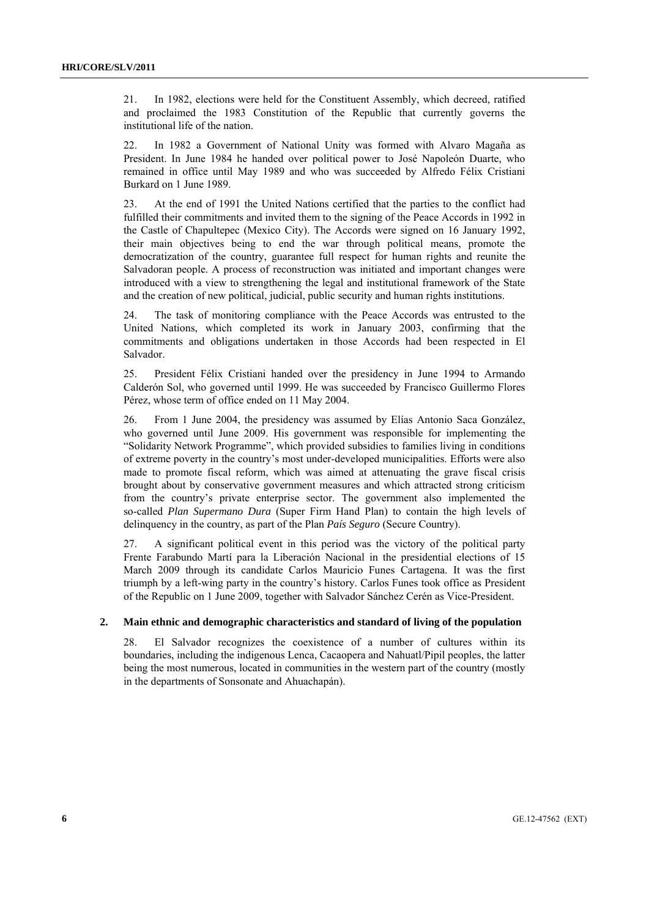21. In 1982, elections were held for the Constituent Assembly, which decreed, ratified and proclaimed the 1983 Constitution of the Republic that currently governs the institutional life of the nation.

22. In 1982 a Government of National Unity was formed with Alvaro Magaña as President. In June 1984 he handed over political power to José Napoleón Duarte, who remained in office until May 1989 and who was succeeded by Alfredo Félix Cristiani Burkard on 1 June 1989.

23. At the end of 1991 the United Nations certified that the parties to the conflict had fulfilled their commitments and invited them to the signing of the Peace Accords in 1992 in the Castle of Chapultepec (Mexico City). The Accords were signed on 16 January 1992, their main objectives being to end the war through political means, promote the democratization of the country, guarantee full respect for human rights and reunite the Salvadoran people. A process of reconstruction was initiated and important changes were introduced with a view to strengthening the legal and institutional framework of the State and the creation of new political, judicial, public security and human rights institutions.

24. The task of monitoring compliance with the Peace Accords was entrusted to the United Nations, which completed its work in January 2003, confirming that the commitments and obligations undertaken in those Accords had been respected in El Salvador.

25. President Félix Cristiani handed over the presidency in June 1994 to Armando Calderón Sol, who governed until 1999. He was succeeded by Francisco Guillermo Flores Pérez, whose term of office ended on 11 May 2004.

26. From 1 June 2004, the presidency was assumed by Elías Antonio Saca González, who governed until June 2009. His government was responsible for implementing the "Solidarity Network Programme", which provided subsidies to families living in conditions of extreme poverty in the country's most under-developed municipalities. Efforts were also made to promote fiscal reform, which was aimed at attenuating the grave fiscal crisis brought about by conservative government measures and which attracted strong criticism from the country's private enterprise sector. The government also implemented the so-called *Plan Supermano Dura* (Super Firm Hand Plan) to contain the high levels of delinquency in the country, as part of the Plan *País Seguro* (Secure Country).

27. A significant political event in this period was the victory of the political party Frente Farabundo Martí para la Liberación Nacional in the presidential elections of 15 March 2009 through its candidate Carlos Mauricio Funes Cartagena. It was the first triumph by a left-wing party in the country's history. Carlos Funes took office as President of the Republic on 1 June 2009, together with Salvador Sánchez Cerén as Vice-President.

## **2. Main ethnic and demographic characteristics and standard of living of the population**

28. El Salvador recognizes the coexistence of a number of cultures within its boundaries, including the indigenous Lenca, Cacaopera and Nahuatl/Pipil peoples, the latter being the most numerous, located in communities in the western part of the country (mostly in the departments of Sonsonate and Ahuachapán).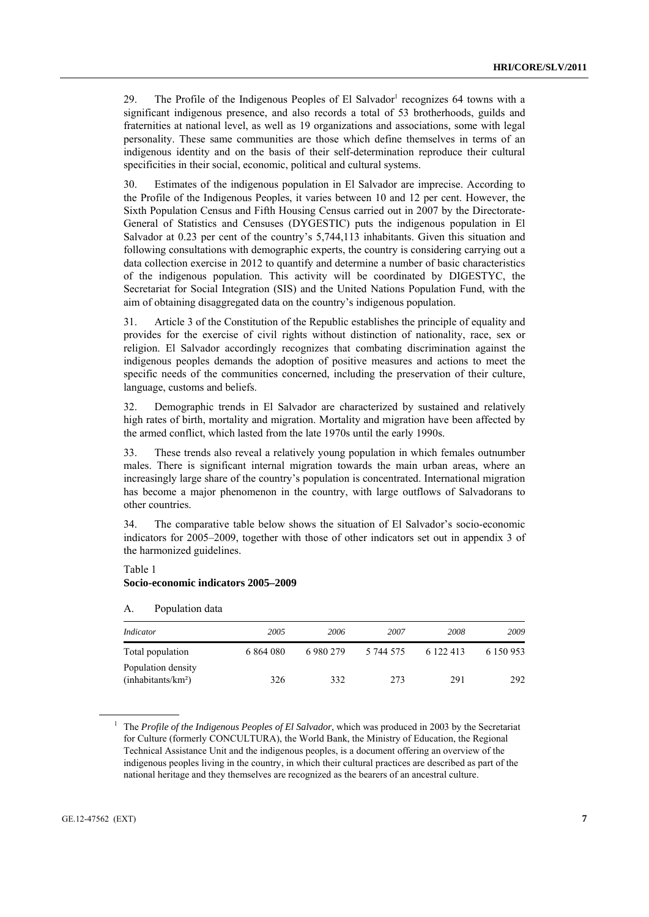29. The Profile of the Indigenous Peoples of El Salvador<sup>1</sup> recognizes 64 towns with a significant indigenous presence, and also records a total of 53 brotherhoods, guilds and fraternities at national level, as well as 19 organizations and associations, some with legal personality. These same communities are those which define themselves in terms of an indigenous identity and on the basis of their self-determination reproduce their cultural specificities in their social, economic, political and cultural systems.

30. Estimates of the indigenous population in El Salvador are imprecise. According to the Profile of the Indigenous Peoples, it varies between 10 and 12 per cent. However, the Sixth Population Census and Fifth Housing Census carried out in 2007 by the Directorate-General of Statistics and Censuses (DYGESTIC) puts the indigenous population in El Salvador at 0.23 per cent of the country's 5,744,113 inhabitants. Given this situation and following consultations with demographic experts, the country is considering carrying out a data collection exercise in 2012 to quantify and determine a number of basic characteristics of the indigenous population. This activity will be coordinated by DIGESTYC, the Secretariat for Social Integration (SIS) and the United Nations Population Fund, with the aim of obtaining disaggregated data on the country's indigenous population.

31. Article 3 of the Constitution of the Republic establishes the principle of equality and provides for the exercise of civil rights without distinction of nationality, race, sex or religion. El Salvador accordingly recognizes that combating discrimination against the indigenous peoples demands the adoption of positive measures and actions to meet the specific needs of the communities concerned, including the preservation of their culture, language, customs and beliefs.

32. Demographic trends in El Salvador are characterized by sustained and relatively high rates of birth, mortality and migration. Mortality and migration have been affected by the armed conflict, which lasted from the late 1970s until the early 1990s.

33. These trends also reveal a relatively young population in which females outnumber males. There is significant internal migration towards the main urban areas, where an increasingly large share of the country's population is concentrated. International migration has become a major phenomenon in the country, with large outflows of Salvadorans to other countries.

34. The comparative table below shows the situation of El Salvador's socio-economic indicators for 2005–2009, together with those of other indicators set out in appendix 3 of the harmonized guidelines.

# Table 1

#### **Socio-economic indicators 2005–2009**

#### A. Population data

| Indicator                                            | 2005      | 2006      | 2007      | 2008      | 2009      |
|------------------------------------------------------|-----------|-----------|-----------|-----------|-----------|
| Total population                                     | 6 864 080 | 6 980 279 | 5 744 575 | 6 122 413 | 6 150 953 |
| Population density<br>(inhabitants/km <sup>2</sup> ) | 326       | 332       | 273       | 291       | 292       |

<sup>&</sup>lt;sup>1</sup> The *Profile of the Indigenous Peoples of El Salvador*, which was produced in 2003 by the Secretariat for Culture (formerly CONCULTURA), the World Bank, the Ministry of Education, the Regional Technical Assistance Unit and the indigenous peoples, is a document offering an overview of the indigenous peoples living in the country, in which their cultural practices are described as part of the national heritage and they themselves are recognized as the bearers of an ancestral culture.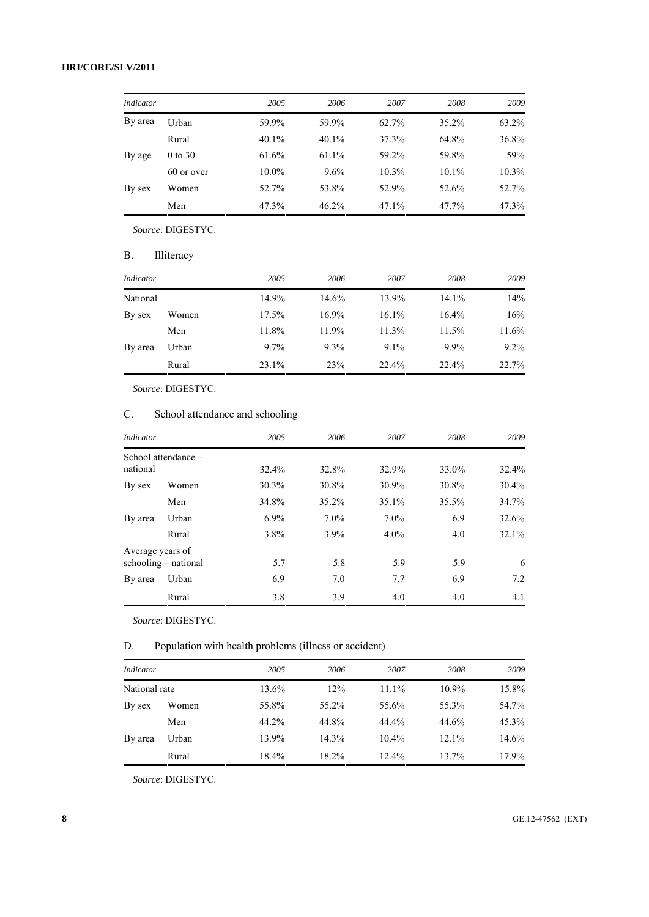| Indicator |             | 2005     | 2006  | 2007     | 2008     | 2009     |
|-----------|-------------|----------|-------|----------|----------|----------|
| By area   | Urban       | 59.9%    | 59.9% | 62.7%    | 35.2%    | 63.2%    |
|           | Rural       | 40.1%    | 40.1% | 37.3%    | 64.8%    | 36.8%    |
| By age    | $0$ to $30$ | 61.6%    | 61.1% | 59.2%    | 59.8%    | 59%      |
|           | 60 or over  | $10.0\%$ | 9.6%  | $10.3\%$ | $10.1\%$ | $10.3\%$ |
| By sex    | Women       | 52.7%    | 53.8% | 52.9%    | 52.6%    | 52.7%    |
|           | Men         | 47.3%    | 46.2% | 47.1%    | 47.7%    | 47.3%    |

 *Source*: DIGESTYC.

B. Illiteracy

| Indicator |       | 2005     | 2006       | 2007    | 2008    | 2009    |
|-----------|-------|----------|------------|---------|---------|---------|
| National  |       | 14.9%    | 14.6%      | 13.9%   | 14.1%   | 14%     |
| By sex    | Women | $17.5\%$ | $16.9\%$   | 16.1%   | 16.4%   | 16%     |
|           | Men   | 11.8%    | 11.9%      | 11.3%   | 11.5%   | 11.6%   |
| By area   | Urban | $9.7\%$  | $9.3\%$    | $9.1\%$ | $9.9\%$ | $9.2\%$ |
|           | Rural | 23.1%    | <b>23%</b> | 22.4%   | 22.4%   | 22.7%   |

*Source*: DIGESTYC.

# C. School attendance and schooling

| Indicator        |                        | 2005    | 2006    | 2007    | 2008  | 2009     |
|------------------|------------------------|---------|---------|---------|-------|----------|
| national         | School attendance -    | 32.4%   | 32.8%   | 32.9%   | 33.0% | $32.4\%$ |
| By sex           | Women                  | 30.3%   | 30.8%   | 30.9%   | 30.8% | 30.4%    |
|                  | Men                    | 34.8%   | 35.2%   | 35.1%   | 35.5% | 34.7%    |
| By area          | Urban                  | $6.9\%$ | 7.0%    | $7.0\%$ | 6.9   | 32.6%    |
|                  | Rural                  | 3.8%    | $3.9\%$ | $4.0\%$ | 4.0   | $32.1\%$ |
| Average years of |                        |         |         |         |       |          |
|                  | $schooling - national$ | 5.7     | 5.8     | 5.9     | 5.9   | 6        |
| By area          | Urban                  | 6.9     | 7.0     | 7.7     | 6.9   | 7.2      |
|                  | Rural                  | 3.8     | 3.9     | 4.0     | 4.0   | 4.1      |

*Source*: DIGESTYC.

D. Population with health problems (illness or accident)

| Indicator     |       | 2005     | 2006     | 2007     | 2008     | 2009     |
|---------------|-------|----------|----------|----------|----------|----------|
| National rate |       | 13.6%    | 12%      | 11.1%    | $10.9\%$ | 15.8%    |
| By sex        | Women | 55.8%    | $55.2\%$ | 55.6%    | 55.3%    | 54.7%    |
|               | Men   | 44.2%    | 44.8%    | 44.4%    | 44.6%    | $45.3\%$ |
| By area       | Urban | 13.9%    | $14.3\%$ | $10.4\%$ | $12.1\%$ | 14.6%    |
|               | Rural | $18.4\%$ | $18.2\%$ | 12.4%    | 13.7%    | $17.9\%$ |

*Source*: DIGESTYC.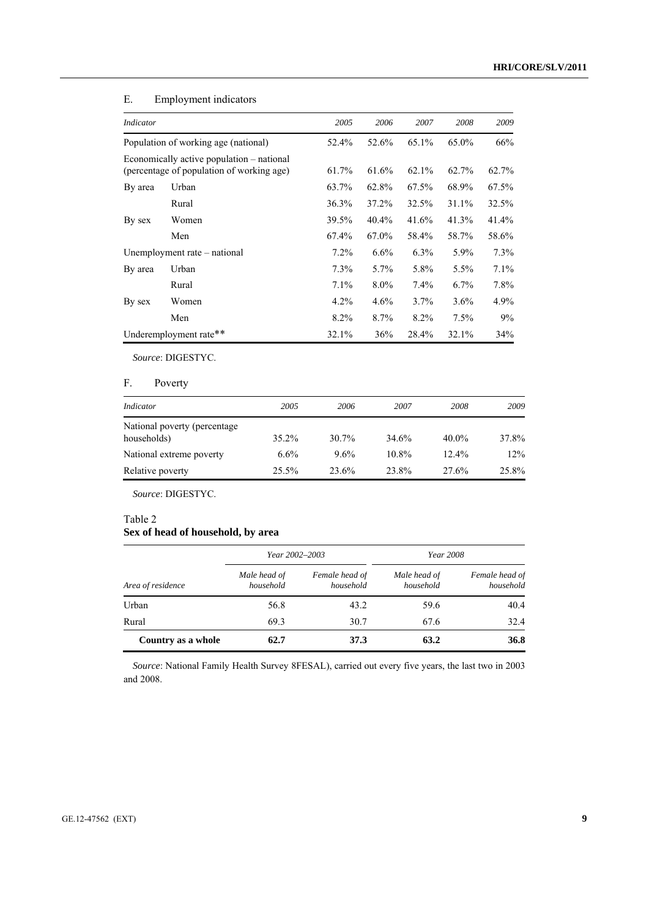| Indicator                                                                              |                                      | 2005    | 2006     | 2007     | 2008    | 2009    |
|----------------------------------------------------------------------------------------|--------------------------------------|---------|----------|----------|---------|---------|
|                                                                                        | Population of working age (national) | 52.4%   | 52.6%    | 65.1%    | 65.0%   | 66%     |
| Economically active population – national<br>(percentage of population of working age) |                                      | 61.7%   | 61.6%    | $62.1\%$ | 62.7%   | 62.7%   |
| By area                                                                                | Urban                                | 63.7%   | 62.8%    | 67.5%    | 68.9%   | 67.5%   |
|                                                                                        | Rural                                | 36.3%   | 37.2%    | 32.5%    | 31.1%   | 32.5%   |
| By sex                                                                                 | Women                                | 39.5%   | $40.4\%$ | 41.6%    | 41.3%   | 41.4%   |
|                                                                                        | Men                                  | 67.4%   | 67.0%    | 58.4%    | 58.7%   | 58.6%   |
|                                                                                        | Unemployment rate – national         | $7.2\%$ | $6.6\%$  | $6.3\%$  | 5.9%    | 7.3%    |
| By area                                                                                | Urban                                | $7.3\%$ | 5.7%     | 5.8%     | 5.5%    | $7.1\%$ |
|                                                                                        | Rural                                | 7.1%    | $8.0\%$  | 7.4%     | $6.7\%$ | $7.8\%$ |
| By sex                                                                                 | Women                                | $4.2\%$ | $4.6\%$  | $3.7\%$  | $3.6\%$ | $4.9\%$ |
|                                                                                        | Men                                  | 8.2%    | 8.7%     | $8.2\%$  | 7.5%    | 9%      |
|                                                                                        | Underemployment rate**               | 32.1%   | 36%      | 28.4%    | 32.1%   | 34%     |

# E. Employment indicators

*Source*: DIGESTYC.

# F. Poverty

| Indicator                                    | 2005    | 2006  | 2007  | 2008     | 2009  |
|----------------------------------------------|---------|-------|-------|----------|-------|
| National poverty (percentage)<br>households) | 35.2%   | 30.7% | 34.6% | $40.0\%$ | 37.8% |
| National extreme poverty                     | $6.6\%$ | 9.6%  | 10.8% | $12.4\%$ | 12%   |
| Relative poverty                             | 25.5%   | 23.6% | 23.8% | 27.6%    | 25.8% |

*Source*: DIGESTYC.

# Table 2

# **Sex of head of household, by area**

|                    | Year 2002–2003            |                             | Year 2008                 |                             |
|--------------------|---------------------------|-----------------------------|---------------------------|-----------------------------|
| Area of residence  | Male head of<br>household | Female head of<br>household | Male head of<br>household | Female head of<br>household |
| Urban              | 56.8                      | 43.2                        | 59.6                      | 40.4                        |
| Rural              | 69.3                      | 30.7                        | 67.6                      | 32.4                        |
| Country as a whole | 62.7                      | 37.3                        | 63.2                      | 36.8                        |

*Source*: National Family Health Survey 8FESAL), carried out every five years, the last two in 2003 and 2008.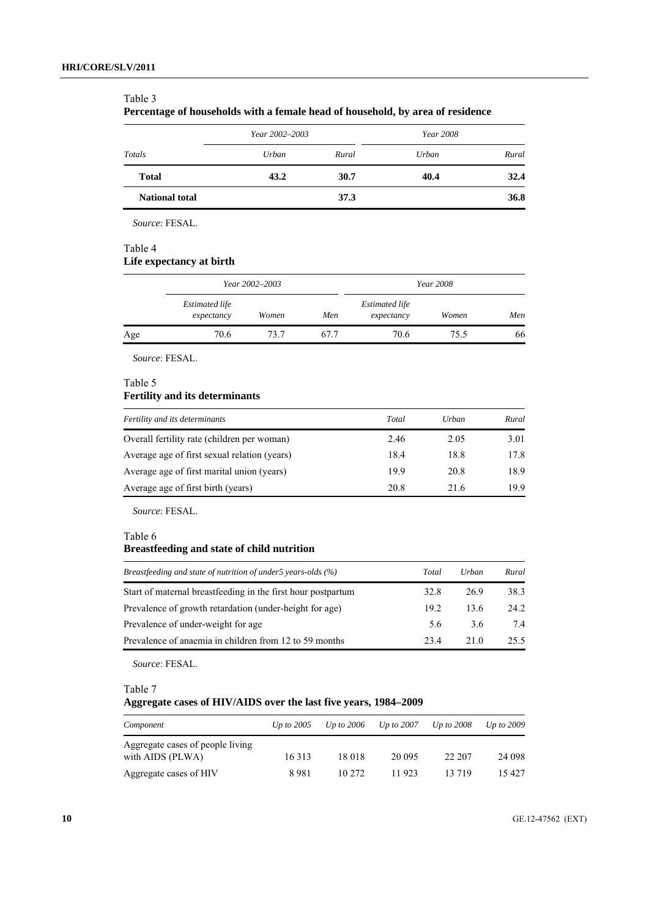#### Table 3

**Percentage of households with a female head of household, by area of residence** 

|                       | Year 2002–2003 |       | <i>Year</i> 2008 |       |
|-----------------------|----------------|-------|------------------|-------|
| Totals                | Urban          | Rural | Urban            | Rural |
| <b>Total</b>          | 43.2           | 30.7  | 40.4             | 32.4  |
| <b>National total</b> |                | 37.3  |                  | 36.8  |

 *Source*: FESAL.

## Table 4

# **Life expectancy at birth**

|     | Year 2002–2003                      |       |      |                                     | Year 2008 |     |
|-----|-------------------------------------|-------|------|-------------------------------------|-----------|-----|
|     | <b>Estimated life</b><br>expectancy | Women | Men  | <b>Estimated life</b><br>expectancy | Women     | Men |
| Age | 70.6                                | 73.7  | 67.7 | 70.6                                | 75.5      | 66  |

*Source*: FESAL.

# Table 5

# **Fertility and its determinants**

| Fertility and its determinants               | Total | Urban | Rural |
|----------------------------------------------|-------|-------|-------|
| Overall fertility rate (children per woman)  | 2.46  | 2.05  | 3.01  |
| Average age of first sexual relation (years) | 18.4  | 18.8  | 17.8  |
| Average age of first marital union (years)   | 199   | 20.8  | 18.9  |
| Average age of first birth (years)           | 20.8  | 21.6  | 19.9  |

*Source*: FESAL.

Table 6

# **Breastfeeding and state of child nutrition**

| Breastfeeding and state of nutrition of under5 years-olds (%) | Total | Urban | Rural |
|---------------------------------------------------------------|-------|-------|-------|
| Start of maternal breastfeeding in the first hour postpartum  | 32.8  | 26.9  | 38.3  |
| Prevalence of growth retardation (under-height for age)       | 19.2  | 13.6  | 24.2  |
| Prevalence of under-weight for age                            | 5.6   | 3.6   | 7.4   |
| Prevalence of anaemia in children from 12 to 59 months        | 23.4  | 21 O  | 25.5  |

*Source*: FESAL.

Table 7

# **Aggregate cases of HIV/AIDS over the last five years, 1984–2009**

| Component                                            | Up to $2005$ | Up to $2006$ | Up to $2007$ | <i>Up to 2008</i> | Up to 2009 |
|------------------------------------------------------|--------------|--------------|--------------|-------------------|------------|
| Aggregate cases of people living<br>with AIDS (PLWA) | 16 3 13      | 18 018       | 20 095       | 22 207            | 24 098     |
| Aggregate cases of HIV                               | 8981         | 10 2.72      | 11 923       | 13 719            | 15427      |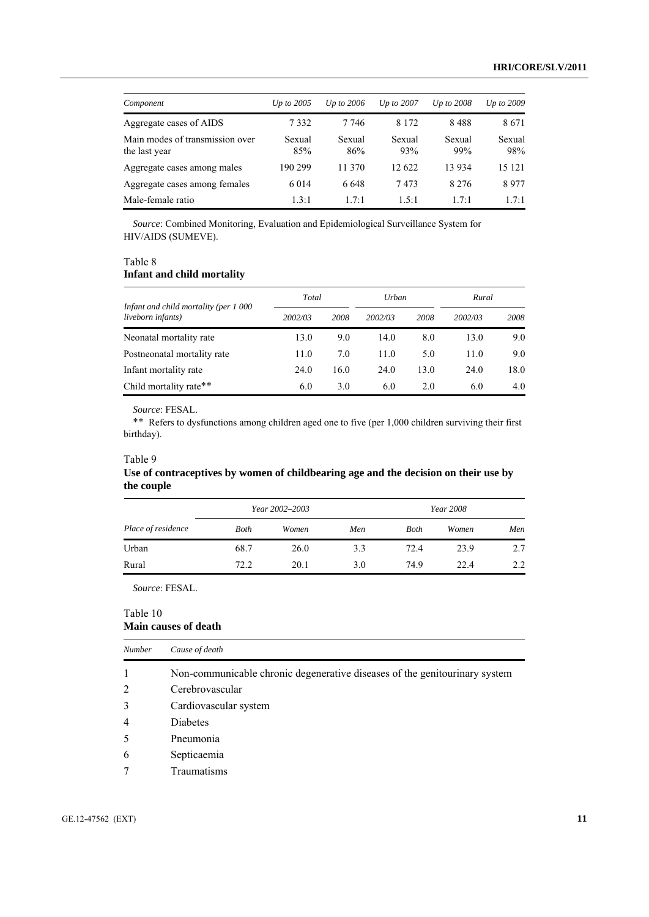| Component                                        | Up to $2005$  | Up to $2006$  | $Up$ to $2007$ | $Up$ to $2008$ | Up to 2009    |
|--------------------------------------------------|---------------|---------------|----------------|----------------|---------------|
| Aggregate cases of AIDS                          | 7332          | 7 7 4 6       | 8 1 7 2        | 8488           | 8671          |
| Main modes of transmission over<br>the last year | Sexual<br>85% | Sexual<br>86% | Sexual<br>93%  | Sexual<br>99%  | Sexual<br>98% |
| Aggregate cases among males                      | 190 299       | 11 370        | 12 622         | 13 9 34        | 15 121        |
| Aggregate cases among females                    | 6 0 1 4       | 6.648         | 7473           | 8 2 7 6        | 8977          |
| Male-female ratio                                | 1.3:1         | 17.1          | 1.5:1          | 17.1           | 1.7:1         |

*Source*: Combined Monitoring, Evaluation and Epidemiological Surveillance System for HIV/AIDS (SUMEVE).

## Table 8

## **Infant and child mortality**

| Infant and child mortality (per 1 000<br>liveborn infants) | Total   |      | Urban   |      | Rural   |      |
|------------------------------------------------------------|---------|------|---------|------|---------|------|
|                                                            | 2002/03 | 2008 | 2002/03 | 2008 | 2002/03 | 2008 |
| Neonatal mortality rate                                    | 13.0    | 9.0  | 14.0    | 8.0  | 13.0    | 9.0  |
| Postneonatal mortality rate                                | 11.0    | 7.0  | 11.0    | 5.0  | 11.0    | 9.0  |
| Infant mortality rate                                      | 24.0    | 16.0 | 24.0    | 13.0 | 24.0    | 18.0 |
| Child mortality rate**                                     | 6.0     | 3.0  | 6.0     | 2.0  | 6.0     | 4.0  |

 *Source*: FESAL.

\*\* Refers to dysfunctions among children aged one to five (per 1,000 children surviving their first birthday).

## Table 9

# **Use of contraceptives by women of childbearing age and the decision on their use by the couple**

|                    |      | Year 2002–2003 |     |      | Year 2008 |     |
|--------------------|------|----------------|-----|------|-----------|-----|
| Place of residence | Both | Women          | Men | Both | Women     | Men |
| Urban              | 68.7 | 26.0           | 3.3 | 72.4 | 23.9      | 2.7 |
| Rural              | 72.2 | 20.1           | 3.0 | 74.9 | 22.4      | 2.2 |

*Source*: FESAL.

#### Table 10 **Main causes of death**

| <b>Number</b>  | Cause of death                                                             |
|----------------|----------------------------------------------------------------------------|
|                | Non-communicable chronic degenerative diseases of the genitourinary system |
| 2              | Cerebrovascular                                                            |
| 3              | Cardiovascular system                                                      |
| $\overline{4}$ | Diabetes                                                                   |
| 5              | Pneumonia                                                                  |
| 6              | Septicaemia                                                                |
|                | Traumatisms                                                                |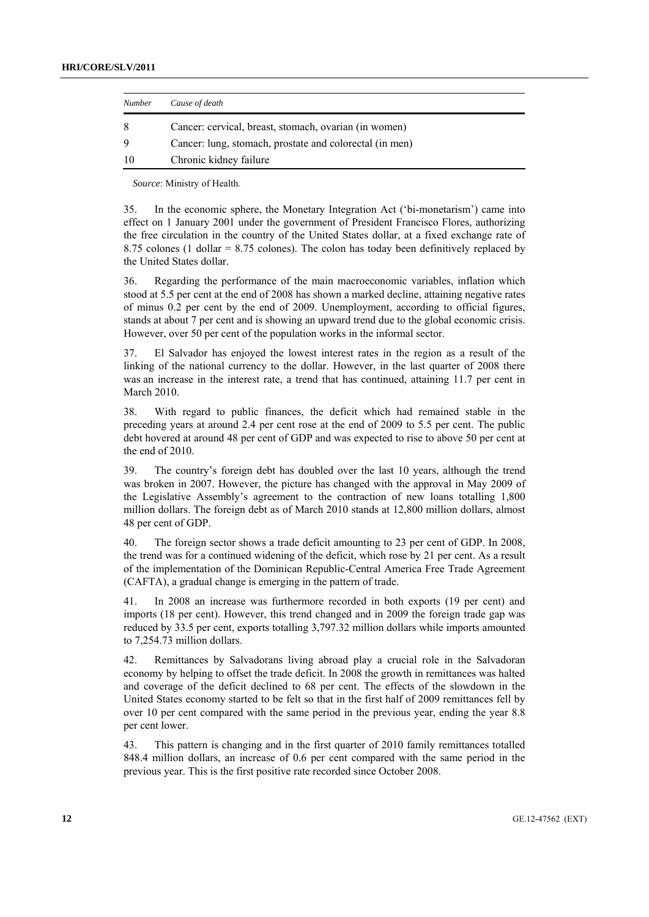| <b>Number</b> | Cause of death                                          |
|---------------|---------------------------------------------------------|
| 8             | Cancer: cervical, breast, stomach, ovarian (in women)   |
| 9             | Cancer: lung, stomach, prostate and colorectal (in men) |
| 10            | Chronic kidney failure                                  |

*Source*: Ministry of Health.

35. In the economic sphere, the Monetary Integration Act ('bi-monetarism') came into effect on 1 January 2001 under the government of President Francisco Flores, authorizing the free circulation in the country of the United States dollar, at a fixed exchange rate of 8.75 colones (1 dollar = 8.75 colones). The colon has today been definitively replaced by the United States dollar.

36. Regarding the performance of the main macroeconomic variables, inflation which stood at 5.5 per cent at the end of 2008 has shown a marked decline, attaining negative rates of minus 0.2 per cent by the end of 2009. Unemployment, according to official figures, stands at about 7 per cent and is showing an upward trend due to the global economic crisis. However, over 50 per cent of the population works in the informal sector.

37. El Salvador has enjoyed the lowest interest rates in the region as a result of the linking of the national currency to the dollar. However, in the last quarter of 2008 there was an increase in the interest rate, a trend that has continued, attaining 11.7 per cent in March 2010.

38. With regard to public finances, the deficit which had remained stable in the preceding years at around 2.4 per cent rose at the end of 2009 to 5.5 per cent. The public debt hovered at around 48 per cent of GDP and was expected to rise to above 50 per cent at the end of 2010.

39. The country's foreign debt has doubled over the last 10 years, although the trend was broken in 2007. However, the picture has changed with the approval in May 2009 of the Legislative Assembly's agreement to the contraction of new loans totalling 1,800 million dollars. The foreign debt as of March 2010 stands at 12,800 million dollars, almost 48 per cent of GDP.

40. The foreign sector shows a trade deficit amounting to 23 per cent of GDP. In 2008, the trend was for a continued widening of the deficit, which rose by 21 per cent. As a result of the implementation of the Dominican Republic-Central America Free Trade Agreement (CAFTA), a gradual change is emerging in the pattern of trade.

41. In 2008 an increase was furthermore recorded in both exports (19 per cent) and imports (18 per cent). However, this trend changed and in 2009 the foreign trade gap was reduced by 33.5 per cent, exports totalling 3,797.32 million dollars while imports amounted to 7,254.73 million dollars.

42. Remittances by Salvadorans living abroad play a crucial role in the Salvadoran economy by helping to offset the trade deficit. In 2008 the growth in remittances was halted and coverage of the deficit declined to 68 per cent. The effects of the slowdown in the United States economy started to be felt so that in the first half of 2009 remittances fell by over 10 per cent compared with the same period in the previous year, ending the year 8.8 per cent lower.

43. This pattern is changing and in the first quarter of 2010 family remittances totalled 848.4 million dollars, an increase of 0.6 per cent compared with the same period in the previous year. This is the first positive rate recorded since October 2008.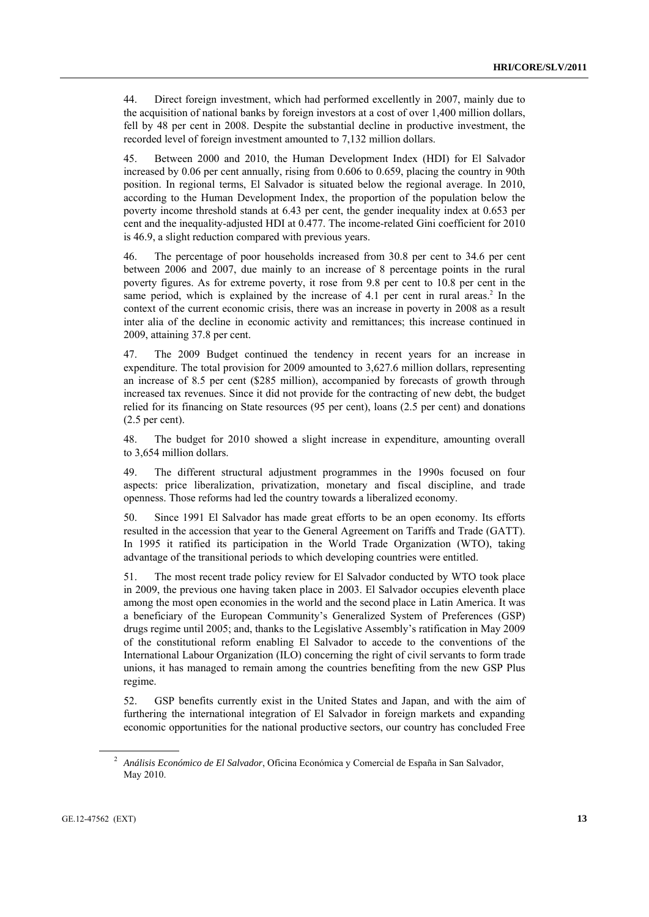44. Direct foreign investment, which had performed excellently in 2007, mainly due to the acquisition of national banks by foreign investors at a cost of over 1,400 million dollars, fell by 48 per cent in 2008. Despite the substantial decline in productive investment, the recorded level of foreign investment amounted to 7,132 million dollars.

45. Between 2000 and 2010, the Human Development Index (HDI) for El Salvador increased by 0.06 per cent annually, rising from 0.606 to 0.659, placing the country in 90th position. In regional terms, El Salvador is situated below the regional average. In 2010, according to the Human Development Index, the proportion of the population below the poverty income threshold stands at 6.43 per cent, the gender inequality index at 0.653 per cent and the inequality-adjusted HDI at 0.477. The income-related Gini coefficient for 2010 is 46.9, a slight reduction compared with previous years.

46. The percentage of poor households increased from 30.8 per cent to 34.6 per cent between 2006 and 2007, due mainly to an increase of 8 percentage points in the rural poverty figures. As for extreme poverty, it rose from 9.8 per cent to 10.8 per cent in the same period, which is explained by the increase of 4.1 per cent in rural areas.<sup>2</sup> In the context of the current economic crisis, there was an increase in poverty in 2008 as a result inter alia of the decline in economic activity and remittances; this increase continued in 2009, attaining 37.8 per cent.

47. The 2009 Budget continued the tendency in recent years for an increase in expenditure. The total provision for 2009 amounted to 3,627.6 million dollars, representing an increase of 8.5 per cent (\$285 million), accompanied by forecasts of growth through increased tax revenues. Since it did not provide for the contracting of new debt, the budget relied for its financing on State resources (95 per cent), loans (2.5 per cent) and donations (2.5 per cent).

48. The budget for 2010 showed a slight increase in expenditure, amounting overall to 3,654 million dollars.

49. The different structural adjustment programmes in the 1990s focused on four aspects: price liberalization, privatization, monetary and fiscal discipline, and trade openness. Those reforms had led the country towards a liberalized economy.

50. Since 1991 El Salvador has made great efforts to be an open economy. Its efforts resulted in the accession that year to the General Agreement on Tariffs and Trade (GATT). In 1995 it ratified its participation in the World Trade Organization (WTO), taking advantage of the transitional periods to which developing countries were entitled.

51. The most recent trade policy review for El Salvador conducted by WTO took place in 2009, the previous one having taken place in 2003. El Salvador occupies eleventh place among the most open economies in the world and the second place in Latin America. It was a beneficiary of the European Community's Generalized System of Preferences (GSP) drugs regime until 2005; and, thanks to the Legislative Assembly's ratification in May 2009 of the constitutional reform enabling El Salvador to accede to the conventions of the International Labour Organization (ILO) concerning the right of civil servants to form trade unions, it has managed to remain among the countries benefiting from the new GSP Plus regime.

52. GSP benefits currently exist in the United States and Japan, and with the aim of furthering the international integration of El Salvador in foreign markets and expanding economic opportunities for the national productive sectors, our country has concluded Free

<sup>2</sup> *Análisis Económico de El Salvador*, Oficina Económica y Comercial de España in San Salvador, May 2010.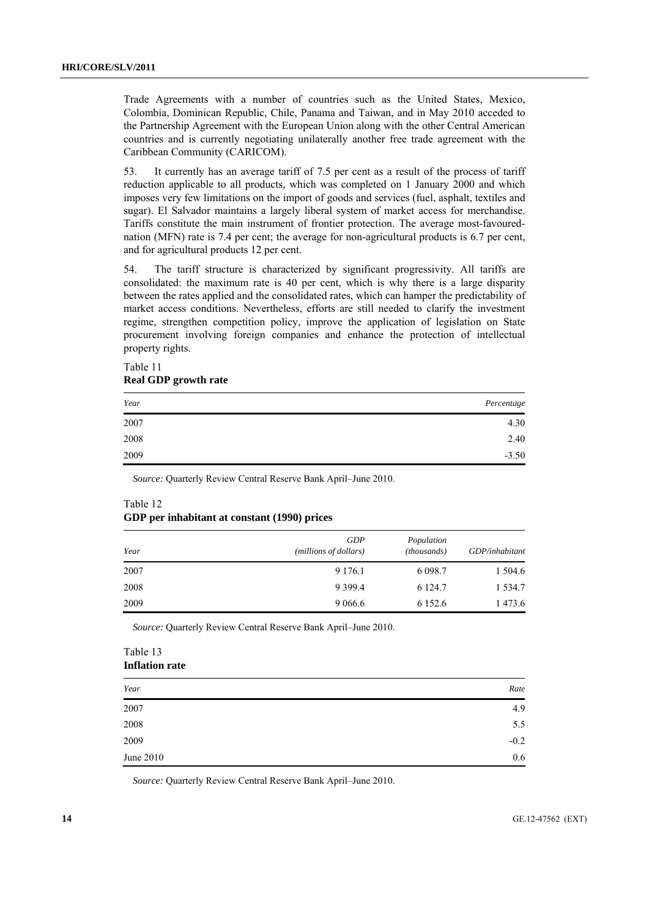Trade Agreements with a number of countries such as the United States, Mexico, Colombia, Dominican Republic, Chile, Panama and Taiwan, and in May 2010 acceded to the Partnership Agreement with the European Union along with the other Central American countries and is currently negotiating unilaterally another free trade agreement with the Caribbean Community (CARICOM).

53. It currently has an average tariff of 7.5 per cent as a result of the process of tariff reduction applicable to all products, which was completed on 1 January 2000 and which imposes very few limitations on the import of goods and services (fuel, asphalt, textiles and sugar). El Salvador maintains a largely liberal system of market access for merchandise. Tariffs constitute the main instrument of frontier protection. The average most-favourednation (MFN) rate is 7.4 per cent; the average for non-agricultural products is 6.7 per cent, and for agricultural products 12 per cent.

54. The tariff structure is characterized by significant progressivity. All tariffs are consolidated: the maximum rate is 40 per cent, which is why there is a large disparity between the rates applied and the consolidated rates, which can hamper the predictability of market access conditions. Nevertheless, efforts are still needed to clarify the investment regime, strengthen competition policy, improve the application of legislation on State procurement involving foreign companies and enhance the protection of intellectual property rights.

| Real GDP growth rate |            |  |
|----------------------|------------|--|
| Year                 | Percentage |  |
| 2007                 | 4.30       |  |
| 2008                 | 2.40       |  |
| 2009                 | $-3.50$    |  |

**Real GDP growth rate** 

Table 11

*Source:* Quarterly Review Central Reserve Bank April–June 2010.

## Table 12 **GDP per inhabitant at constant (1990) prices**

| Year | GDP<br>(millions of dollars) | Population<br>(thousands) | GDP/inhabitant |
|------|------------------------------|---------------------------|----------------|
| 2007 | 9 1 7 6 .1                   | 6 0 9 8 .7                | 1 504.6        |
| 2008 | 9 3 9 9.4                    | 6 1 2 4 .7                | 1 5 3 4 .7     |
| 2009 | 9 0 6 6 . 6                  | 6 1 5 2 . 6               | 1473.6         |

*Source:* Quarterly Review Central Reserve Bank April–June 2010.

#### Table 13 **Inflation rate**

| Year      | Rate   |
|-----------|--------|
| 2007      | 4.9    |
| 2008      | 5.5    |
| 2009      | $-0.2$ |
| June 2010 | 0.6    |

*Source:* Quarterly Review Central Reserve Bank April–June 2010.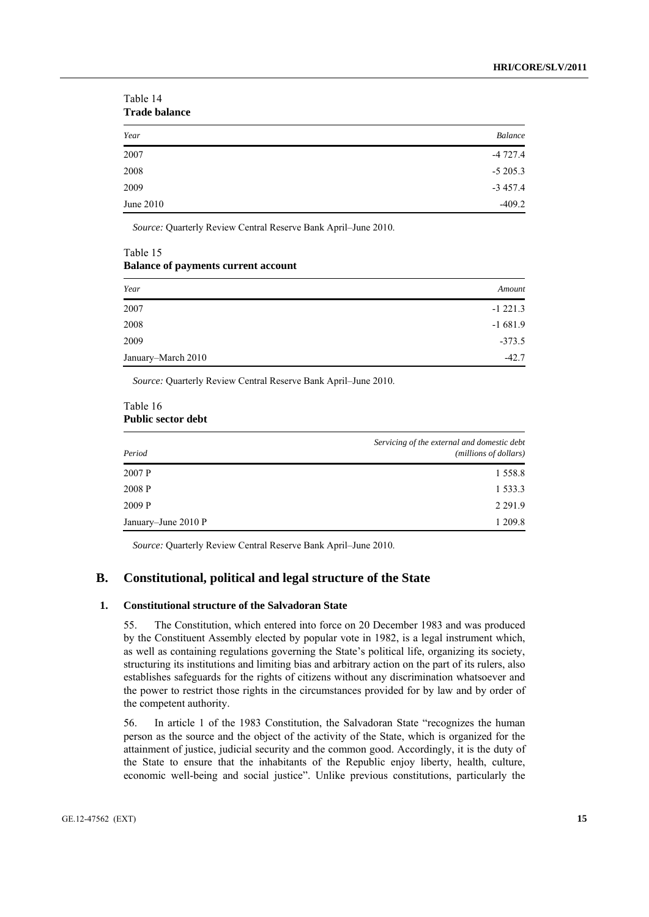| Trade Dalance |           |  |
|---------------|-----------|--|
| Year          | Balance   |  |
| 2007          | $-4727.4$ |  |
| 2008          | $-5205.3$ |  |
| 2009          | $-3457.4$ |  |
| June 2010     | $-409.2$  |  |

Table 14 **Trade balance** 

*Source:* Quarterly Review Central Reserve Bank April–June 2010.

#### Table 15 **Balance of payments current account**

| Year               | Amount    |
|--------------------|-----------|
| 2007               | $-1221.3$ |
| 2008               | $-1681.9$ |
| 2009               | $-373.5$  |
| January-March 2010 | $-42.7$   |

*Source:* Quarterly Review Central Reserve Bank April–June 2010.

#### Table 16 **Public sector debt**

| Period              | Servicing of the external and domestic debt<br>(millions of dollars) |
|---------------------|----------------------------------------------------------------------|
| 2007 P              | 1 5 5 8 .8                                                           |
| 2008 P              | 1 5 3 3 . 3                                                          |
| 2009 P              | 2 2 9 1 .9                                                           |
| January-June 2010 P | 1 209.8                                                              |

*Source:* Quarterly Review Central Reserve Bank April–June 2010.

# **B. Constitutional, political and legal structure of the State**

## **1. Constitutional structure of the Salvadoran State**

55. The Constitution, which entered into force on 20 December 1983 and was produced by the Constituent Assembly elected by popular vote in 1982, is a legal instrument which, as well as containing regulations governing the State's political life, organizing its society, structuring its institutions and limiting bias and arbitrary action on the part of its rulers, also establishes safeguards for the rights of citizens without any discrimination whatsoever and the power to restrict those rights in the circumstances provided for by law and by order of the competent authority.

56. In article 1 of the 1983 Constitution, the Salvadoran State "recognizes the human person as the source and the object of the activity of the State, which is organized for the attainment of justice, judicial security and the common good. Accordingly, it is the duty of the State to ensure that the inhabitants of the Republic enjoy liberty, health, culture, economic well-being and social justice". Unlike previous constitutions, particularly the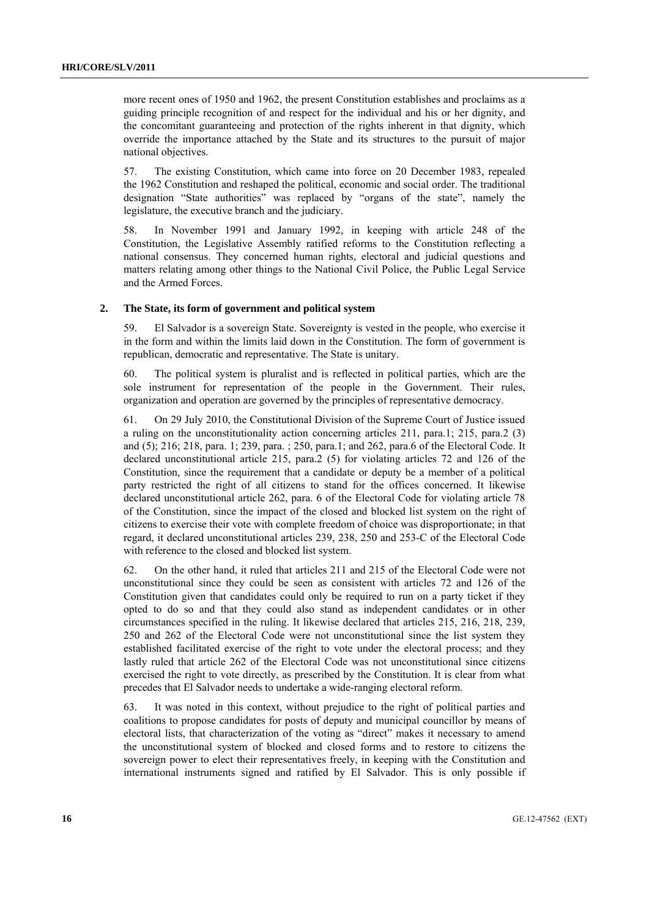more recent ones of 1950 and 1962, the present Constitution establishes and proclaims as a guiding principle recognition of and respect for the individual and his or her dignity, and the concomitant guaranteeing and protection of the rights inherent in that dignity, which override the importance attached by the State and its structures to the pursuit of major national objectives.

57. The existing Constitution, which came into force on 20 December 1983, repealed the 1962 Constitution and reshaped the political, economic and social order. The traditional designation "State authorities" was replaced by "organs of the state", namely the legislature, the executive branch and the judiciary.

58. In November 1991 and January 1992, in keeping with article 248 of the Constitution, the Legislative Assembly ratified reforms to the Constitution reflecting a national consensus. They concerned human rights, electoral and judicial questions and matters relating among other things to the National Civil Police, the Public Legal Service and the Armed Forces.

#### **2. The State, its form of government and political system**

59. El Salvador is a sovereign State. Sovereignty is vested in the people, who exercise it in the form and within the limits laid down in the Constitution. The form of government is republican, democratic and representative. The State is unitary.

60. The political system is pluralist and is reflected in political parties, which are the sole instrument for representation of the people in the Government. Their rules, organization and operation are governed by the principles of representative democracy.

61. On 29 July 2010, the Constitutional Division of the Supreme Court of Justice issued a ruling on the unconstitutionality action concerning articles 211, para.1; 215, para.2 (3) and (5); 216; 218, para. 1; 239, para. ; 250, para.1; and 262, para.6 of the Electoral Code. It declared unconstitutional article 215, para.2 (5) for violating articles 72 and 126 of the Constitution, since the requirement that a candidate or deputy be a member of a political party restricted the right of all citizens to stand for the offices concerned. It likewise declared unconstitutional article 262, para. 6 of the Electoral Code for violating article 78 of the Constitution, since the impact of the closed and blocked list system on the right of citizens to exercise their vote with complete freedom of choice was disproportionate; in that regard, it declared unconstitutional articles 239, 238, 250 and 253-C of the Electoral Code with reference to the closed and blocked list system.

62. On the other hand, it ruled that articles 211 and 215 of the Electoral Code were not unconstitutional since they could be seen as consistent with articles 72 and 126 of the Constitution given that candidates could only be required to run on a party ticket if they opted to do so and that they could also stand as independent candidates or in other circumstances specified in the ruling. It likewise declared that articles 215, 216, 218, 239, 250 and 262 of the Electoral Code were not unconstitutional since the list system they established facilitated exercise of the right to vote under the electoral process; and they lastly ruled that article 262 of the Electoral Code was not unconstitutional since citizens exercised the right to vote directly, as prescribed by the Constitution. It is clear from what precedes that El Salvador needs to undertake a wide-ranging electoral reform.

63. It was noted in this context, without prejudice to the right of political parties and coalitions to propose candidates for posts of deputy and municipal councillor by means of electoral lists, that characterization of the voting as "direct" makes it necessary to amend the unconstitutional system of blocked and closed forms and to restore to citizens the sovereign power to elect their representatives freely, in keeping with the Constitution and international instruments signed and ratified by El Salvador. This is only possible if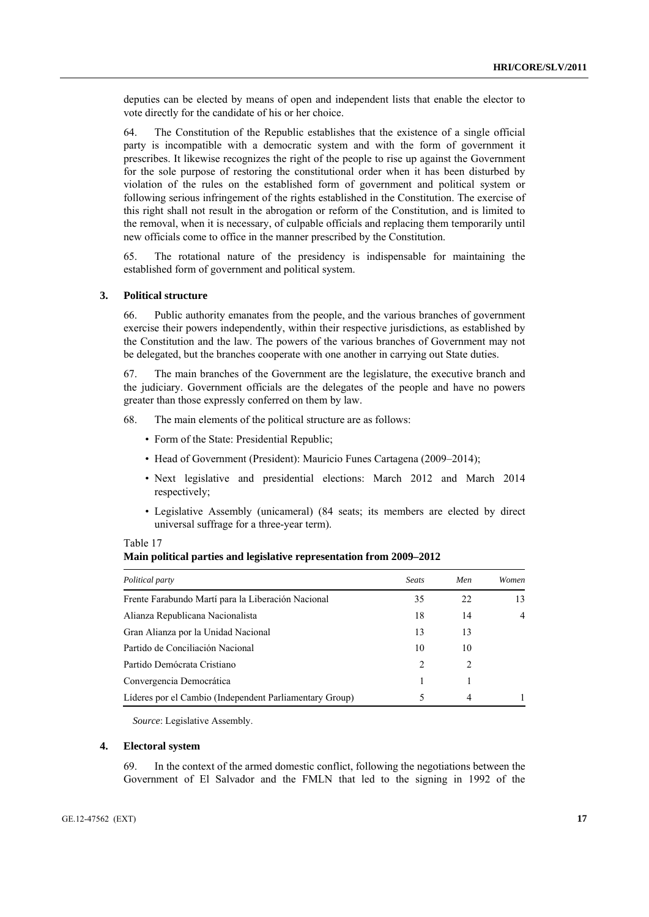deputies can be elected by means of open and independent lists that enable the elector to vote directly for the candidate of his or her choice.

64. The Constitution of the Republic establishes that the existence of a single official party is incompatible with a democratic system and with the form of government it prescribes. It likewise recognizes the right of the people to rise up against the Government for the sole purpose of restoring the constitutional order when it has been disturbed by violation of the rules on the established form of government and political system or following serious infringement of the rights established in the Constitution. The exercise of this right shall not result in the abrogation or reform of the Constitution, and is limited to the removal, when it is necessary, of culpable officials and replacing them temporarily until new officials come to office in the manner prescribed by the Constitution.

65. The rotational nature of the presidency is indispensable for maintaining the established form of government and political system.

#### **3. Political structure**

66. Public authority emanates from the people, and the various branches of government exercise their powers independently, within their respective jurisdictions, as established by the Constitution and the law. The powers of the various branches of Government may not be delegated, but the branches cooperate with one another in carrying out State duties.

67. The main branches of the Government are the legislature, the executive branch and the judiciary. Government officials are the delegates of the people and have no powers greater than those expressly conferred on them by law.

68. The main elements of the political structure are as follows:

- Form of the State: Presidential Republic;
- Head of Government (President): Mauricio Funes Cartagena (2009–2014);
- Next legislative and presidential elections: March 2012 and March 2014 respectively;
- Legislative Assembly (unicameral) (84 seats; its members are elected by direct universal suffrage for a three-year term).

#### Table 17

|  |  |  |  |  | Main political parties and legislative representation from 2009-2012 |  |  |
|--|--|--|--|--|----------------------------------------------------------------------|--|--|
|--|--|--|--|--|----------------------------------------------------------------------|--|--|

| Political party                                         | <b>Seats</b>                  | Men | Women          |
|---------------------------------------------------------|-------------------------------|-----|----------------|
| Frente Farabundo Martí para la Liberación Nacional      | 35                            | 22  | 13             |
| Alianza Republicana Nacionalista                        | 18                            | 14  | $\overline{4}$ |
| Gran Alianza por la Unidad Nacional                     | 13                            | 13  |                |
| Partido de Conciliación Nacional                        | 10                            | 10  |                |
| Partido Demócrata Cristiano                             | $\mathfrak{D}_{\mathfrak{p}}$ | 2   |                |
| Convergencia Democrática                                |                               |     |                |
| Líderes por el Cambio (Independent Parliamentary Group) |                               | 4   |                |

*Source*: Legislative Assembly.

#### **4. Electoral system**

69. In the context of the armed domestic conflict, following the negotiations between the Government of El Salvador and the FMLN that led to the signing in 1992 of the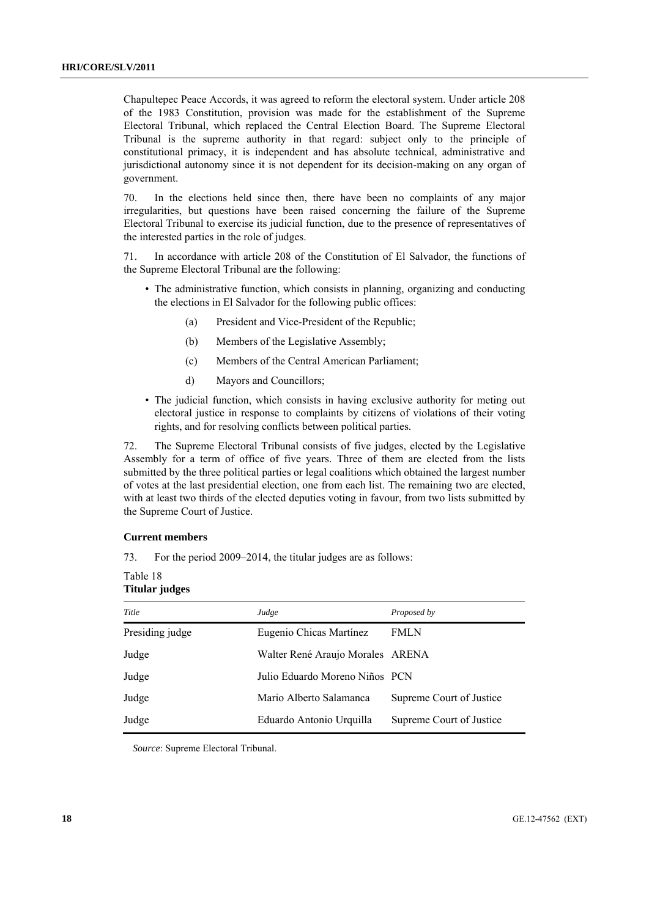Chapultepec Peace Accords, it was agreed to reform the electoral system. Under article 208 of the 1983 Constitution, provision was made for the establishment of the Supreme Electoral Tribunal, which replaced the Central Election Board. The Supreme Electoral Tribunal is the supreme authority in that regard: subject only to the principle of constitutional primacy, it is independent and has absolute technical, administrative and jurisdictional autonomy since it is not dependent for its decision-making on any organ of government.

70. In the elections held since then, there have been no complaints of any major irregularities, but questions have been raised concerning the failure of the Supreme Electoral Tribunal to exercise its judicial function, due to the presence of representatives of the interested parties in the role of judges.

71. In accordance with article 208 of the Constitution of El Salvador, the functions of the Supreme Electoral Tribunal are the following:

- The administrative function, which consists in planning, organizing and conducting the elections in El Salvador for the following public offices:
	- (a) President and Vice-President of the Republic;
	- (b) Members of the Legislative Assembly;
	- (c) Members of the Central American Parliament;
	- d) Mayors and Councillors;
- The judicial function, which consists in having exclusive authority for meting out electoral justice in response to complaints by citizens of violations of their voting rights, and for resolving conflicts between political parties.

72. The Supreme Electoral Tribunal consists of five judges, elected by the Legislative Assembly for a term of office of five years. Three of them are elected from the lists submitted by the three political parties or legal coalitions which obtained the largest number of votes at the last presidential election, one from each list. The remaining two are elected, with at least two thirds of the elected deputies voting in favour, from two lists submitted by the Supreme Court of Justice.

#### **Current members**

73. For the period 2009–2014, the titular judges are as follows:

Table 18 **Titular judges** 

| Title           | Judge                            | Proposed by              |
|-----------------|----------------------------------|--------------------------|
| Presiding judge | Eugenio Chicas Martínez          | <b>FMLN</b>              |
| Judge           | Walter René Araujo Morales ARENA |                          |
| Judge           | Julio Eduardo Moreno Niños PCN   |                          |
| Judge           | Mario Alberto Salamanca          | Supreme Court of Justice |
| Judge           | Eduardo Antonio Urquilla         | Supreme Court of Justice |

*Source*: Supreme Electoral Tribunal.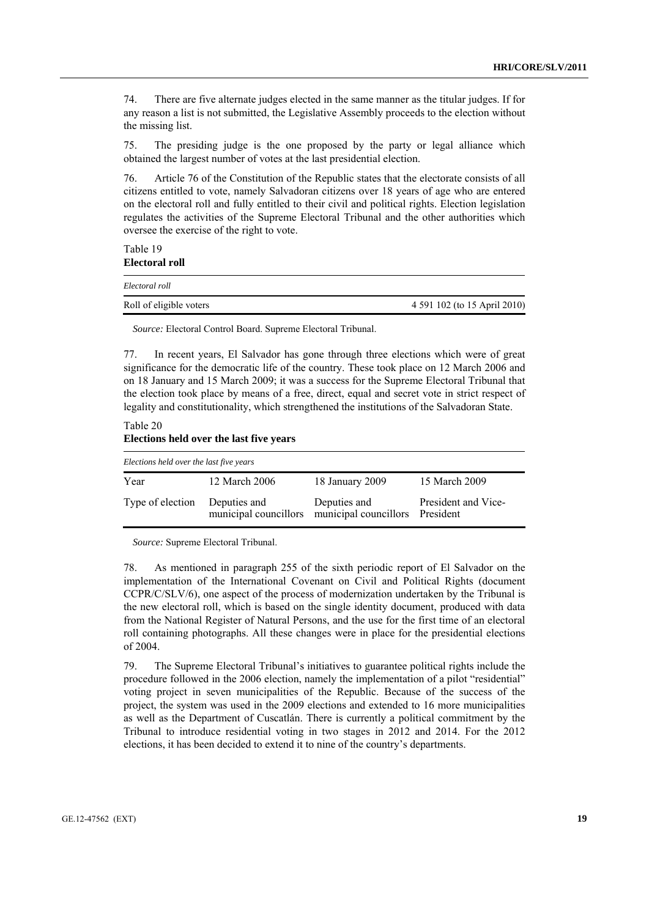74. There are five alternate judges elected in the same manner as the titular judges. If for any reason a list is not submitted, the Legislative Assembly proceeds to the election without the missing list.

75. The presiding judge is the one proposed by the party or legal alliance which obtained the largest number of votes at the last presidential election.

76. Article 76 of the Constitution of the Republic states that the electorate consists of all citizens entitled to vote, namely Salvadoran citizens over 18 years of age who are entered on the electoral roll and fully entitled to their civil and political rights. Election legislation regulates the activities of the Supreme Electoral Tribunal and the other authorities which oversee the exercise of the right to vote.

Table 19 **Electoral roll** 

| Electoral roll          |                              |
|-------------------------|------------------------------|
| Roll of eligible voters | 4 591 102 (to 15 April 2010) |

*Source:* Electoral Control Board. Supreme Electoral Tribunal.

77. In recent years, El Salvador has gone through three elections which were of great significance for the democratic life of the country. These took place on 12 March 2006 and on 18 January and 15 March 2009; it was a success for the Supreme Electoral Tribunal that the election took place by means of a free, direct, equal and secret vote in strict respect of legality and constitutionality, which strengthened the institutions of the Salvadoran State.

Table 20 **Elections held over the last five years** 

| Elections held over the last five years |               |                                                                       |                     |  |  |  |  |
|-----------------------------------------|---------------|-----------------------------------------------------------------------|---------------------|--|--|--|--|
| Year                                    | 12 March 2006 | 18 January 2009                                                       | 15 March 2009       |  |  |  |  |
| Type of election                        | Deputies and  | Deputies and<br>municipal councillors municipal councillors President | President and Vice- |  |  |  |  |

*Source:* Supreme Electoral Tribunal.

78. As mentioned in paragraph 255 of the sixth periodic report of El Salvador on the implementation of the International Covenant on Civil and Political Rights (document CCPR/C/SLV/6), one aspect of the process of modernization undertaken by the Tribunal is the new electoral roll, which is based on the single identity document, produced with data from the National Register of Natural Persons, and the use for the first time of an electoral roll containing photographs. All these changes were in place for the presidential elections of 2004.

79. The Supreme Electoral Tribunal's initiatives to guarantee political rights include the procedure followed in the 2006 election, namely the implementation of a pilot "residential" voting project in seven municipalities of the Republic. Because of the success of the project, the system was used in the 2009 elections and extended to 16 more municipalities as well as the Department of Cuscatlán. There is currently a political commitment by the Tribunal to introduce residential voting in two stages in 2012 and 2014. For the 2012 elections, it has been decided to extend it to nine of the country's departments.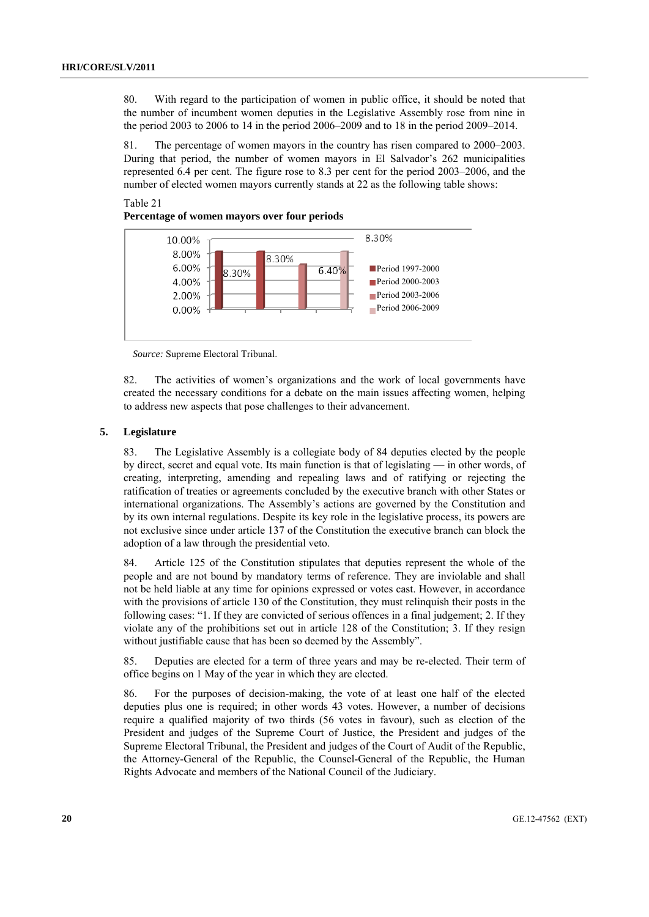80. With regard to the participation of women in public office, it should be noted that the number of incumbent women deputies in the Legislative Assembly rose from nine in the period 2003 to 2006 to 14 in the period 2006–2009 and to 18 in the period 2009–2014.

81. The percentage of women mayors in the country has risen compared to 2000–2003. During that period, the number of women mayors in El Salvador's 262 municipalities represented 6.4 per cent. The figure rose to 8.3 per cent for the period 2003–2006, and the number of elected women mayors currently stands at 22 as the following table shows:

## Table 21 **Percentage of women mayors over four periods**



*Source:* Supreme Electoral Tribunal.

82. The activities of women's organizations and the work of local governments have created the necessary conditions for a debate on the main issues affecting women, helping to address new aspects that pose challenges to their advancement.

### **5. Legislature**

83. The Legislative Assembly is a collegiate body of 84 deputies elected by the people by direct, secret and equal vote. Its main function is that of legislating — in other words, of creating, interpreting, amending and repealing laws and of ratifying or rejecting the ratification of treaties or agreements concluded by the executive branch with other States or international organizations. The Assembly's actions are governed by the Constitution and by its own internal regulations. Despite its key role in the legislative process, its powers are not exclusive since under article 137 of the Constitution the executive branch can block the adoption of a law through the presidential veto.

84. Article 125 of the Constitution stipulates that deputies represent the whole of the people and are not bound by mandatory terms of reference. They are inviolable and shall not be held liable at any time for opinions expressed or votes cast. However, in accordance with the provisions of article 130 of the Constitution, they must relinquish their posts in the following cases: "1. If they are convicted of serious offences in a final judgement; 2. If they violate any of the prohibitions set out in article 128 of the Constitution; 3. If they resign without justifiable cause that has been so deemed by the Assembly".

85. Deputies are elected for a term of three years and may be re-elected. Their term of office begins on 1 May of the year in which they are elected.

86. For the purposes of decision-making, the vote of at least one half of the elected deputies plus one is required; in other words 43 votes. However, a number of decisions require a qualified majority of two thirds (56 votes in favour), such as election of the President and judges of the Supreme Court of Justice, the President and judges of the Supreme Electoral Tribunal, the President and judges of the Court of Audit of the Republic, the Attorney-General of the Republic, the Counsel-General of the Republic, the Human Rights Advocate and members of the National Council of the Judiciary.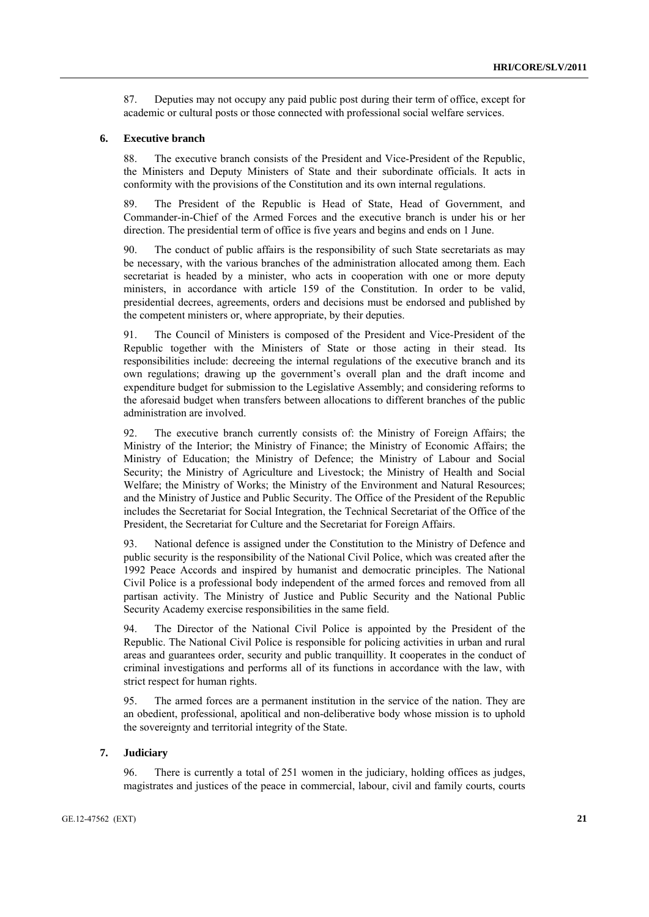87. Deputies may not occupy any paid public post during their term of office, except for academic or cultural posts or those connected with professional social welfare services.

#### **6. Executive branch**

88. The executive branch consists of the President and Vice-President of the Republic, the Ministers and Deputy Ministers of State and their subordinate officials. It acts in conformity with the provisions of the Constitution and its own internal regulations.

89. The President of the Republic is Head of State, Head of Government, and Commander-in-Chief of the Armed Forces and the executive branch is under his or her direction. The presidential term of office is five years and begins and ends on 1 June.

90. The conduct of public affairs is the responsibility of such State secretariats as may be necessary, with the various branches of the administration allocated among them. Each secretariat is headed by a minister, who acts in cooperation with one or more deputy ministers, in accordance with article 159 of the Constitution. In order to be valid, presidential decrees, agreements, orders and decisions must be endorsed and published by the competent ministers or, where appropriate, by their deputies.

91. The Council of Ministers is composed of the President and Vice-President of the Republic together with the Ministers of State or those acting in their stead. Its responsibilities include: decreeing the internal regulations of the executive branch and its own regulations; drawing up the government's overall plan and the draft income and expenditure budget for submission to the Legislative Assembly; and considering reforms to the aforesaid budget when transfers between allocations to different branches of the public administration are involved.

92. The executive branch currently consists of: the Ministry of Foreign Affairs; the Ministry of the Interior; the Ministry of Finance; the Ministry of Economic Affairs; the Ministry of Education; the Ministry of Defence; the Ministry of Labour and Social Security; the Ministry of Agriculture and Livestock; the Ministry of Health and Social Welfare; the Ministry of Works; the Ministry of the Environment and Natural Resources; and the Ministry of Justice and Public Security. The Office of the President of the Republic includes the Secretariat for Social Integration, the Technical Secretariat of the Office of the President, the Secretariat for Culture and the Secretariat for Foreign Affairs.

93. National defence is assigned under the Constitution to the Ministry of Defence and public security is the responsibility of the National Civil Police, which was created after the 1992 Peace Accords and inspired by humanist and democratic principles. The National Civil Police is a professional body independent of the armed forces and removed from all partisan activity. The Ministry of Justice and Public Security and the National Public Security Academy exercise responsibilities in the same field.

94. The Director of the National Civil Police is appointed by the President of the Republic. The National Civil Police is responsible for policing activities in urban and rural areas and guarantees order, security and public tranquillity. It cooperates in the conduct of criminal investigations and performs all of its functions in accordance with the law, with strict respect for human rights.

95. The armed forces are a permanent institution in the service of the nation. They are an obedient, professional, apolitical and non-deliberative body whose mission is to uphold the sovereignty and territorial integrity of the State.

#### **7. Judiciary**

96. There is currently a total of 251 women in the judiciary, holding offices as judges, magistrates and justices of the peace in commercial, labour, civil and family courts, courts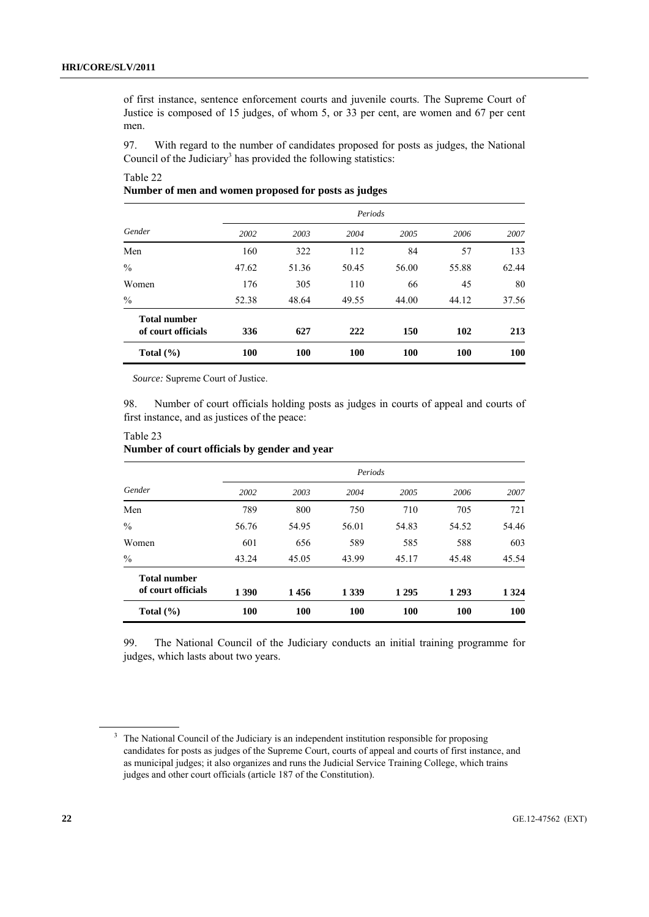of first instance, sentence enforcement courts and juvenile courts. The Supreme Court of Justice is composed of 15 judges, of whom 5, or 33 per cent, are women and 67 per cent men.

97. With regard to the number of candidates proposed for posts as judges, the National Council of the Judiciary<sup>3</sup> has provided the following statistics:

| Total $(\% )$                             | 100   | 100   | <b>100</b> | 100   | 100   | 100   |
|-------------------------------------------|-------|-------|------------|-------|-------|-------|
| <b>Total number</b><br>of court officials | 336   | 627   | 222        | 150   | 102   | 213   |
| $\frac{0}{0}$                             | 52.38 | 48.64 | 49.55      | 44.00 | 44.12 | 37.56 |
| Women                                     | 176   | 305   | 110        | 66    | 45    | 80    |
| $\frac{0}{0}$                             | 47.62 | 51.36 | 50.45      | 56.00 | 55.88 | 62.44 |
| Men                                       | 160   | 322   | 112        | 84    | 57    | 133   |
| Gender                                    | 2002  | 2003  | 2004       | 2005  | 2006  | 2007  |
|                                           |       |       | Periods    |       |       |       |

# Table 22 **Number of men and women proposed for posts as judges**

*Source:* Supreme Court of Justice.

98. Number of court officials holding posts as judges in courts of appeal and courts of first instance, and as justices of the peace:

|                                           |       |            | Periods |         |         |            |
|-------------------------------------------|-------|------------|---------|---------|---------|------------|
| Gender                                    | 2002  | 2003       | 2004    | 2005    | 2006    | 2007       |
| Men                                       | 789   | 800        | 750     | 710     | 705     | 721        |
| $\frac{0}{0}$                             | 56.76 | 54.95      | 56.01   | 54.83   | 54.52   | 54.46      |
| Women                                     | 601   | 656        | 589     | 585     | 588     | 603        |
| $\frac{0}{0}$                             | 43.24 | 45.05      | 43.99   | 45.17   | 45.48   | 45.54      |
| <b>Total number</b><br>of court officials | 1 390 | 1456       | 1 3 3 9 | 1 2 9 5 | 1 2 9 3 | 1 3 2 4    |
| Total $(\% )$                             | 100   | <b>100</b> | 100     | 100     | 100     | <b>100</b> |

# Table 23 **Number of court officials by gender and year**

99. The National Council of the Judiciary conducts an initial training programme for judges, which lasts about two years.

<sup>&</sup>lt;sup>3</sup> The National Council of the Judiciary is an independent institution responsible for proposing candidates for posts as judges of the Supreme Court, courts of appeal and courts of first instance, and as municipal judges; it also organizes and runs the Judicial Service Training College, which trains judges and other court officials (article 187 of the Constitution).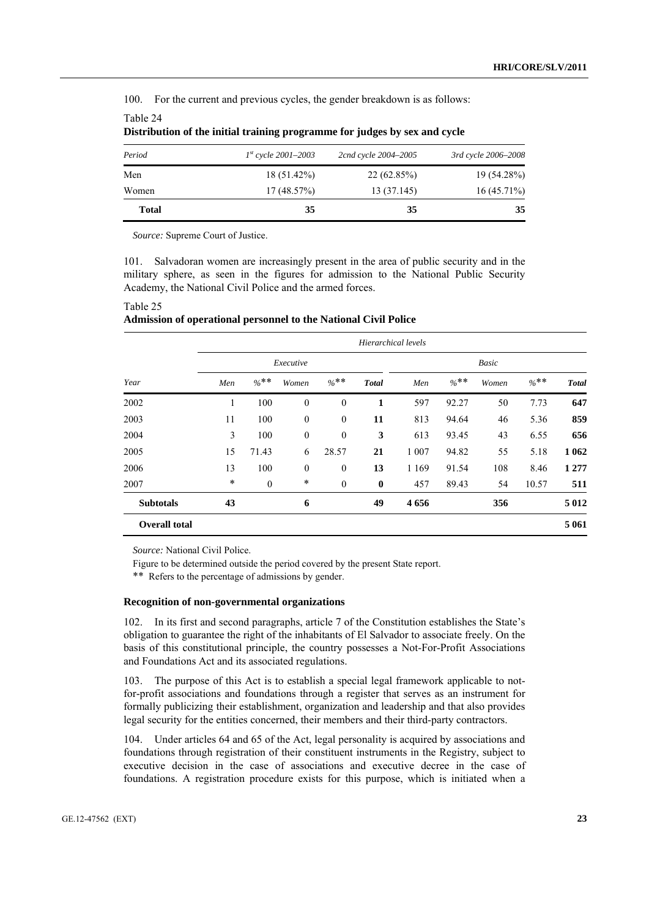100. For the current and previous cycles, the gender breakdown is as follows:

Table 24

| <b>Total</b> | 35                       | 35                   | 35                  |
|--------------|--------------------------|----------------------|---------------------|
| Women        | 17(48.57%)               | 13 (37.145)          | $16(45.71\%)$       |
| Men          | $18(51.42\%)$            | 22(62.85%)           | 19 (54.28%)         |
| Period       | $1^{st}$ cycle 2001–2003 | 2cnd cycle 2004-2005 | 3rd cycle 2006-2008 |

**Distribution of the initial training programme for judges by sex and cycle** 

*Source:* Supreme Court of Justice.

101. Salvadoran women are increasingly present in the area of public security and in the military sphere, as seen in the figures for admission to the National Public Security Academy, the National Civil Police and the armed forces.

|                      |        |                  |                  |                  | Hierarchical levels |         |         |       |         |              |
|----------------------|--------|------------------|------------------|------------------|---------------------|---------|---------|-------|---------|--------------|
|                      |        |                  | Executive        |                  |                     |         |         | Basic |         |              |
| Year                 | Men    | $\%$ **          | Women            | $\frac{6}{6}$ ** | <b>Total</b>        | Men     | $\%$ ** | Women | $\%$ ** | <b>Total</b> |
| 2002                 | 1      | 100              | $\boldsymbol{0}$ | $\mathbf{0}$     | 1                   | 597     | 92.27   | 50    | 7.73    | 647          |
| 2003                 | 11     | 100              | $\boldsymbol{0}$ | $\boldsymbol{0}$ | 11                  | 813     | 94.64   | 46    | 5.36    | 859          |
| 2004                 | 3      | 100              | $\boldsymbol{0}$ | $\mathbf{0}$     | 3                   | 613     | 93.45   | 43    | 6.55    | 656          |
| 2005                 | 15     | 71.43            | 6                | 28.57            | 21                  | 1 0 0 7 | 94.82   | 55    | 5.18    | 1 0 6 2      |
| 2006                 | 13     | 100              | $\boldsymbol{0}$ | $\boldsymbol{0}$ | 13                  | 1 1 6 9 | 91.54   | 108   | 8.46    | 1 2 7 7      |
| 2007                 | $\ast$ | $\boldsymbol{0}$ | $\ast$           | $\boldsymbol{0}$ | $\bf{0}$            | 457     | 89.43   | 54    | 10.57   | 511          |
| <b>Subtotals</b>     | 43     |                  | 6                |                  | 49                  | 4656    |         | 356   |         | 5 0 1 2      |
| <b>Overall total</b> |        |                  |                  |                  |                     |         |         |       |         | 5 0 6 1      |

# Table 25 **Admission of operational personnel to the National Civil Police**

*Source:* National Civil Police.

Figure to be determined outside the period covered by the present State report.

\*\* Refers to the percentage of admissions by gender.

#### **Recognition of non-governmental organizations**

102. In its first and second paragraphs, article 7 of the Constitution establishes the State's obligation to guarantee the right of the inhabitants of El Salvador to associate freely. On the basis of this constitutional principle, the country possesses a Not-For-Profit Associations and Foundations Act and its associated regulations.

103. The purpose of this Act is to establish a special legal framework applicable to notfor-profit associations and foundations through a register that serves as an instrument for formally publicizing their establishment, organization and leadership and that also provides legal security for the entities concerned, their members and their third-party contractors.

104. Under articles 64 and 65 of the Act, legal personality is acquired by associations and foundations through registration of their constituent instruments in the Registry, subject to executive decision in the case of associations and executive decree in the case of foundations. A registration procedure exists for this purpose, which is initiated when a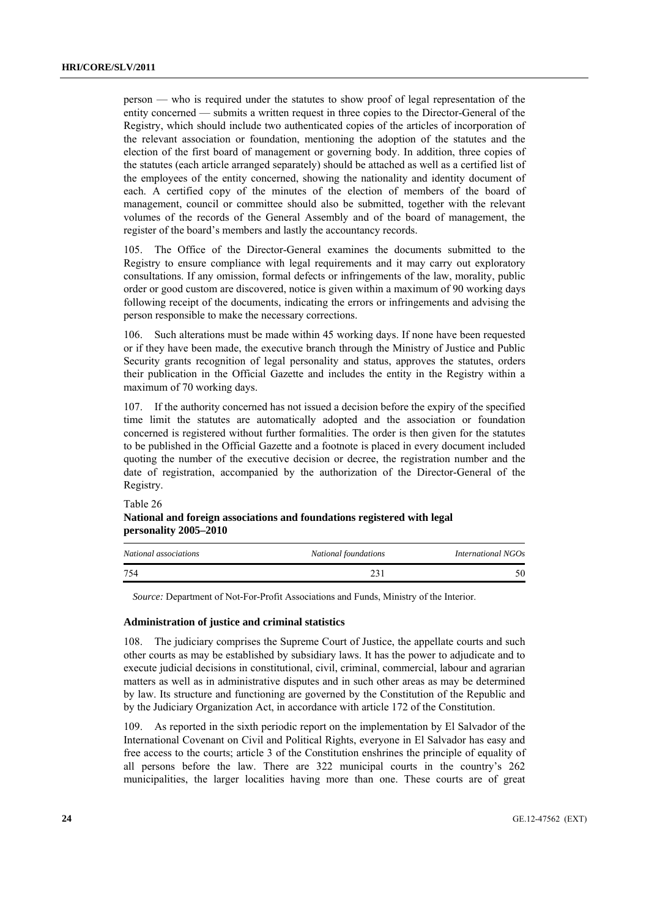person — who is required under the statutes to show proof of legal representation of the entity concerned — submits a written request in three copies to the Director-General of the Registry, which should include two authenticated copies of the articles of incorporation of the relevant association or foundation, mentioning the adoption of the statutes and the election of the first board of management or governing body. In addition, three copies of the statutes (each article arranged separately) should be attached as well as a certified list of the employees of the entity concerned, showing the nationality and identity document of each. A certified copy of the minutes of the election of members of the board of management, council or committee should also be submitted, together with the relevant volumes of the records of the General Assembly and of the board of management, the register of the board's members and lastly the accountancy records.

105. The Office of the Director-General examines the documents submitted to the Registry to ensure compliance with legal requirements and it may carry out exploratory consultations. If any omission, formal defects or infringements of the law, morality, public order or good custom are discovered, notice is given within a maximum of 90 working days following receipt of the documents, indicating the errors or infringements and advising the person responsible to make the necessary corrections.

106. Such alterations must be made within 45 working days. If none have been requested or if they have been made, the executive branch through the Ministry of Justice and Public Security grants recognition of legal personality and status, approves the statutes, orders their publication in the Official Gazette and includes the entity in the Registry within a maximum of 70 working days.

107. If the authority concerned has not issued a decision before the expiry of the specified time limit the statutes are automatically adopted and the association or foundation concerned is registered without further formalities. The order is then given for the statutes to be published in the Official Gazette and a footnote is placed in every document included quoting the number of the executive decision or decree, the registration number and the date of registration, accompanied by the authorization of the Director-General of the Registry.

| National and foreign associations and foundations registered with legal |  |
|-------------------------------------------------------------------------|--|
| personality 2005–2010                                                   |  |

| National associations | National foundations | International NGOs |
|-----------------------|----------------------|--------------------|
| 754                   |                      | 50                 |

*Source:* Department of Not-For-Profit Associations and Funds, Ministry of the Interior.

#### **Administration of justice and criminal statistics**

Table 26

108. The judiciary comprises the Supreme Court of Justice, the appellate courts and such other courts as may be established by subsidiary laws. It has the power to adjudicate and to execute judicial decisions in constitutional, civil, criminal, commercial, labour and agrarian matters as well as in administrative disputes and in such other areas as may be determined by law. Its structure and functioning are governed by the Constitution of the Republic and by the Judiciary Organization Act, in accordance with article 172 of the Constitution.

109. As reported in the sixth periodic report on the implementation by El Salvador of the International Covenant on Civil and Political Rights, everyone in El Salvador has easy and free access to the courts; article 3 of the Constitution enshrines the principle of equality of all persons before the law. There are 322 municipal courts in the country's 262 municipalities, the larger localities having more than one. These courts are of great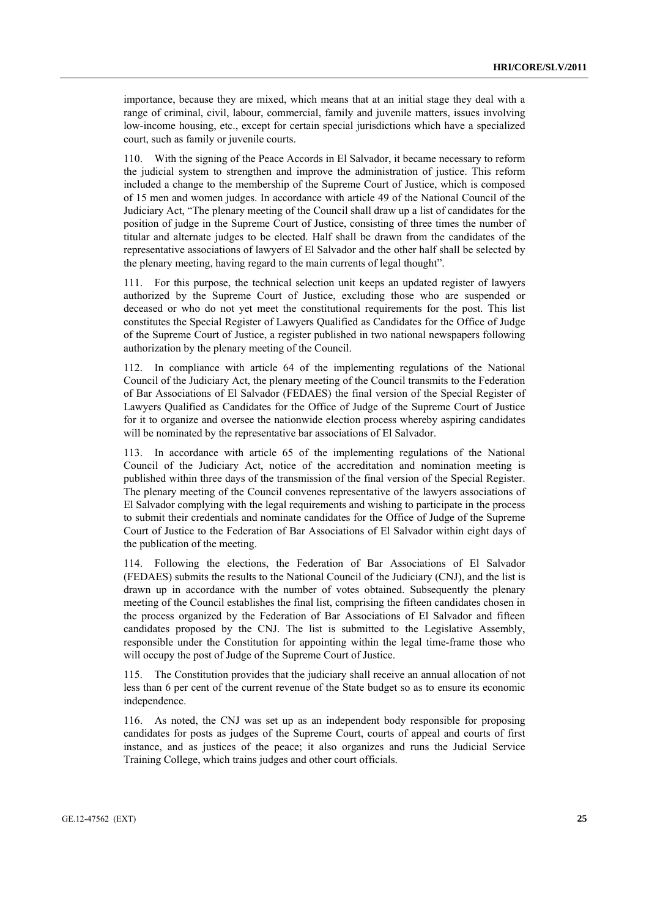importance, because they are mixed, which means that at an initial stage they deal with a range of criminal, civil, labour, commercial, family and juvenile matters, issues involving low-income housing, etc., except for certain special jurisdictions which have a specialized court, such as family or juvenile courts.

110. With the signing of the Peace Accords in El Salvador, it became necessary to reform the judicial system to strengthen and improve the administration of justice. This reform included a change to the membership of the Supreme Court of Justice, which is composed of 15 men and women judges. In accordance with article 49 of the National Council of the Judiciary Act, "The plenary meeting of the Council shall draw up a list of candidates for the position of judge in the Supreme Court of Justice, consisting of three times the number of titular and alternate judges to be elected. Half shall be drawn from the candidates of the representative associations of lawyers of El Salvador and the other half shall be selected by the plenary meeting, having regard to the main currents of legal thought".

111. For this purpose, the technical selection unit keeps an updated register of lawyers authorized by the Supreme Court of Justice, excluding those who are suspended or deceased or who do not yet meet the constitutional requirements for the post. This list constitutes the Special Register of Lawyers Qualified as Candidates for the Office of Judge of the Supreme Court of Justice, a register published in two national newspapers following authorization by the plenary meeting of the Council.

112. In compliance with article 64 of the implementing regulations of the National Council of the Judiciary Act, the plenary meeting of the Council transmits to the Federation of Bar Associations of El Salvador (FEDAES) the final version of the Special Register of Lawyers Qualified as Candidates for the Office of Judge of the Supreme Court of Justice for it to organize and oversee the nationwide election process whereby aspiring candidates will be nominated by the representative bar associations of El Salvador.

113. In accordance with article 65 of the implementing regulations of the National Council of the Judiciary Act, notice of the accreditation and nomination meeting is published within three days of the transmission of the final version of the Special Register. The plenary meeting of the Council convenes representative of the lawyers associations of El Salvador complying with the legal requirements and wishing to participate in the process to submit their credentials and nominate candidates for the Office of Judge of the Supreme Court of Justice to the Federation of Bar Associations of El Salvador within eight days of the publication of the meeting.

114. Following the elections, the Federation of Bar Associations of El Salvador (FEDAES) submits the results to the National Council of the Judiciary (CNJ), and the list is drawn up in accordance with the number of votes obtained. Subsequently the plenary meeting of the Council establishes the final list, comprising the fifteen candidates chosen in the process organized by the Federation of Bar Associations of El Salvador and fifteen candidates proposed by the CNJ. The list is submitted to the Legislative Assembly, responsible under the Constitution for appointing within the legal time-frame those who will occupy the post of Judge of the Supreme Court of Justice.

115. The Constitution provides that the judiciary shall receive an annual allocation of not less than 6 per cent of the current revenue of the State budget so as to ensure its economic independence.

116. As noted, the CNJ was set up as an independent body responsible for proposing candidates for posts as judges of the Supreme Court, courts of appeal and courts of first instance, and as justices of the peace; it also organizes and runs the Judicial Service Training College, which trains judges and other court officials.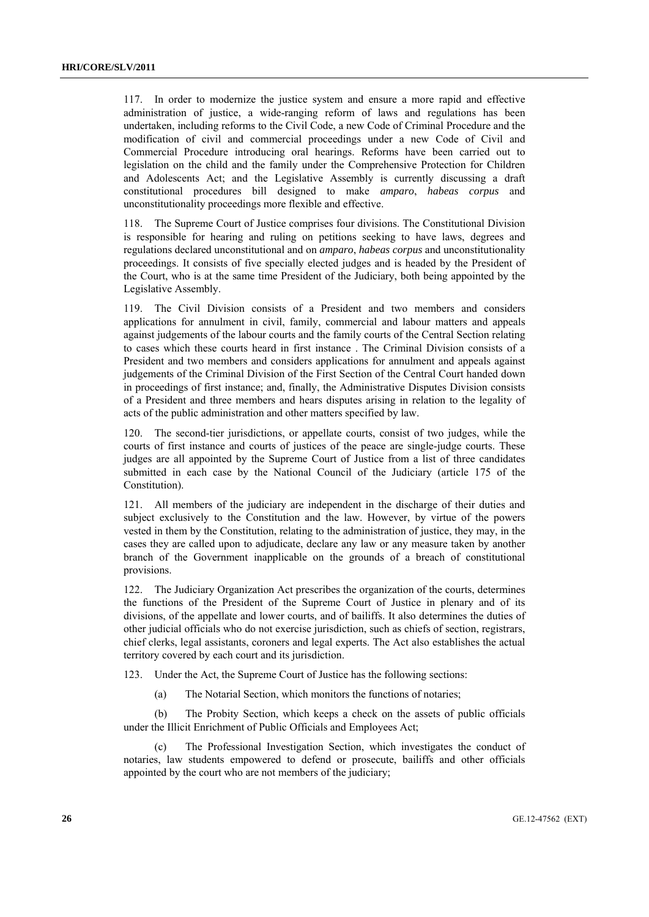117. In order to modernize the justice system and ensure a more rapid and effective administration of justice, a wide-ranging reform of laws and regulations has been undertaken, including reforms to the Civil Code, a new Code of Criminal Procedure and the modification of civil and commercial proceedings under a new Code of Civil and Commercial Procedure introducing oral hearings. Reforms have been carried out to legislation on the child and the family under the Comprehensive Protection for Children and Adolescents Act; and the Legislative Assembly is currently discussing a draft constitutional procedures bill designed to make *amparo*, *habeas corpus* and unconstitutionality proceedings more flexible and effective.

118. The Supreme Court of Justice comprises four divisions. The Constitutional Division is responsible for hearing and ruling on petitions seeking to have laws, degrees and regulations declared unconstitutional and on *amparo*, *habeas corpus* and unconstitutionality proceedings. It consists of five specially elected judges and is headed by the President of the Court, who is at the same time President of the Judiciary, both being appointed by the Legislative Assembly.

119. The Civil Division consists of a President and two members and considers applications for annulment in civil, family, commercial and labour matters and appeals against judgements of the labour courts and the family courts of the Central Section relating to cases which these courts heard in first instance . The Criminal Division consists of a President and two members and considers applications for annulment and appeals against judgements of the Criminal Division of the First Section of the Central Court handed down in proceedings of first instance; and, finally, the Administrative Disputes Division consists of a President and three members and hears disputes arising in relation to the legality of acts of the public administration and other matters specified by law.

120. The second-tier jurisdictions, or appellate courts, consist of two judges, while the courts of first instance and courts of justices of the peace are single-judge courts. These judges are all appointed by the Supreme Court of Justice from a list of three candidates submitted in each case by the National Council of the Judiciary (article 175 of the Constitution).

121. All members of the judiciary are independent in the discharge of their duties and subject exclusively to the Constitution and the law. However, by virtue of the powers vested in them by the Constitution, relating to the administration of justice, they may, in the cases they are called upon to adjudicate, declare any law or any measure taken by another branch of the Government inapplicable on the grounds of a breach of constitutional provisions.

122. The Judiciary Organization Act prescribes the organization of the courts, determines the functions of the President of the Supreme Court of Justice in plenary and of its divisions, of the appellate and lower courts, and of bailiffs. It also determines the duties of other judicial officials who do not exercise jurisdiction, such as chiefs of section, registrars, chief clerks, legal assistants, coroners and legal experts. The Act also establishes the actual territory covered by each court and its jurisdiction.

123. Under the Act, the Supreme Court of Justice has the following sections:

(a) The Notarial Section, which monitors the functions of notaries;

 (b) The Probity Section, which keeps a check on the assets of public officials under the Illicit Enrichment of Public Officials and Employees Act;

 (c) The Professional Investigation Section, which investigates the conduct of notaries, law students empowered to defend or prosecute, bailiffs and other officials appointed by the court who are not members of the judiciary;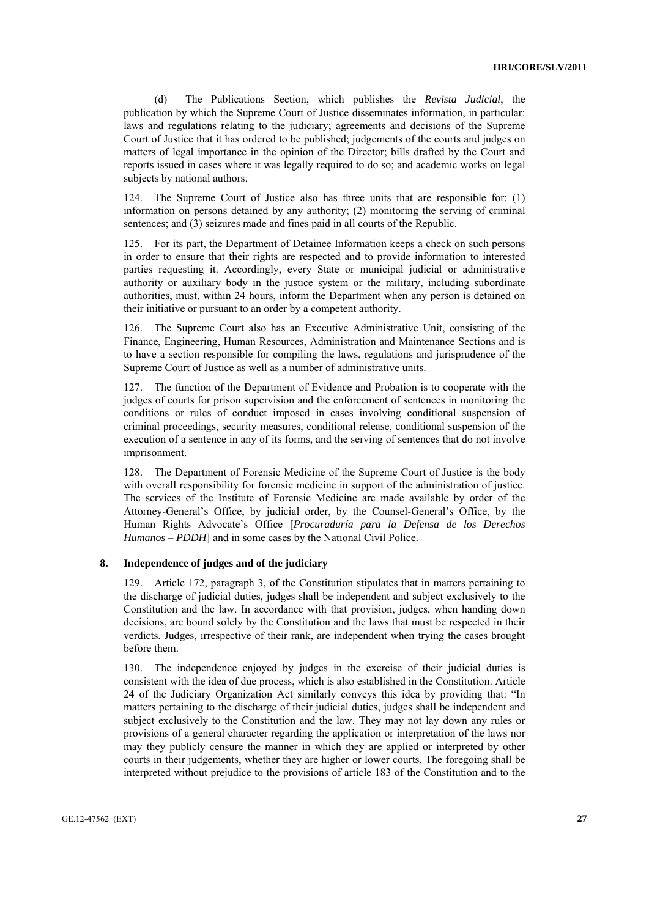(d) The Publications Section, which publishes the *Revista Judicial*, the publication by which the Supreme Court of Justice disseminates information, in particular: laws and regulations relating to the judiciary; agreements and decisions of the Supreme Court of Justice that it has ordered to be published; judgements of the courts and judges on matters of legal importance in the opinion of the Director; bills drafted by the Court and reports issued in cases where it was legally required to do so; and academic works on legal subjects by national authors.

124. The Supreme Court of Justice also has three units that are responsible for: (1) information on persons detained by any authority; (2) monitoring the serving of criminal sentences; and (3) seizures made and fines paid in all courts of the Republic.

125. For its part, the Department of Detainee Information keeps a check on such persons in order to ensure that their rights are respected and to provide information to interested parties requesting it. Accordingly, every State or municipal judicial or administrative authority or auxiliary body in the justice system or the military, including subordinate authorities, must, within 24 hours, inform the Department when any person is detained on their initiative or pursuant to an order by a competent authority.

126. The Supreme Court also has an Executive Administrative Unit, consisting of the Finance, Engineering, Human Resources, Administration and Maintenance Sections and is to have a section responsible for compiling the laws, regulations and jurisprudence of the Supreme Court of Justice as well as a number of administrative units.

127. The function of the Department of Evidence and Probation is to cooperate with the judges of courts for prison supervision and the enforcement of sentences in monitoring the conditions or rules of conduct imposed in cases involving conditional suspension of criminal proceedings, security measures, conditional release, conditional suspension of the execution of a sentence in any of its forms, and the serving of sentences that do not involve imprisonment.

128. The Department of Forensic Medicine of the Supreme Court of Justice is the body with overall responsibility for forensic medicine in support of the administration of justice. The services of the Institute of Forensic Medicine are made available by order of the Attorney-General's Office, by judicial order, by the Counsel-General's Office, by the Human Rights Advocate's Office [*Procuraduría para la Defensa de los Derechos Humanos – PDDH*] and in some cases by the National Civil Police.

#### **8. Independence of judges and of the judiciary**

129. Article 172, paragraph 3, of the Constitution stipulates that in matters pertaining to the discharge of judicial duties, judges shall be independent and subject exclusively to the Constitution and the law. In accordance with that provision, judges, when handing down decisions, are bound solely by the Constitution and the laws that must be respected in their verdicts. Judges, irrespective of their rank, are independent when trying the cases brought before them.

130. The independence enjoyed by judges in the exercise of their judicial duties is consistent with the idea of due process, which is also established in the Constitution. Article 24 of the Judiciary Organization Act similarly conveys this idea by providing that: "In matters pertaining to the discharge of their judicial duties, judges shall be independent and subject exclusively to the Constitution and the law. They may not lay down any rules or provisions of a general character regarding the application or interpretation of the laws nor may they publicly censure the manner in which they are applied or interpreted by other courts in their judgements, whether they are higher or lower courts. The foregoing shall be interpreted without prejudice to the provisions of article 183 of the Constitution and to the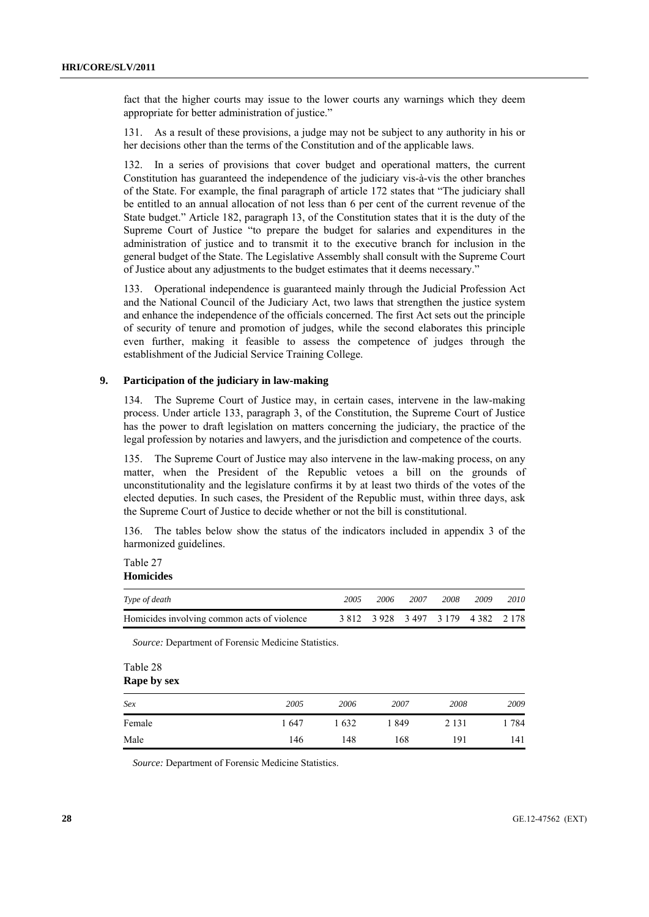fact that the higher courts may issue to the lower courts any warnings which they deem appropriate for better administration of justice."

131. As a result of these provisions, a judge may not be subject to any authority in his or her decisions other than the terms of the Constitution and of the applicable laws.

132. In a series of provisions that cover budget and operational matters, the current Constitution has guaranteed the independence of the judiciary vis-à-vis the other branches of the State. For example, the final paragraph of article 172 states that "The judiciary shall be entitled to an annual allocation of not less than 6 per cent of the current revenue of the State budget." Article 182, paragraph 13, of the Constitution states that it is the duty of the Supreme Court of Justice "to prepare the budget for salaries and expenditures in the administration of justice and to transmit it to the executive branch for inclusion in the general budget of the State. The Legislative Assembly shall consult with the Supreme Court of Justice about any adjustments to the budget estimates that it deems necessary."

133. Operational independence is guaranteed mainly through the Judicial Profession Act and the National Council of the Judiciary Act, two laws that strengthen the justice system and enhance the independence of the officials concerned. The first Act sets out the principle of security of tenure and promotion of judges, while the second elaborates this principle even further, making it feasible to assess the competence of judges through the establishment of the Judicial Service Training College.

# **9. Participation of the judiciary in law-making**

134. The Supreme Court of Justice may, in certain cases, intervene in the law-making process. Under article 133, paragraph 3, of the Constitution, the Supreme Court of Justice has the power to draft legislation on matters concerning the judiciary, the practice of the legal profession by notaries and lawyers, and the jurisdiction and competence of the courts.

135. The Supreme Court of Justice may also intervene in the law-making process, on any matter, when the President of the Republic vetoes a bill on the grounds of unconstitutionality and the legislature confirms it by at least two thirds of the votes of the elected deputies. In such cases, the President of the Republic must, within three days, ask the Supreme Court of Justice to decide whether or not the bill is constitutional.

136. The tables below show the status of the indicators included in appendix 3 of the harmonized guidelines.

Table 27 **Homicides** 

| Type of death                               | 2005 | 2006 | 2007                                | 2008 | 2009 | 2010 |
|---------------------------------------------|------|------|-------------------------------------|------|------|------|
| Homicides involving common acts of violence |      |      | 3 812 3 928 3 497 3 179 4 382 2 178 |      |      |      |

*Source:* Department of Forensic Medicine Statistics.

| Table 28 |  |
|----------|--|
|----------|--|

| Sex    | 2005  | 2006  | 2007 | 2008    | 2009 |
|--------|-------|-------|------|---------|------|
| Female | 1 647 | l 632 | 1849 | 2 1 3 1 | 784  |
| Male   | 146   | 148   | 168  | 191     | 141  |

*Source:* Department of Forensic Medicine Statistics.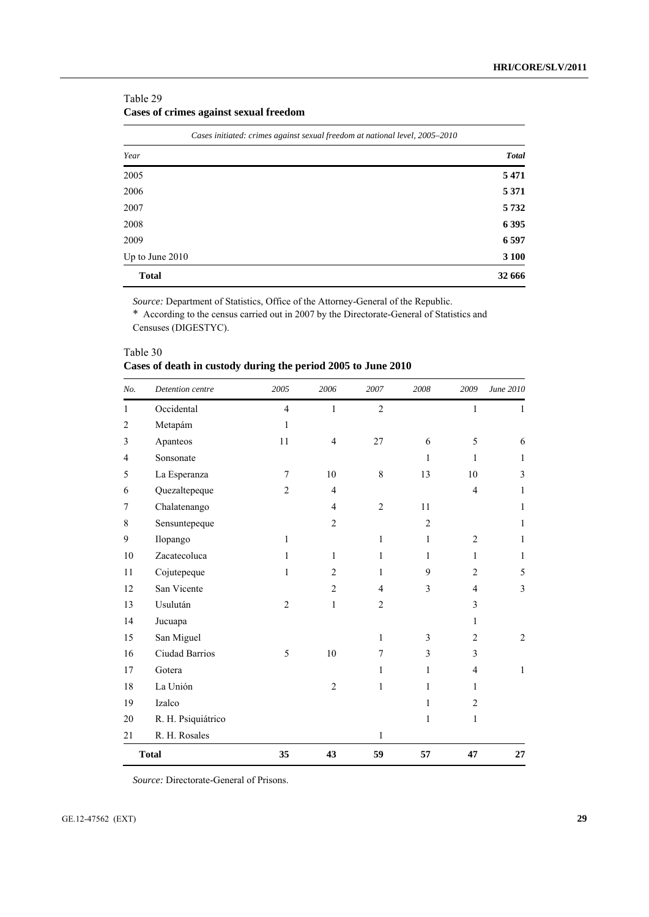# Table 29 **Cases of crimes against sexual freedom**

|                 | Cases initiated: crimes against sexual freedom at national level, 2005-2010 |
|-----------------|-----------------------------------------------------------------------------|
| Year            | <b>Total</b>                                                                |
| 2005            | 5 4 7 1                                                                     |
| 2006            | 5 3 7 1                                                                     |
| 2007            | 5732                                                                        |
| 2008            | 6 3 9 5                                                                     |
| 2009            | 6 5 9 7                                                                     |
| Up to June 2010 | 3 100                                                                       |
| <b>Total</b>    | 32 666                                                                      |

*Source:* Department of Statistics, Office of the Attorney-General of the Republic.

\* According to the census carried out in 2007 by the Directorate-General of Statistics and Censuses (DIGESTYC).

| No.            | Detention centre   | 2005           | 2006           | 2007           | 2008           | 2009           | June 2010 |
|----------------|--------------------|----------------|----------------|----------------|----------------|----------------|-----------|
| 1              | Occidental         | $\overline{4}$ | 1              | $\overline{2}$ |                | $\mathbf{1}$   | 1         |
| $\overline{c}$ | Metapám            | $\mathbf{1}$   |                |                |                |                |           |
| 3              | Apanteos           | 11             | $\overline{4}$ | 27             | 6              | 5              | 6         |
| 4              | Sonsonate          |                |                |                | $\mathbf{1}$   | 1              | 1         |
| 5              | La Esperanza       | 7              | 10             | 8              | 13             | 10             | 3         |
| 6              | Quezaltepeque      | $\overline{2}$ | $\overline{4}$ |                |                | $\overline{4}$ | 1         |
| 7              | Chalatenango       |                | $\overline{4}$ | $\overline{2}$ | 11             |                | 1         |
| 8              | Sensuntepeque      |                | $\overline{2}$ |                | $\overline{2}$ |                | 1         |
| 9              | Ilopango           | $\mathbf{1}$   |                | $\mathbf{1}$   | $\mathbf{1}$   | $\overline{c}$ | 1         |
| 10             | Zacatecoluca       | 1              | 1              | 1              | 1              | $\mathbf{1}$   | 1         |
| 11             | Cojutepeque        | $\mathbf{1}$   | 2              | $\mathbf{1}$   | 9              | $\overline{c}$ | 5         |
| 12             | San Vicente        |                | $\overline{c}$ | $\overline{4}$ | 3              | $\overline{4}$ | 3         |
| 13             | Usulután           | $\overline{2}$ | $\mathbf{1}$   | $\overline{c}$ |                | 3              |           |
| 14             | Jucuapa            |                |                |                |                | 1              |           |
| 15             | San Miguel         |                |                | $\mathbf{1}$   | 3              | $\overline{c}$ | 2         |
| 16             | Ciudad Barrios     | 5              | 10             | 7              | 3              | 3              |           |
| 17             | Gotera             |                |                | 1              | 1              | $\overline{4}$ | 1         |
| 18             | La Unión           |                | $\overline{2}$ | 1              | 1              | 1              |           |
| 19             | Izalco             |                |                |                | 1              | $\overline{c}$ |           |
| 20             | R. H. Psiquiátrico |                |                |                | $\mathbf{1}$   | $\mathbf{1}$   |           |
| 21             | R. H. Rosales      |                |                | 1              |                |                |           |
|                | <b>Total</b>       | 35             | 43             | 59             | 57             | 47             | 27        |

| Table 30                                                      |  |  |
|---------------------------------------------------------------|--|--|
| Cases of death in custody during the period 2005 to June 2010 |  |  |

*Source:* Directorate-General of Prisons.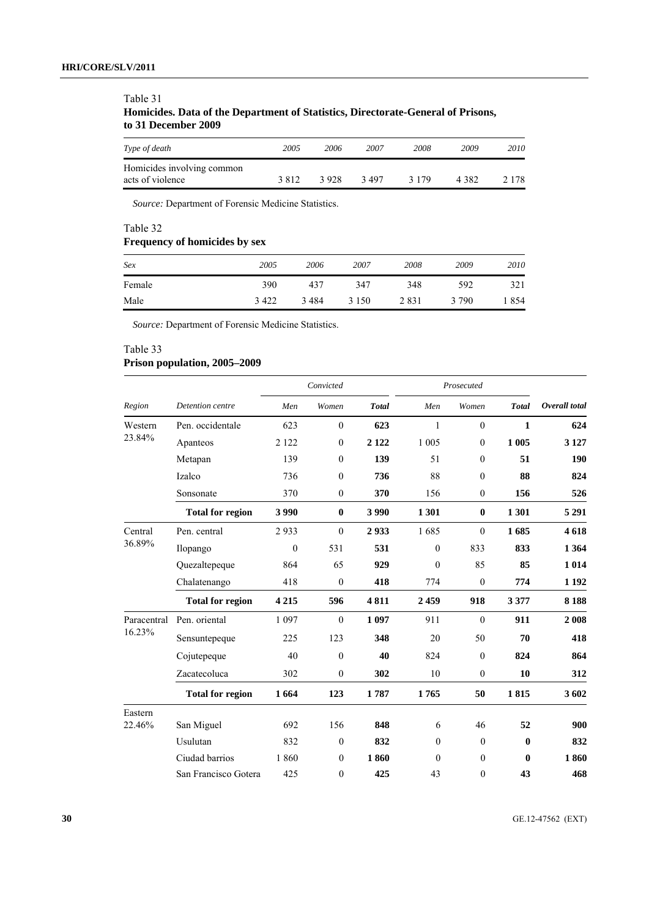| Trompetition Dans of the Department of Distributor Different Sentence of Fribonic<br>to 31 December 2009 |      |      |      |      |      |     |
|----------------------------------------------------------------------------------------------------------|------|------|------|------|------|-----|
| Type of death                                                                                            | 2005 | 2006 | 2007 | 2008 | 2009 | 20. |
|                                                                                                          |      |      |      |      |      |     |

| Table 31                                                                         |
|----------------------------------------------------------------------------------|
| Homicides. Data of the Department of Statistics, Directorate-General of Prisons, |
| to 31 December 2009                                                              |

| Type of death                                  | 2005  | 2006  | 2007  | 2008    | 2009    | 2010    |
|------------------------------------------------|-------|-------|-------|---------|---------|---------|
| Homicides involving common<br>acts of violence | 3.812 | 3.928 | 3.497 | 3 1 7 9 | 4 3 8 2 | 2 1 7 8 |

*Source:* Department of Forensic Medicine Statistics.

# Table 32 **Frequency of homicides by sex**

| Sex    | 2005    | 2006  | 2007    | 2008 | 2009    | 2010 |
|--------|---------|-------|---------|------|---------|------|
| Female | 390     | 437   | 347     | 348  | 592     | 321  |
| Male   | 3 4 2 2 | 3 484 | 3 1 5 0 | 2831 | 3 7 9 0 | 1854 |

*Source:* Department of Forensic Medicine Statistics.

# Table 33 **Prison population, 2005–2009**

|             | Detention centre        | Convicted    |                  |              | Prosecuted   |                  |              |               |
|-------------|-------------------------|--------------|------------------|--------------|--------------|------------------|--------------|---------------|
| Region      |                         | Men          | Women            | <b>Total</b> | Men          | Women            | <b>Total</b> | Overall total |
| Western     | Pen. occidentale        | 623          | $\boldsymbol{0}$ | 623          | $\mathbf{1}$ | $\boldsymbol{0}$ | $\mathbf{1}$ | 624           |
| 23.84%      | Apanteos                | 2 1 2 2      | $\theta$         | 2 1 2 2      | 1 0 0 5      | $\theta$         | 1 005        | 3 1 2 7       |
|             | Metapan                 | 139          | $\theta$         | 139          | 51           | $\theta$         | 51           | 190           |
|             | Izalco                  | 736          | $\mathbf{0}$     | 736          | 88           | $\mathbf{0}$     | 88           | 824           |
|             | Sonsonate               | 370          | $\mathbf{0}$     | 370          | 156          | $\mathbf{0}$     | 156          | 526           |
|             | <b>Total for region</b> | 3990         | $\bf{0}$         | 3990         | 1 3 0 1      | $\bf{0}$         | 1 301        | 5 2 9 1       |
| Central     | Pen. central            | 2933         | $\mathbf{0}$     | 2933         | 1685         | $\mathbf{0}$     | 1685         | 4618          |
| 36.89%      | Ilopango                | $\mathbf{0}$ | 531              | 531          | $\mathbf{0}$ | 833              | 833          | 1 3 6 4       |
|             | Quezaltepeque           | 864          | 65               | 929          | $\theta$     | 85               | 85           | 1 0 1 4       |
|             | Chalatenango            | 418          | $\boldsymbol{0}$ | 418          | 774          | $\boldsymbol{0}$ | 774          | 1 1 9 2       |
|             | <b>Total for region</b> | 4 2 1 5      | 596              | 4811         | 2459         | 918              | 3 3 7 7      | 8 1 8 8       |
| Paracentral | Pen. oriental           | 1 0 9 7      | $\mathbf{0}$     | 1 0 9 7      | 911          | $\mathbf{0}$     | 911          | 2 0 0 8       |
| 16.23%      | Sensuntepeque           | 225          | 123              | 348          | 20           | 50               | 70           | 418           |
|             | Cojutepeque             | 40           | $\mathbf{0}$     | 40           | 824          | $\mathbf{0}$     | 824          | 864           |
|             | Zacatecoluca            | 302          | $\mathbf{0}$     | 302          | 10           | $\mathbf{0}$     | 10           | 312           |
|             | <b>Total for region</b> | 1664         | 123              | 1787         | 1765         | 50               | 1815         | 3602          |
| Eastern     |                         |              |                  |              |              |                  |              |               |
| 22.46%      | San Miguel              | 692          | 156              | 848          | 6            | 46               | 52           | 900           |
|             | Usulutan                | 832          | $\mathbf{0}$     | 832          | $\theta$     | $\theta$         | $\mathbf{0}$ | 832           |
|             | Ciudad barrios          | 1860         | $\theta$         | 1860         | $\theta$     | $\mathbf{0}$     | $\bf{0}$     | 1860          |
|             | San Francisco Gotera    | 425          | 0                | 425          | 43           | $\mathbf{0}$     | 43           | 468           |

**30** GE.12-47562 (EXT)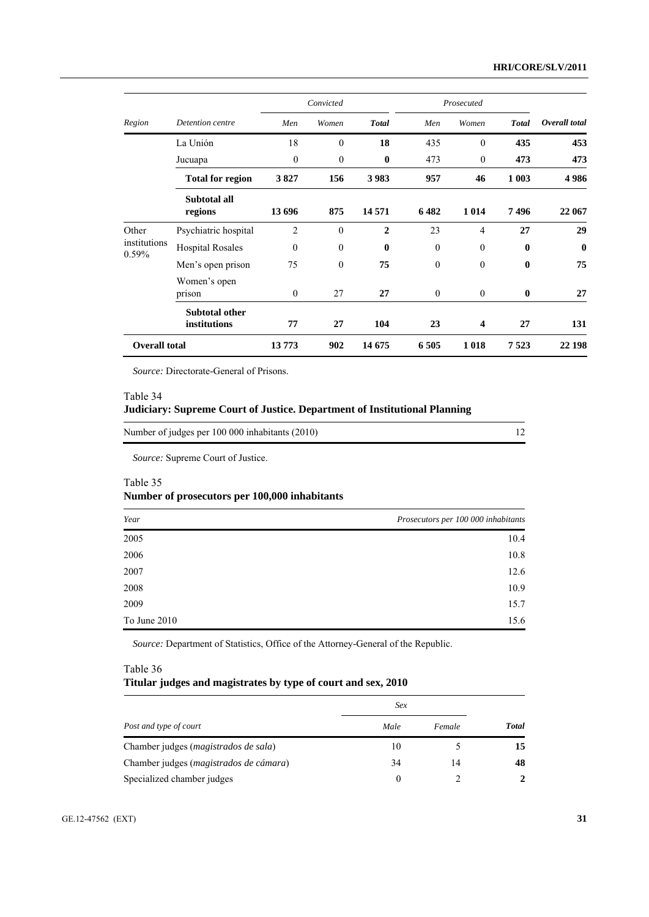|                       |                                       | Convicted      |                  | Prosecuted     |                  |                |              |               |
|-----------------------|---------------------------------------|----------------|------------------|----------------|------------------|----------------|--------------|---------------|
| Region                | Detention centre                      | Men            | Women            | <b>Total</b>   | Men              | Women          | <b>Total</b> | Overall total |
|                       | La Unión                              | 18             | $\boldsymbol{0}$ | 18             | 435              | $\theta$       | 435          | 453           |
|                       | Jucuapa                               | $\mathbf{0}$   | $\mathbf{0}$     | $\bf{0}$       | 473              | $\overline{0}$ | 473          | 473           |
|                       | <b>Total for region</b>               | 3827           | 156              | 3983           | 957              | 46             | 1 0 0 3      | 4986          |
|                       | Subtotal all<br>regions               | 13 696         | 875              | 14 5 71        | 6482             | 1 0 1 4        | 7496         | 22 067        |
| Other<br>institutions | Psychiatric hospital                  | $\overline{2}$ | $\mathbf{0}$     | $\overline{2}$ | 23               | $\overline{4}$ | 27           | 29            |
|                       | <b>Hospital Rosales</b>               | $\theta$       | $\theta$         | $\mathbf{0}$   | $\Omega$         | $\theta$       | $\mathbf{0}$ | $\bf{0}$      |
| 0.59%                 | Men's open prison                     | 75             | $\theta$         | 75             | $\boldsymbol{0}$ | $\mathbf{0}$   | $\bf{0}$     | 75            |
|                       | Women's open<br>prison                | $\theta$       | 27               | 27             | $\theta$         | $\mathbf{0}$   | $\bf{0}$     | 27            |
|                       | <b>Subtotal other</b><br>institutions | 77             | 27               | 104            | 23               | 4              | 27           | 131           |
| <b>Overall total</b>  |                                       | 13773          | 902              | 14 675         | 6505             | 1018           | 7523         | 22 198        |

*Source:* Directorate-General of Prisons.

## Table 34

## **Judiciary: Supreme Court of Justice. Department of Institutional Planning**

| Number of judges per 100 000 inhabitants (2010) |  |
|-------------------------------------------------|--|
|-------------------------------------------------|--|

*Source:* Supreme Court of Justice.

## Table 35

# **Number of prosecutors per 100,000 inhabitants**

| Year         | Prosecutors per 100 000 inhabitants |
|--------------|-------------------------------------|
| 2005         | 10.4                                |
| 2006         | 10.8                                |
| 2007         | 12.6                                |
| 2008         | 10.9                                |
| 2009         | 15.7                                |
| To June 2010 | 15.6                                |

*Source:* Department of Statistics, Office of the Attorney-General of the Republic.

# Table 36 **Titular judges and magistrates by type of court and sex, 2010**

|                                               | Sex      |        |              |  |
|-----------------------------------------------|----------|--------|--------------|--|
| Post and type of court                        | Male     | Female | <b>Total</b> |  |
| Chamber judges ( <i>magistrados de sala</i> ) | 10       |        | 15           |  |
| Chamber judges (magistrados de cámara)        | 34       | 14     | 48           |  |
| Specialized chamber judges                    | $\theta$ |        | 2            |  |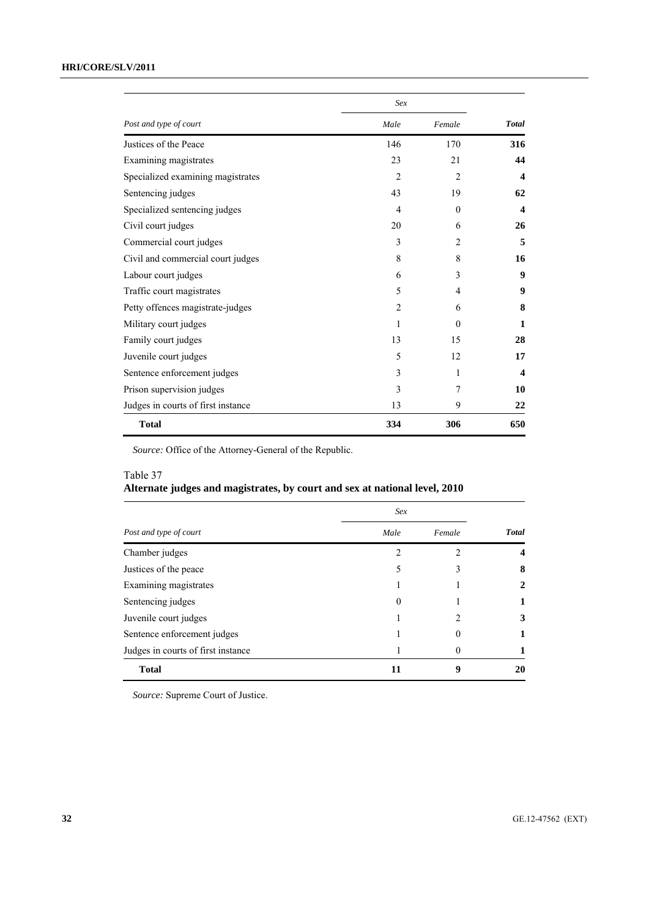# **HRI/CORE/SLV/2011**

|                                    | Sex            |                |                         |  |
|------------------------------------|----------------|----------------|-------------------------|--|
| Post and type of court             | Male           | Female         | <b>Total</b>            |  |
| Justices of the Peace              | 146            | 170            | 316                     |  |
| Examining magistrates              | 23             | 21             | 44                      |  |
| Specialized examining magistrates  | $\overline{2}$ | $\mathfrak{D}$ | $\boldsymbol{4}$        |  |
| Sentencing judges                  | 43             | 19             | 62                      |  |
| Specialized sentencing judges      | 4              | $\Omega$       | $\overline{\mathbf{4}}$ |  |
| Civil court judges                 | 20             | 6              | 26                      |  |
| Commercial court judges            | 3              | $\mathfrak{D}$ | 5                       |  |
| Civil and commercial court judges  | 8              | 8              | 16                      |  |
| Labour court judges                | 6              | 3              | 9                       |  |
| Traffic court magistrates          | 5              | 4              | 9                       |  |
| Petty offences magistrate-judges   | $\overline{2}$ | 6              | 8                       |  |
| Military court judges              | 1              | $\Omega$       | 1                       |  |
| Family court judges                | 13             | 15             | 28                      |  |
| Juvenile court judges              | 5              | 12             | 17                      |  |
| Sentence enforcement judges        | 3              | 1              | $\overline{\mathbf{4}}$ |  |
| Prison supervision judges          | 3              | 7              | 10                      |  |
| Judges in courts of first instance | 13             | 9              | 22                      |  |
| <b>Total</b>                       | 334            | 306            | 650                     |  |

*Source:* Office of the Attorney-General of the Republic.

# Table 37

# **Alternate judges and magistrates, by court and sex at national level, 2010**

|                                    | Sex            |          |              |  |
|------------------------------------|----------------|----------|--------------|--|
| Post and type of court             | Male           | Female   | <b>Total</b> |  |
| Chamber judges                     | $\mathfrak{D}$ | 2        | 4            |  |
| Justices of the peace              | 5              |          | 8            |  |
| Examining magistrates              |                |          | 2            |  |
| Sentencing judges                  | $\Omega$       |          |              |  |
| Juvenile court judges              |                |          | 3            |  |
| Sentence enforcement judges        |                | $\theta$ |              |  |
| Judges in courts of first instance |                | $\theta$ |              |  |
| <b>Total</b>                       | 11             | 9        | 20           |  |

*Source:* Supreme Court of Justice.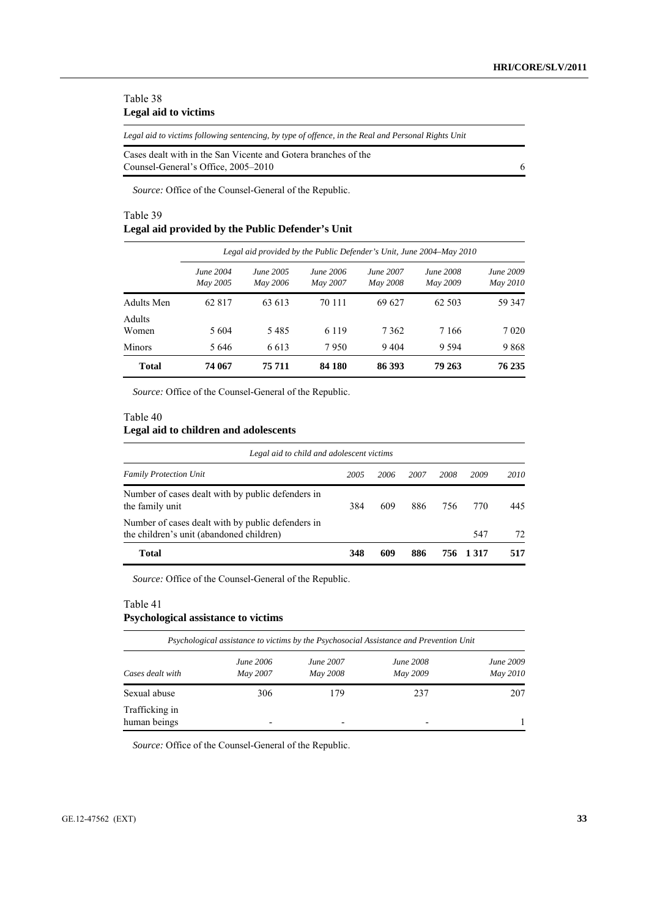## Table 38 **Legal aid to victims**

*Legal aid to victims following sentencing, by type of offence, in the Real and Personal Rights Unit* 

| Cases dealt with in the San Vicente and Gotera branches of the |  |
|----------------------------------------------------------------|--|
| Counsel-General's Office, 2005–2010                            |  |

*Source:* Office of the Counsel-General of the Republic.

## Table 39

## **Legal aid provided by the Public Defender's Unit**

|                 |                              |                              |                              |                              | Legal aid provided by the Public Defender's Unit, June 2004–May 2010 |                       |
|-----------------|------------------------------|------------------------------|------------------------------|------------------------------|----------------------------------------------------------------------|-----------------------|
|                 | <b>June 2004</b><br>May 2005 | <i>June 2005</i><br>May 2006 | <i>June 2006</i><br>May 2007 | <b>June 2007</b><br>May 2008 | <b>June 2008</b><br>May 2009                                         | June 2009<br>May 2010 |
| Adults Men      | 62 817                       | 63 613                       | 70 111                       | 69 627                       | 62 503                                                               | 59 347                |
| Adults<br>Women | 5 604                        | 5485                         | 6 1 1 9                      | 7 3 6 2                      | 7 1 6 6                                                              | 7 0 2 0               |
| <b>Minors</b>   | 5 6 4 6                      | 6613                         | 7950                         | 9404                         | 9 5 9 4                                                              | 9868                  |
| <b>Total</b>    | 74 067                       | 75 711                       | 84 180                       | 86 393                       | 79 263                                                               | 76 235                |

*Source:* Office of the Counsel-General of the Republic.

#### Table 40

## **Legal aid to children and adolescents**

| Legal aid to child and adolescent victims                                                     |      |      |      |      |         |      |
|-----------------------------------------------------------------------------------------------|------|------|------|------|---------|------|
| <b>Family Protection Unit</b>                                                                 | 2005 | 2006 | 2007 | 2008 | 2009    | 2010 |
| Number of cases dealt with by public defenders in<br>the family unit                          | 384  | 609  | 886  | 756  | 770     | 445  |
| Number of cases dealt with by public defenders in<br>the children's unit (abandoned children) |      |      |      |      | 547     | 72   |
| Total                                                                                         | 348  | 609  | 886  | 756. | 1 3 1 7 | 517  |

*Source:* Office of the Counsel-General of the Republic.

## Table 41

## **Psychological assistance to victims**

| Psychological assistance to victims by the Psychosocial Assistance and Prevention Unit |                              |                              |                              |                       |  |
|----------------------------------------------------------------------------------------|------------------------------|------------------------------|------------------------------|-----------------------|--|
| Cases dealt with                                                                       | <i>June 2006</i><br>May 2007 | <i>June 2007</i><br>May 2008 | <b>June 2008</b><br>May 2009 | June 2009<br>May 2010 |  |
| Sexual abuse                                                                           | 306                          | 179                          | 237                          | 207                   |  |
| Trafficking in<br>human beings                                                         | $\overline{\phantom{0}}$     |                              | $\overline{\phantom{a}}$     |                       |  |

*Source:* Office of the Counsel-General of the Republic.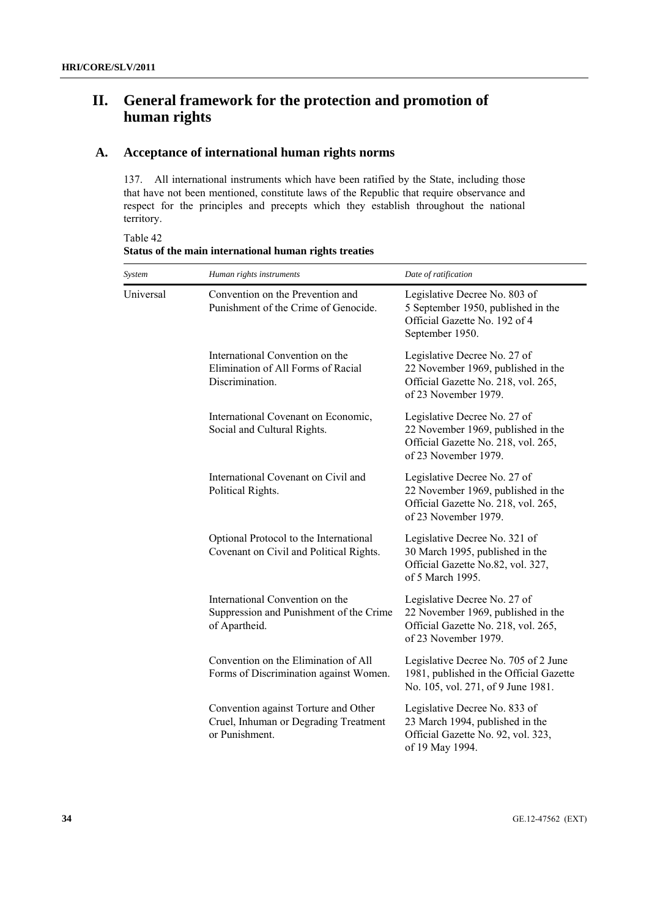# **II. General framework for the protection and promotion of human rights**

# **A. Acceptance of international human rights norms**

137. All international instruments which have been ratified by the State, including those that have not been mentioned, constitute laws of the Republic that require observance and respect for the principles and precepts which they establish throughout the national territory.

*System Human rights instruments Date of ratification*  Universal Convention on the Prevention and Punishment of the Crime of Genocide. Legislative Decree No. 803 of 5 September 1950, published in the Official Gazette No. 192 of 4 September 1950. International Convention on the Elimination of All Forms of Racial Discrimination. Legislative Decree No. 27 of 22 November 1969, published in the Official Gazette No. 218, vol. 265, of 23 November 1979. International Covenant on Economic, Social and Cultural Rights. Legislative Decree No. 27 of 22 November 1969, published in the Official Gazette No. 218, vol. 265, of 23 November 1979. International Covenant on Civil and Political Rights. Legislative Decree No. 27 of 22 November 1969, published in the Official Gazette No. 218, vol. 265, of 23 November 1979. Optional Protocol to the International Covenant on Civil and Political Rights. Legislative Decree No. 321 of 30 March 1995, published in the Official Gazette No.82, vol. 327, of 5 March 1995. International Convention on the Suppression and Punishment of the Crime of Apartheid. Legislative Decree No. 27 of 22 November 1969, published in the Official Gazette No. 218, vol. 265, of 23 November 1979. Convention on the Elimination of All Forms of Discrimination against Women. Legislative Decree No. 705 of 2 June 1981, published in the Official Gazette No. 105, vol. 271, of 9 June 1981. Convention against Torture and Other Cruel, Inhuman or Degrading Treatment or Punishment. Legislative Decree No. 833 of 23 March 1994, published in the Official Gazette No. 92, vol. 323, of 19 May 1994.

Table 42 **Status of the main international human rights treaties**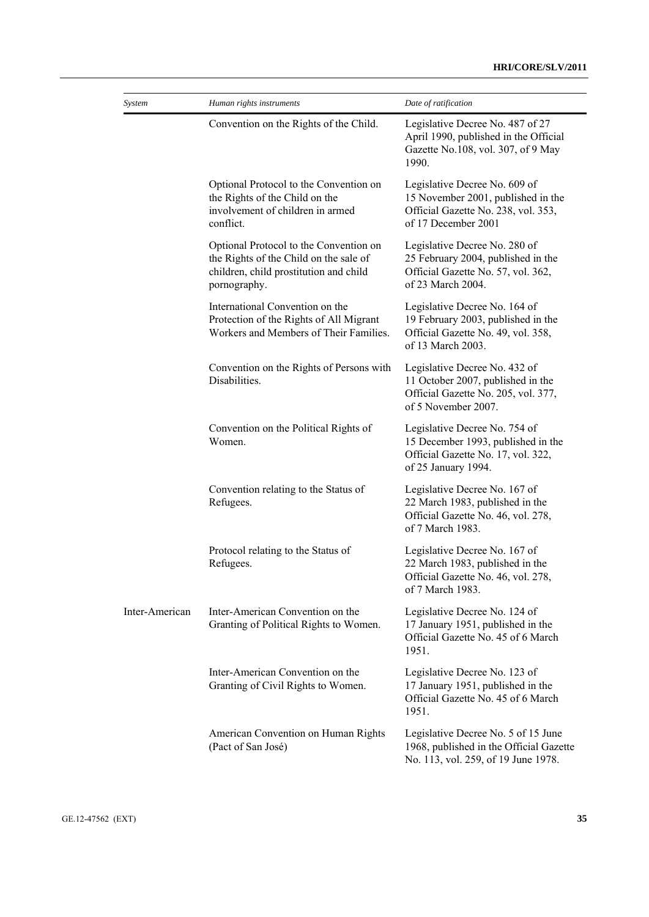| System         | Human rights instruments                                                                                                                   | Date of ratification                                                                                                              |
|----------------|--------------------------------------------------------------------------------------------------------------------------------------------|-----------------------------------------------------------------------------------------------------------------------------------|
|                | Convention on the Rights of the Child.                                                                                                     | Legislative Decree No. 487 of 27<br>April 1990, published in the Official<br>Gazette No.108, vol. 307, of 9 May<br>1990.          |
|                | Optional Protocol to the Convention on<br>the Rights of the Child on the<br>involvement of children in armed<br>conflict.                  | Legislative Decree No. 609 of<br>15 November 2001, published in the<br>Official Gazette No. 238, vol. 353,<br>of 17 December 2001 |
|                | Optional Protocol to the Convention on<br>the Rights of the Child on the sale of<br>children, child prostitution and child<br>pornography. | Legislative Decree No. 280 of<br>25 February 2004, published in the<br>Official Gazette No. 57, vol. 362,<br>of 23 March 2004.    |
|                | International Convention on the<br>Protection of the Rights of All Migrant<br>Workers and Members of Their Families.                       | Legislative Decree No. 164 of<br>19 February 2003, published in the<br>Official Gazette No. 49, vol. 358,<br>of 13 March 2003.    |
|                | Convention on the Rights of Persons with<br>Disabilities.                                                                                  | Legislative Decree No. 432 of<br>11 October 2007, published in the<br>Official Gazette No. 205, vol. 377,<br>of 5 November 2007.  |
|                | Convention on the Political Rights of<br>Women.                                                                                            | Legislative Decree No. 754 of<br>15 December 1993, published in the<br>Official Gazette No. 17, vol. 322,<br>of 25 January 1994.  |
|                | Convention relating to the Status of<br>Refugees.                                                                                          | Legislative Decree No. 167 of<br>22 March 1983, published in the<br>Official Gazette No. 46, vol. 278,<br>of 7 March 1983.        |
|                | Protocol relating to the Status of<br>Refugees.                                                                                            | Legislative Decree No. 167 of<br>22 March 1983, published in the<br>Official Gazette No. 46, vol. 278,<br>of 7 March 1983.        |
| Inter-American | Inter-American Convention on the<br>Granting of Political Rights to Women.                                                                 | Legislative Decree No. 124 of<br>17 January 1951, published in the<br>Official Gazette No. 45 of 6 March<br>1951.                 |
|                | Inter-American Convention on the<br>Granting of Civil Rights to Women.                                                                     | Legislative Decree No. 123 of<br>17 January 1951, published in the<br>Official Gazette No. 45 of 6 March<br>1951.                 |
|                | American Convention on Human Rights<br>(Pact of San José)                                                                                  | Legislative Decree No. 5 of 15 June<br>1968, published in the Official Gazette<br>No. 113, vol. 259, of 19 June 1978.             |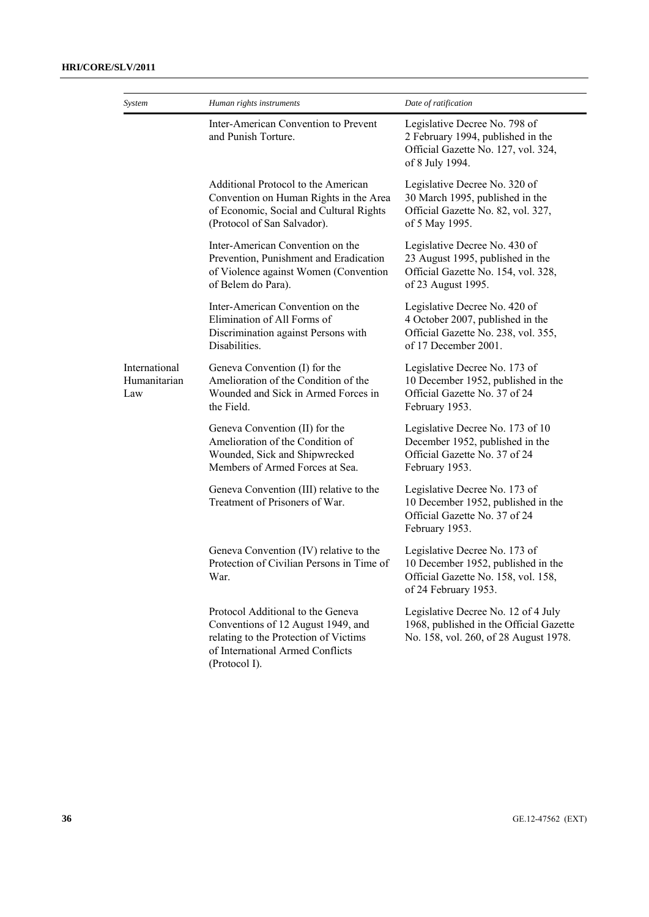| System                               | Human rights instruments                                                                                                                                              | Date of ratification                                                                                                               |
|--------------------------------------|-----------------------------------------------------------------------------------------------------------------------------------------------------------------------|------------------------------------------------------------------------------------------------------------------------------------|
|                                      | Inter-American Convention to Prevent<br>and Punish Torture.                                                                                                           | Legislative Decree No. 798 of<br>2 February 1994, published in the<br>Official Gazette No. 127, vol. 324,<br>of 8 July 1994.       |
|                                      | Additional Protocol to the American<br>Convention on Human Rights in the Area<br>of Economic, Social and Cultural Rights<br>(Protocol of San Salvador).               | Legislative Decree No. 320 of<br>30 March 1995, published in the<br>Official Gazette No. 82, vol. 327,<br>of 5 May 1995.           |
|                                      | Inter-American Convention on the<br>Prevention, Punishment and Eradication<br>of Violence against Women (Convention<br>of Belem do Para).                             | Legislative Decree No. 430 of<br>23 August 1995, published in the<br>Official Gazette No. 154, vol. 328,<br>of 23 August 1995.     |
|                                      | Inter-American Convention on the<br>Elimination of All Forms of<br>Discrimination against Persons with<br>Disabilities.                                               | Legislative Decree No. 420 of<br>4 October 2007, published in the<br>Official Gazette No. 238, vol. 355,<br>of 17 December 2001.   |
| International<br>Humanitarian<br>Law | Geneva Convention (I) for the<br>Amelioration of the Condition of the<br>Wounded and Sick in Armed Forces in<br>the Field.                                            | Legislative Decree No. 173 of<br>10 December 1952, published in the<br>Official Gazette No. 37 of 24<br>February 1953.             |
|                                      | Geneva Convention (II) for the<br>Amelioration of the Condition of<br>Wounded, Sick and Shipwrecked<br>Members of Armed Forces at Sea.                                | Legislative Decree No. 173 of 10<br>December 1952, published in the<br>Official Gazette No. 37 of 24<br>February 1953.             |
|                                      | Geneva Convention (III) relative to the<br>Treatment of Prisoners of War.                                                                                             | Legislative Decree No. 173 of<br>10 December 1952, published in the<br>Official Gazette No. 37 of 24<br>February 1953.             |
|                                      | Geneva Convention (IV) relative to the<br>Protection of Civilian Persons in Time of<br>War.                                                                           | Legislative Decree No. 173 of<br>10 December 1952, published in the<br>Official Gazette No. 158, vol. 158,<br>of 24 February 1953. |
|                                      | Protocol Additional to the Geneva<br>Conventions of 12 August 1949, and<br>relating to the Protection of Victims<br>of International Armed Conflicts<br>(Protocol I). | Legislative Decree No. 12 of 4 July<br>1968, published in the Official Gazette<br>No. 158, vol. 260, of 28 August 1978.            |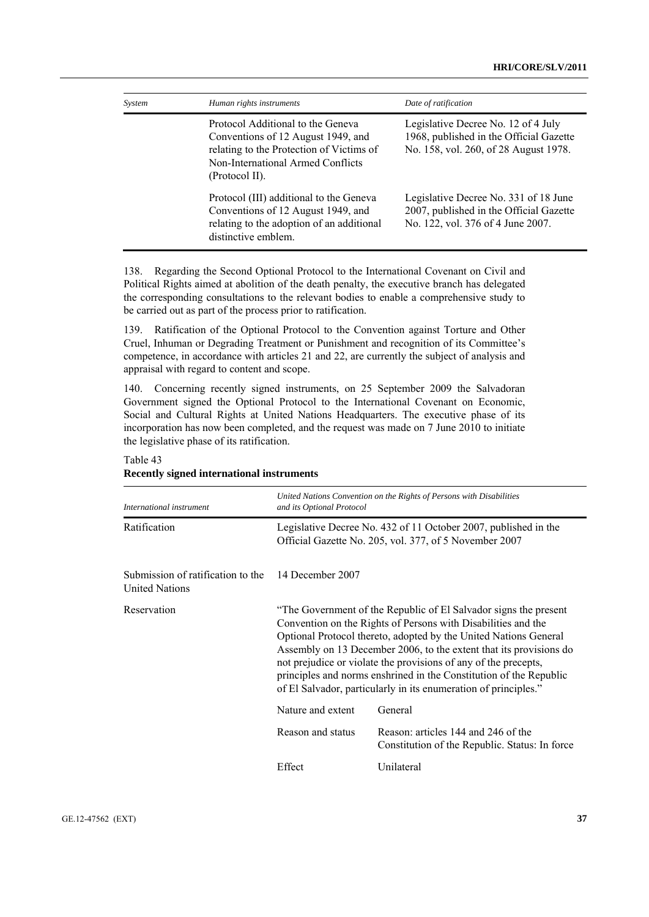| System | Human rights instruments                                                                                                                                                   | Date of ratification                                                                                                    |
|--------|----------------------------------------------------------------------------------------------------------------------------------------------------------------------------|-------------------------------------------------------------------------------------------------------------------------|
|        | Protocol Additional to the Geneva<br>Conventions of 12 August 1949, and<br>relating to the Protection of Victims of<br>Non-International Armed Conflicts<br>(Protocol II). | Legislative Decree No. 12 of 4 July<br>1968, published in the Official Gazette<br>No. 158, vol. 260, of 28 August 1978. |
|        | Protocol (III) additional to the Geneva<br>Conventions of 12 August 1949, and<br>relating to the adoption of an additional<br>distinctive emblem.                          | Legislative Decree No. 331 of 18 June<br>2007, published in the Official Gazette<br>No. 122, vol. 376 of 4 June 2007.   |

138. Regarding the Second Optional Protocol to the International Covenant on Civil and Political Rights aimed at abolition of the death penalty, the executive branch has delegated the corresponding consultations to the relevant bodies to enable a comprehensive study to be carried out as part of the process prior to ratification.

139. Ratification of the Optional Protocol to the Convention against Torture and Other Cruel, Inhuman or Degrading Treatment or Punishment and recognition of its Committee's competence, in accordance with articles 21 and 22, are currently the subject of analysis and appraisal with regard to content and scope.

140. Concerning recently signed instruments, on 25 September 2009 the Salvadoran Government signed the Optional Protocol to the International Covenant on Economic, Social and Cultural Rights at United Nations Headquarters. The executive phase of its incorporation has now been completed, and the request was made on 7 June 2010 to initiate the legislative phase of its ratification.

|                                                            | United Nations Convention on the Rights of Persons with Disabilities                                                                                                                                                                                                                                                                                                                                                                                                                    |                                                                                       |  |  |
|------------------------------------------------------------|-----------------------------------------------------------------------------------------------------------------------------------------------------------------------------------------------------------------------------------------------------------------------------------------------------------------------------------------------------------------------------------------------------------------------------------------------------------------------------------------|---------------------------------------------------------------------------------------|--|--|
| International instrument                                   | and its Optional Protocol                                                                                                                                                                                                                                                                                                                                                                                                                                                               |                                                                                       |  |  |
| Ratification                                               | Legislative Decree No. 432 of 11 October 2007, published in the<br>Official Gazette No. 205, vol. 377, of 5 November 2007                                                                                                                                                                                                                                                                                                                                                               |                                                                                       |  |  |
| Submission of ratification to the<br><b>United Nations</b> | 14 December 2007                                                                                                                                                                                                                                                                                                                                                                                                                                                                        |                                                                                       |  |  |
| Reservation                                                | "The Government of the Republic of El Salvador signs the present<br>Convention on the Rights of Persons with Disabilities and the<br>Optional Protocol thereto, adopted by the United Nations General<br>Assembly on 13 December 2006, to the extent that its provisions do<br>not prejudice or violate the provisions of any of the precepts,<br>principles and norms enshrined in the Constitution of the Republic<br>of El Salvador, particularly in its enumeration of principles." |                                                                                       |  |  |
|                                                            | Nature and extent<br>General                                                                                                                                                                                                                                                                                                                                                                                                                                                            |                                                                                       |  |  |
|                                                            | Reason and status                                                                                                                                                                                                                                                                                                                                                                                                                                                                       | Reason: articles 144 and 246 of the<br>Constitution of the Republic. Status: In force |  |  |
|                                                            | Effect                                                                                                                                                                                                                                                                                                                                                                                                                                                                                  | Unilateral                                                                            |  |  |

#### Table 43

# **Recently signed international instruments**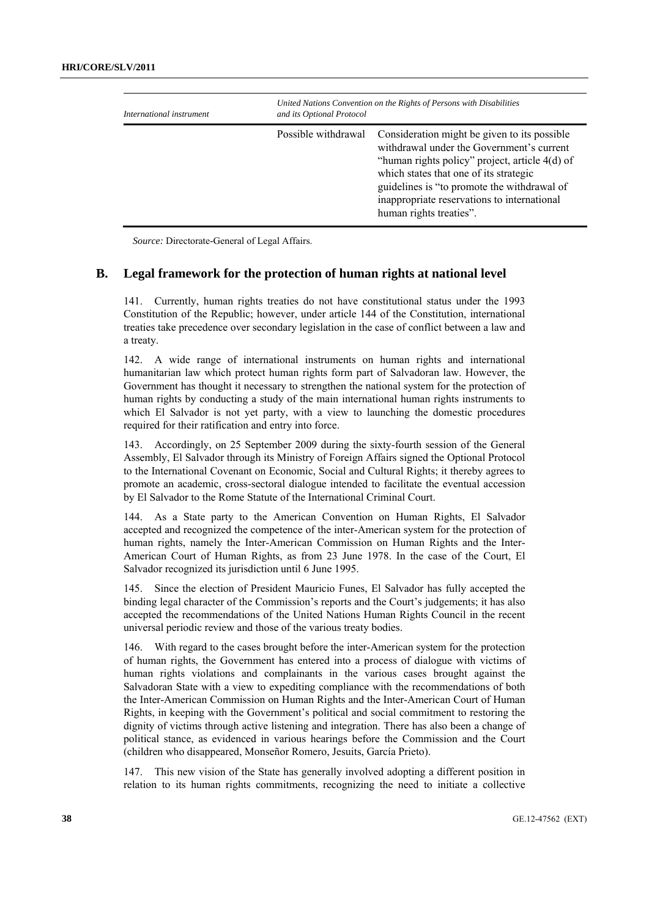| International instrument | and its Optional Protocol | United Nations Convention on the Rights of Persons with Disabilities                                                                                                                                                                                                                                           |  |  |
|--------------------------|---------------------------|----------------------------------------------------------------------------------------------------------------------------------------------------------------------------------------------------------------------------------------------------------------------------------------------------------------|--|--|
|                          | Possible withdrawal       | Consideration might be given to its possible<br>withdrawal under the Government's current<br>"human rights policy" project, article 4(d) of<br>which states that one of its strategic<br>guidelines is "to promote the withdrawal of<br>inappropriate reservations to international<br>human rights treaties". |  |  |

*Source:* Directorate-General of Legal Affairs.

#### **B. Legal framework for the protection of human rights at national level**

141. Currently, human rights treaties do not have constitutional status under the 1993 Constitution of the Republic; however, under article 144 of the Constitution, international treaties take precedence over secondary legislation in the case of conflict between a law and a treaty.

142. A wide range of international instruments on human rights and international humanitarian law which protect human rights form part of Salvadoran law. However, the Government has thought it necessary to strengthen the national system for the protection of human rights by conducting a study of the main international human rights instruments to which El Salvador is not yet party, with a view to launching the domestic procedures required for their ratification and entry into force.

143. Accordingly, on 25 September 2009 during the sixty-fourth session of the General Assembly, El Salvador through its Ministry of Foreign Affairs signed the Optional Protocol to the International Covenant on Economic, Social and Cultural Rights; it thereby agrees to promote an academic, cross-sectoral dialogue intended to facilitate the eventual accession by El Salvador to the Rome Statute of the International Criminal Court.

144. As a State party to the American Convention on Human Rights, El Salvador accepted and recognized the competence of the inter-American system for the protection of human rights, namely the Inter-American Commission on Human Rights and the Inter-American Court of Human Rights, as from 23 June 1978. In the case of the Court, El Salvador recognized its jurisdiction until 6 June 1995.

145. Since the election of President Mauricio Funes, El Salvador has fully accepted the binding legal character of the Commission's reports and the Court's judgements; it has also accepted the recommendations of the United Nations Human Rights Council in the recent universal periodic review and those of the various treaty bodies.

146. With regard to the cases brought before the inter-American system for the protection of human rights, the Government has entered into a process of dialogue with victims of human rights violations and complainants in the various cases brought against the Salvadoran State with a view to expediting compliance with the recommendations of both the Inter-American Commission on Human Rights and the Inter-American Court of Human Rights, in keeping with the Government's political and social commitment to restoring the dignity of victims through active listening and integration. There has also been a change of political stance, as evidenced in various hearings before the Commission and the Court (children who disappeared, Monseñor Romero, Jesuits, García Prieto).

147. This new vision of the State has generally involved adopting a different position in relation to its human rights commitments, recognizing the need to initiate a collective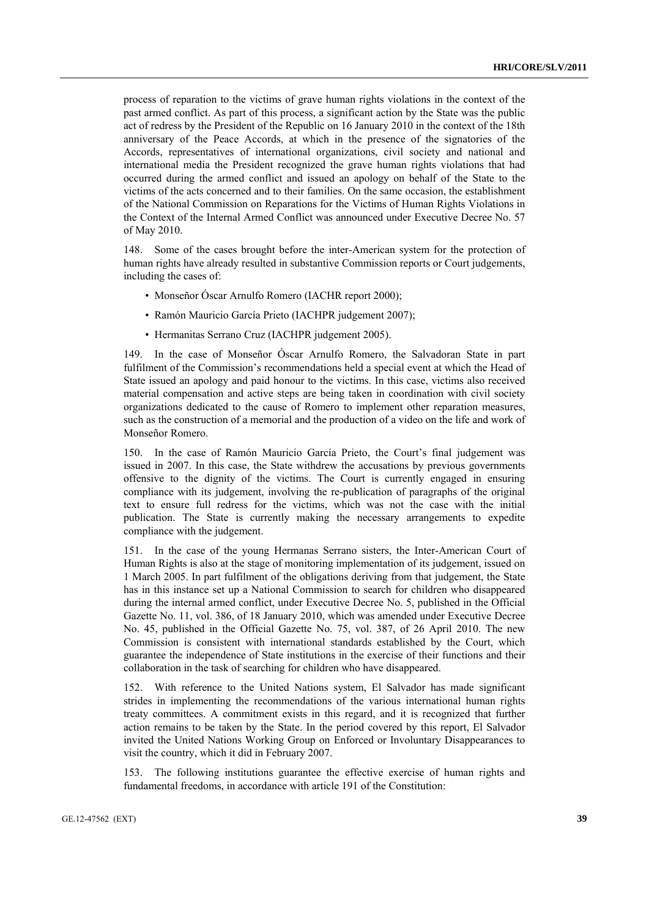process of reparation to the victims of grave human rights violations in the context of the past armed conflict. As part of this process, a significant action by the State was the public act of redress by the President of the Republic on 16 January 2010 in the context of the 18th anniversary of the Peace Accords, at which in the presence of the signatories of the Accords, representatives of international organizations, civil society and national and international media the President recognized the grave human rights violations that had occurred during the armed conflict and issued an apology on behalf of the State to the victims of the acts concerned and to their families. On the same occasion, the establishment of the National Commission on Reparations for the Victims of Human Rights Violations in the Context of the Internal Armed Conflict was announced under Executive Decree No. 57 of May 2010.

148. Some of the cases brought before the inter-American system for the protection of human rights have already resulted in substantive Commission reports or Court judgements, including the cases of:

- Monseñor Óscar Arnulfo Romero (IACHR report 2000);
- Ramón Mauricio García Prieto (IACHPR judgement 2007);
- Hermanitas Serrano Cruz (IACHPR judgement 2005).

149. In the case of Monseñor Óscar Arnulfo Romero, the Salvadoran State in part fulfilment of the Commission's recommendations held a special event at which the Head of State issued an apology and paid honour to the victims. In this case, victims also received material compensation and active steps are being taken in coordination with civil society organizations dedicated to the cause of Romero to implement other reparation measures, such as the construction of a memorial and the production of a video on the life and work of Monseñor Romero.

150. In the case of Ramón Mauricio García Prieto, the Court's final judgement was issued in 2007. In this case, the State withdrew the accusations by previous governments offensive to the dignity of the victims. The Court is currently engaged in ensuring compliance with its judgement, involving the re-publication of paragraphs of the original text to ensure full redress for the victims, which was not the case with the initial publication. The State is currently making the necessary arrangements to expedite compliance with the judgement.

151. In the case of the young Hermanas Serrano sisters, the Inter-American Court of Human Rights is also at the stage of monitoring implementation of its judgement, issued on 1 March 2005. In part fulfilment of the obligations deriving from that judgement, the State has in this instance set up a National Commission to search for children who disappeared during the internal armed conflict, under Executive Decree No. 5, published in the Official Gazette No. 11, vol. 386, of 18 January 2010, which was amended under Executive Decree No. 45, published in the Official Gazette No. 75, vol. 387, of 26 April 2010. The new Commission is consistent with international standards established by the Court, which guarantee the independence of State institutions in the exercise of their functions and their collaboration in the task of searching for children who have disappeared.

152. With reference to the United Nations system, El Salvador has made significant strides in implementing the recommendations of the various international human rights treaty committees. A commitment exists in this regard, and it is recognized that further action remains to be taken by the State. In the period covered by this report, El Salvador invited the United Nations Working Group on Enforced or Involuntary Disappearances to visit the country, which it did in February 2007.

153. The following institutions guarantee the effective exercise of human rights and fundamental freedoms, in accordance with article 191 of the Constitution: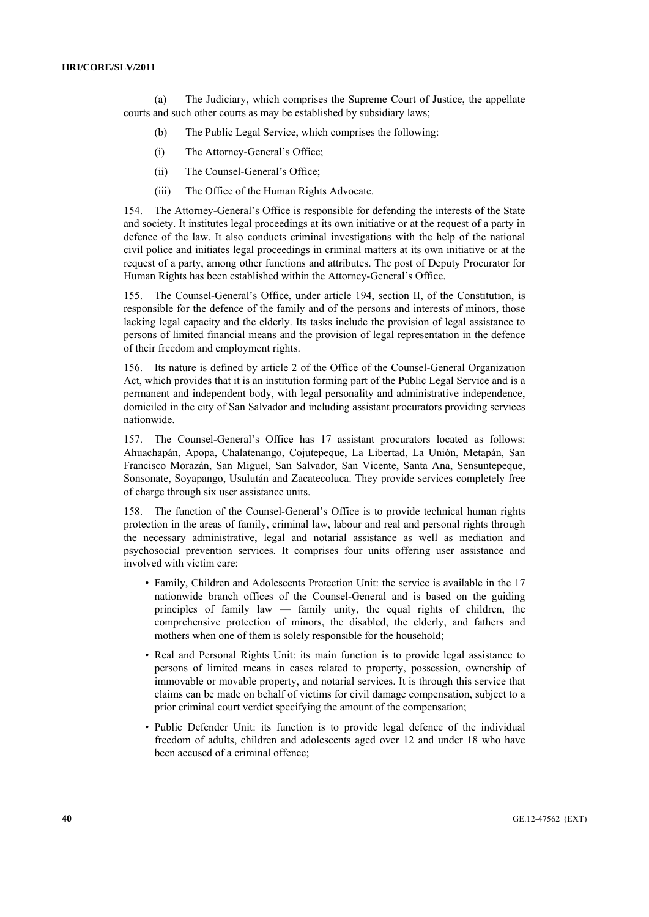(a) The Judiciary, which comprises the Supreme Court of Justice, the appellate courts and such other courts as may be established by subsidiary laws;

- (b) The Public Legal Service, which comprises the following:
- (i) The Attorney-General's Office;
- (ii) The Counsel-General's Office;
- (iii) The Office of the Human Rights Advocate.

154. The Attorney-General's Office is responsible for defending the interests of the State and society. It institutes legal proceedings at its own initiative or at the request of a party in defence of the law. It also conducts criminal investigations with the help of the national civil police and initiates legal proceedings in criminal matters at its own initiative or at the request of a party, among other functions and attributes. The post of Deputy Procurator for Human Rights has been established within the Attorney-General's Office.

155. The Counsel-General's Office, under article 194, section II, of the Constitution, is responsible for the defence of the family and of the persons and interests of minors, those lacking legal capacity and the elderly. Its tasks include the provision of legal assistance to persons of limited financial means and the provision of legal representation in the defence of their freedom and employment rights.

156. Its nature is defined by article 2 of the Office of the Counsel-General Organization Act, which provides that it is an institution forming part of the Public Legal Service and is a permanent and independent body, with legal personality and administrative independence, domiciled in the city of San Salvador and including assistant procurators providing services nationwide.

157. The Counsel-General's Office has 17 assistant procurators located as follows: Ahuachapán, Apopa, Chalatenango, Cojutepeque, La Libertad, La Unión, Metapán, San Francisco Morazán, San Miguel, San Salvador, San Vicente, Santa Ana, Sensuntepeque, Sonsonate, Soyapango, Usulután and Zacatecoluca. They provide services completely free of charge through six user assistance units.

158. The function of the Counsel-General's Office is to provide technical human rights protection in the areas of family, criminal law, labour and real and personal rights through the necessary administrative, legal and notarial assistance as well as mediation and psychosocial prevention services. It comprises four units offering user assistance and involved with victim care:

- Family, Children and Adolescents Protection Unit: the service is available in the 17 nationwide branch offices of the Counsel-General and is based on the guiding principles of family law — family unity, the equal rights of children, the comprehensive protection of minors, the disabled, the elderly, and fathers and mothers when one of them is solely responsible for the household;
- Real and Personal Rights Unit: its main function is to provide legal assistance to persons of limited means in cases related to property, possession, ownership of immovable or movable property, and notarial services. It is through this service that claims can be made on behalf of victims for civil damage compensation, subject to a prior criminal court verdict specifying the amount of the compensation;
- Public Defender Unit: its function is to provide legal defence of the individual freedom of adults, children and adolescents aged over 12 and under 18 who have been accused of a criminal offence;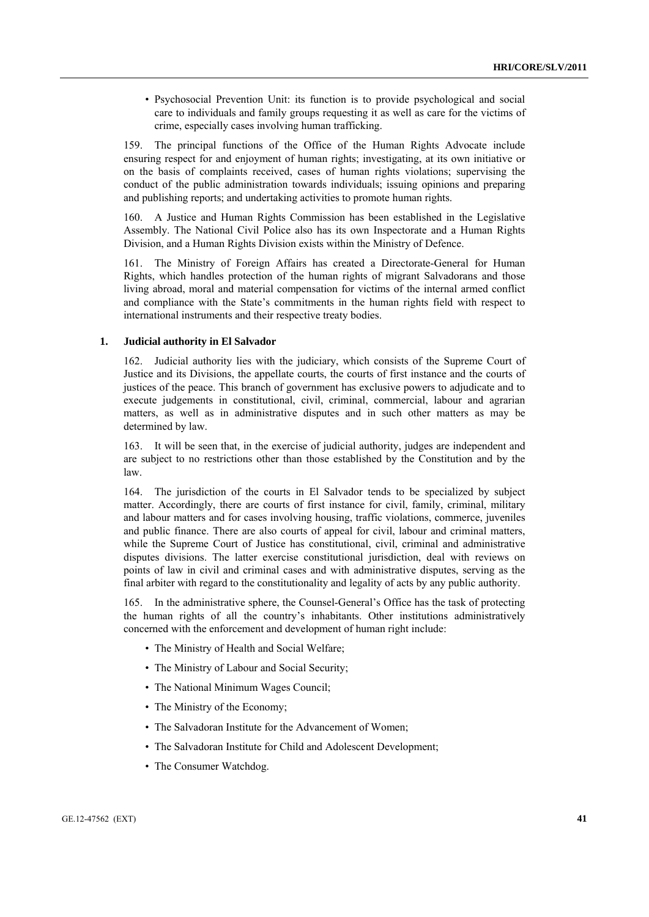• Psychosocial Prevention Unit: its function is to provide psychological and social care to individuals and family groups requesting it as well as care for the victims of crime, especially cases involving human trafficking.

159. The principal functions of the Office of the Human Rights Advocate include ensuring respect for and enjoyment of human rights; investigating, at its own initiative or on the basis of complaints received, cases of human rights violations; supervising the conduct of the public administration towards individuals; issuing opinions and preparing and publishing reports; and undertaking activities to promote human rights.

160. A Justice and Human Rights Commission has been established in the Legislative Assembly. The National Civil Police also has its own Inspectorate and a Human Rights Division, and a Human Rights Division exists within the Ministry of Defence.

161. The Ministry of Foreign Affairs has created a Directorate-General for Human Rights, which handles protection of the human rights of migrant Salvadorans and those living abroad, moral and material compensation for victims of the internal armed conflict and compliance with the State's commitments in the human rights field with respect to international instruments and their respective treaty bodies.

#### **1. Judicial authority in El Salvador**

162. Judicial authority lies with the judiciary, which consists of the Supreme Court of Justice and its Divisions, the appellate courts, the courts of first instance and the courts of justices of the peace. This branch of government has exclusive powers to adjudicate and to execute judgements in constitutional, civil, criminal, commercial, labour and agrarian matters, as well as in administrative disputes and in such other matters as may be determined by law.

163. It will be seen that, in the exercise of judicial authority, judges are independent and are subject to no restrictions other than those established by the Constitution and by the law.

164. The jurisdiction of the courts in El Salvador tends to be specialized by subject matter. Accordingly, there are courts of first instance for civil, family, criminal, military and labour matters and for cases involving housing, traffic violations, commerce, juveniles and public finance. There are also courts of appeal for civil, labour and criminal matters, while the Supreme Court of Justice has constitutional, civil, criminal and administrative disputes divisions. The latter exercise constitutional jurisdiction, deal with reviews on points of law in civil and criminal cases and with administrative disputes, serving as the final arbiter with regard to the constitutionality and legality of acts by any public authority.

165. In the administrative sphere, the Counsel-General's Office has the task of protecting the human rights of all the country's inhabitants. Other institutions administratively concerned with the enforcement and development of human right include:

- The Ministry of Health and Social Welfare;
- The Ministry of Labour and Social Security;
- The National Minimum Wages Council;
- The Ministry of the Economy;
- The Salvadoran Institute for the Advancement of Women;
- The Salvadoran Institute for Child and Adolescent Development;
- The Consumer Watchdog.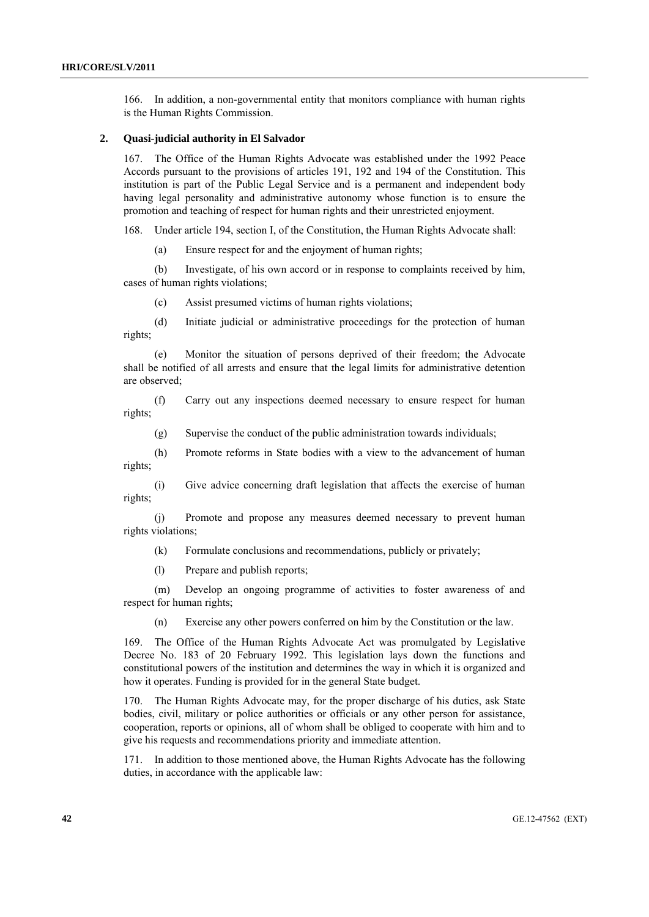166. In addition, a non-governmental entity that monitors compliance with human rights is the Human Rights Commission.

#### **2. Quasi-judicial authority in El Salvador**

167. The Office of the Human Rights Advocate was established under the 1992 Peace Accords pursuant to the provisions of articles 191, 192 and 194 of the Constitution. This institution is part of the Public Legal Service and is a permanent and independent body having legal personality and administrative autonomy whose function is to ensure the promotion and teaching of respect for human rights and their unrestricted enjoyment.

168. Under article 194, section I, of the Constitution, the Human Rights Advocate shall:

(a) Ensure respect for and the enjoyment of human rights;

 (b) Investigate, of his own accord or in response to complaints received by him, cases of human rights violations;

(c) Assist presumed victims of human rights violations;

 (d) Initiate judicial or administrative proceedings for the protection of human rights;

 (e) Monitor the situation of persons deprived of their freedom; the Advocate shall be notified of all arrests and ensure that the legal limits for administrative detention are observed;

 (f) Carry out any inspections deemed necessary to ensure respect for human rights;

(g) Supervise the conduct of the public administration towards individuals;

 (h) Promote reforms in State bodies with a view to the advancement of human rights;

 (i) Give advice concerning draft legislation that affects the exercise of human rights;

 (j) Promote and propose any measures deemed necessary to prevent human rights violations;

(k) Formulate conclusions and recommendations, publicly or privately;

(l) Prepare and publish reports;

 (m) Develop an ongoing programme of activities to foster awareness of and respect for human rights;

(n) Exercise any other powers conferred on him by the Constitution or the law.

169. The Office of the Human Rights Advocate Act was promulgated by Legislative Decree No. 183 of 20 February 1992. This legislation lays down the functions and constitutional powers of the institution and determines the way in which it is organized and how it operates. Funding is provided for in the general State budget.

170. The Human Rights Advocate may, for the proper discharge of his duties, ask State bodies, civil, military or police authorities or officials or any other person for assistance, cooperation, reports or opinions, all of whom shall be obliged to cooperate with him and to give his requests and recommendations priority and immediate attention.

171. In addition to those mentioned above, the Human Rights Advocate has the following duties, in accordance with the applicable law: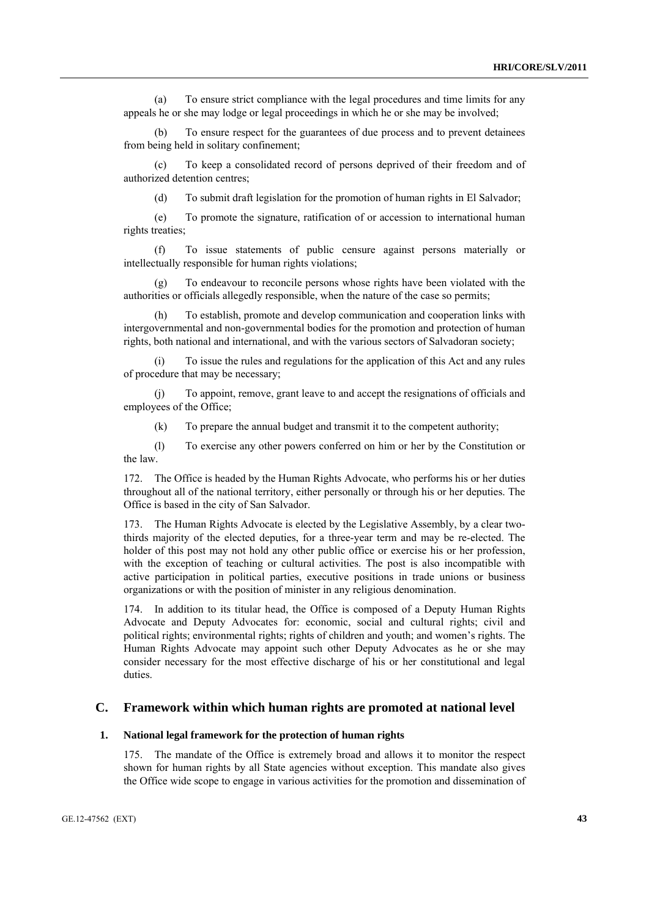(a) To ensure strict compliance with the legal procedures and time limits for any appeals he or she may lodge or legal proceedings in which he or she may be involved;

 (b) To ensure respect for the guarantees of due process and to prevent detainees from being held in solitary confinement;

 (c) To keep a consolidated record of persons deprived of their freedom and of authorized detention centres;

(d) To submit draft legislation for the promotion of human rights in El Salvador;

 (e) To promote the signature, ratification of or accession to international human rights treaties;

 (f) To issue statements of public censure against persons materially or intellectually responsible for human rights violations;

 (g) To endeavour to reconcile persons whose rights have been violated with the authorities or officials allegedly responsible, when the nature of the case so permits;

 (h) To establish, promote and develop communication and cooperation links with intergovernmental and non-governmental bodies for the promotion and protection of human rights, both national and international, and with the various sectors of Salvadoran society;

 (i) To issue the rules and regulations for the application of this Act and any rules of procedure that may be necessary;

 (j) To appoint, remove, grant leave to and accept the resignations of officials and employees of the Office;

(k) To prepare the annual budget and transmit it to the competent authority;

 (l) To exercise any other powers conferred on him or her by the Constitution or the law.

172. The Office is headed by the Human Rights Advocate, who performs his or her duties throughout all of the national territory, either personally or through his or her deputies. The Office is based in the city of San Salvador.

173. The Human Rights Advocate is elected by the Legislative Assembly, by a clear twothirds majority of the elected deputies, for a three-year term and may be re-elected. The holder of this post may not hold any other public office or exercise his or her profession, with the exception of teaching or cultural activities. The post is also incompatible with active participation in political parties, executive positions in trade unions or business organizations or with the position of minister in any religious denomination.

174. In addition to its titular head, the Office is composed of a Deputy Human Rights Advocate and Deputy Advocates for: economic, social and cultural rights; civil and political rights; environmental rights; rights of children and youth; and women's rights. The Human Rights Advocate may appoint such other Deputy Advocates as he or she may consider necessary for the most effective discharge of his or her constitutional and legal duties.

## **C. Framework within which human rights are promoted at national level**

#### **1. National legal framework for the protection of human rights**

175. The mandate of the Office is extremely broad and allows it to monitor the respect shown for human rights by all State agencies without exception. This mandate also gives the Office wide scope to engage in various activities for the promotion and dissemination of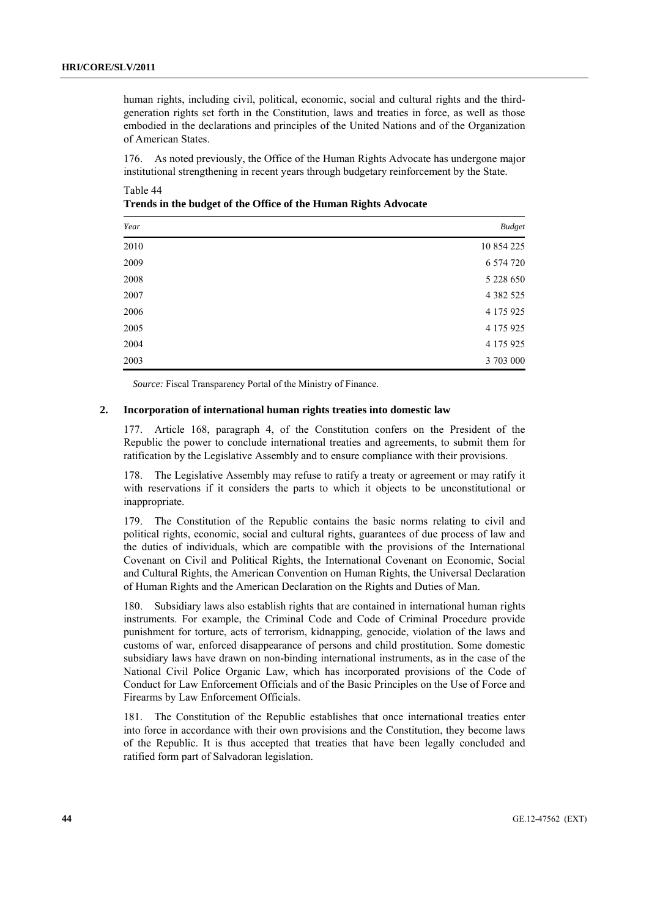human rights, including civil, political, economic, social and cultural rights and the thirdgeneration rights set forth in the Constitution, laws and treaties in force, as well as those embodied in the declarations and principles of the United Nations and of the Organization of American States.

176. As noted previously, the Office of the Human Rights Advocate has undergone major institutional strengthening in recent years through budgetary reinforcement by the State.

Table 44 **Trends in the budget of the Office of the Human Rights Advocate** 

| Year | <b>Budget</b> |
|------|---------------|
| 2010 | 10 854 225    |
| 2009 | 6 574 720     |
| 2008 | 5 228 650     |
| 2007 | 4 3 8 2 5 2 5 |
| 2006 | 4 175 925     |
| 2005 | 4 175 925     |
| 2004 | 4 175 925     |
| 2003 | 3 703 000     |

*Source:* Fiscal Transparency Portal of the Ministry of Finance.

## **2. Incorporation of international human rights treaties into domestic law**

177. Article 168, paragraph 4, of the Constitution confers on the President of the Republic the power to conclude international treaties and agreements, to submit them for ratification by the Legislative Assembly and to ensure compliance with their provisions.

178. The Legislative Assembly may refuse to ratify a treaty or agreement or may ratify it with reservations if it considers the parts to which it objects to be unconstitutional or inappropriate.

179. The Constitution of the Republic contains the basic norms relating to civil and political rights, economic, social and cultural rights, guarantees of due process of law and the duties of individuals, which are compatible with the provisions of the International Covenant on Civil and Political Rights, the International Covenant on Economic, Social and Cultural Rights, the American Convention on Human Rights, the Universal Declaration of Human Rights and the American Declaration on the Rights and Duties of Man.

180. Subsidiary laws also establish rights that are contained in international human rights instruments. For example, the Criminal Code and Code of Criminal Procedure provide punishment for torture, acts of terrorism, kidnapping, genocide, violation of the laws and customs of war, enforced disappearance of persons and child prostitution. Some domestic subsidiary laws have drawn on non-binding international instruments, as in the case of the National Civil Police Organic Law, which has incorporated provisions of the Code of Conduct for Law Enforcement Officials and of the Basic Principles on the Use of Force and Firearms by Law Enforcement Officials.

181. The Constitution of the Republic establishes that once international treaties enter into force in accordance with their own provisions and the Constitution, they become laws of the Republic. It is thus accepted that treaties that have been legally concluded and ratified form part of Salvadoran legislation.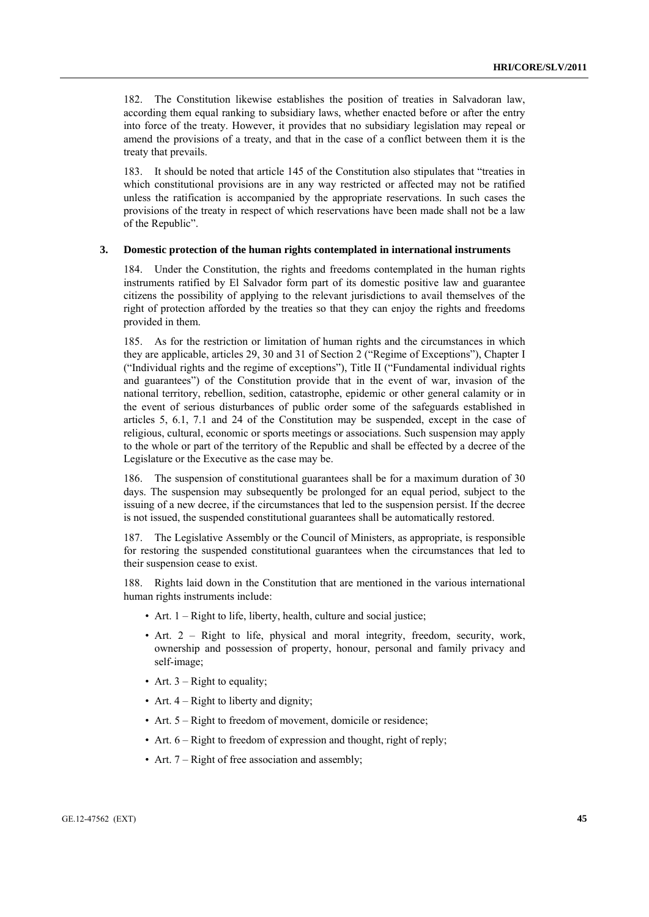182. The Constitution likewise establishes the position of treaties in Salvadoran law, according them equal ranking to subsidiary laws, whether enacted before or after the entry into force of the treaty. However, it provides that no subsidiary legislation may repeal or amend the provisions of a treaty, and that in the case of a conflict between them it is the treaty that prevails.

183. It should be noted that article 145 of the Constitution also stipulates that "treaties in which constitutional provisions are in any way restricted or affected may not be ratified unless the ratification is accompanied by the appropriate reservations. In such cases the provisions of the treaty in respect of which reservations have been made shall not be a law of the Republic".

#### **3. Domestic protection of the human rights contemplated in international instruments**

184. Under the Constitution, the rights and freedoms contemplated in the human rights instruments ratified by El Salvador form part of its domestic positive law and guarantee citizens the possibility of applying to the relevant jurisdictions to avail themselves of the right of protection afforded by the treaties so that they can enjoy the rights and freedoms provided in them.

185. As for the restriction or limitation of human rights and the circumstances in which they are applicable, articles 29, 30 and 31 of Section 2 ("Regime of Exceptions"), Chapter I ("Individual rights and the regime of exceptions"), Title II ("Fundamental individual rights and guarantees") of the Constitution provide that in the event of war, invasion of the national territory, rebellion, sedition, catastrophe, epidemic or other general calamity or in the event of serious disturbances of public order some of the safeguards established in articles 5, 6.1, 7.1 and 24 of the Constitution may be suspended, except in the case of religious, cultural, economic or sports meetings or associations. Such suspension may apply to the whole or part of the territory of the Republic and shall be effected by a decree of the Legislature or the Executive as the case may be.

186. The suspension of constitutional guarantees shall be for a maximum duration of 30 days. The suspension may subsequently be prolonged for an equal period, subject to the issuing of a new decree, if the circumstances that led to the suspension persist. If the decree is not issued, the suspended constitutional guarantees shall be automatically restored.

187. The Legislative Assembly or the Council of Ministers, as appropriate, is responsible for restoring the suspended constitutional guarantees when the circumstances that led to their suspension cease to exist.

188. Rights laid down in the Constitution that are mentioned in the various international human rights instruments include:

- Art. 1 Right to life, liberty, health, culture and social justice;
- Art. 2 Right to life, physical and moral integrity, freedom, security, work, ownership and possession of property, honour, personal and family privacy and self-image;
- Art.  $3 -$  Right to equality;
- Art. 4 Right to liberty and dignity;
- Art. 5 Right to freedom of movement, domicile or residence;
- Art.  $6 -$  Right to freedom of expression and thought, right of reply;
- Art. 7 Right of free association and assembly;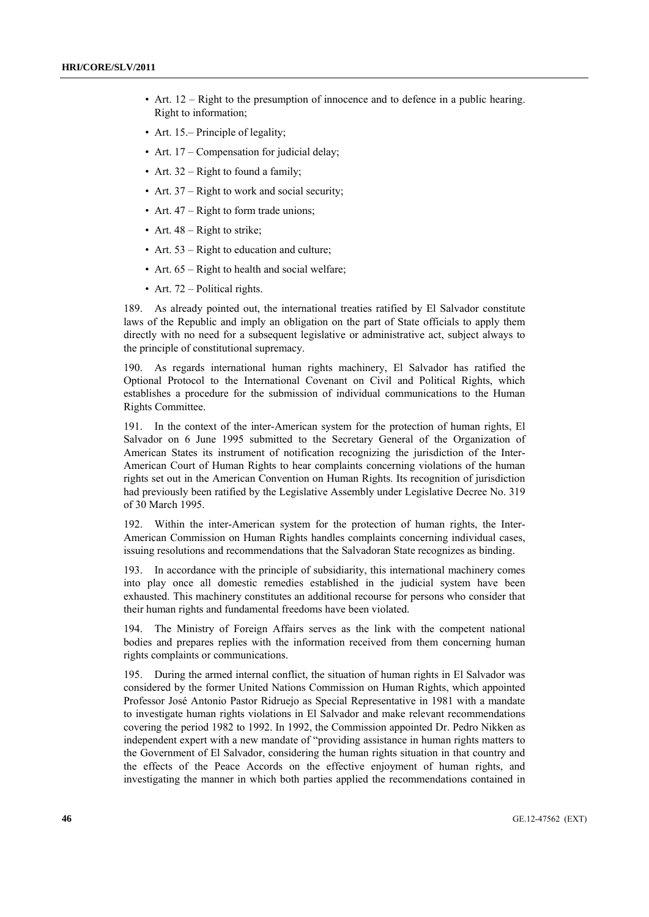- Art. 12 Right to the presumption of innocence and to defence in a public hearing. Right to information;
- Art. 15.– Principle of legality;
- Art. 17 Compensation for judicial delay:
- Art.  $32 -$  Right to found a family;
- Art. 37 Right to work and social security;
- Art. 47 Right to form trade unions;
- Art. 48 Right to strike;
- Art. 53 Right to education and culture;
- Art.  $65 -$ Right to health and social welfare;
- Art. 72 Political rights.

189. As already pointed out, the international treaties ratified by El Salvador constitute laws of the Republic and imply an obligation on the part of State officials to apply them directly with no need for a subsequent legislative or administrative act, subject always to the principle of constitutional supremacy.

190. As regards international human rights machinery, El Salvador has ratified the Optional Protocol to the International Covenant on Civil and Political Rights, which establishes a procedure for the submission of individual communications to the Human Rights Committee.

191. In the context of the inter-American system for the protection of human rights, El Salvador on 6 June 1995 submitted to the Secretary General of the Organization of American States its instrument of notification recognizing the jurisdiction of the Inter-American Court of Human Rights to hear complaints concerning violations of the human rights set out in the American Convention on Human Rights. Its recognition of jurisdiction had previously been ratified by the Legislative Assembly under Legislative Decree No. 319 of 30 March 1995.

192. Within the inter-American system for the protection of human rights, the Inter-American Commission on Human Rights handles complaints concerning individual cases, issuing resolutions and recommendations that the Salvadoran State recognizes as binding.

193. In accordance with the principle of subsidiarity, this international machinery comes into play once all domestic remedies established in the judicial system have been exhausted. This machinery constitutes an additional recourse for persons who consider that their human rights and fundamental freedoms have been violated.

194. The Ministry of Foreign Affairs serves as the link with the competent national bodies and prepares replies with the information received from them concerning human rights complaints or communications.

195. During the armed internal conflict, the situation of human rights in El Salvador was considered by the former United Nations Commission on Human Rights, which appointed Professor José Antonio Pastor Ridruejo as Special Representative in 1981 with a mandate to investigate human rights violations in El Salvador and make relevant recommendations covering the period 1982 to 1992. In 1992, the Commission appointed Dr. Pedro Nikken as independent expert with a new mandate of "providing assistance in human rights matters to the Government of El Salvador, considering the human rights situation in that country and the effects of the Peace Accords on the effective enjoyment of human rights, and investigating the manner in which both parties applied the recommendations contained in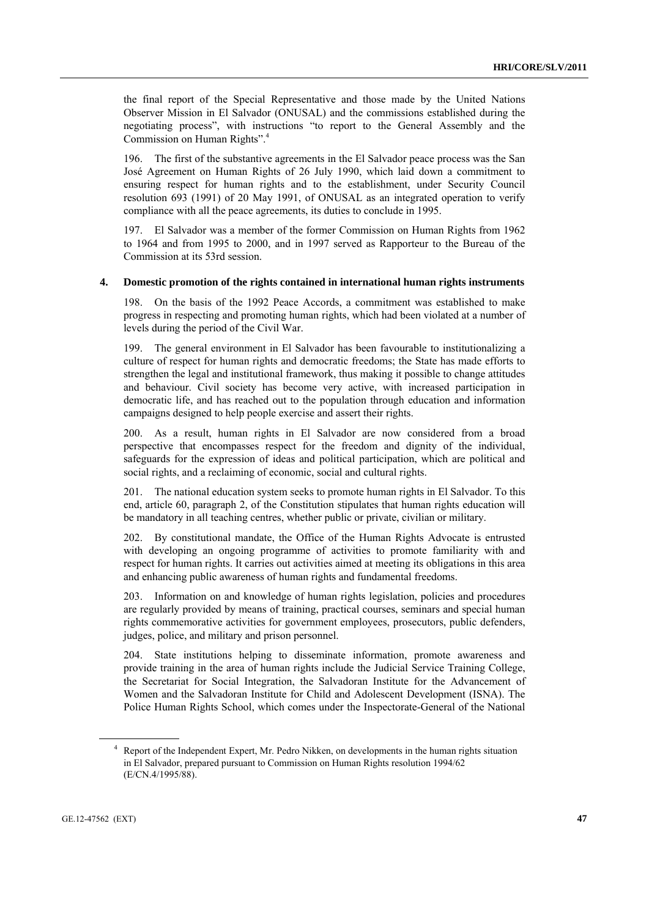the final report of the Special Representative and those made by the United Nations Observer Mission in El Salvador (ONUSAL) and the commissions established during the negotiating process", with instructions "to report to the General Assembly and the Commission on Human Rights".4

196. The first of the substantive agreements in the El Salvador peace process was the San José Agreement on Human Rights of 26 July 1990, which laid down a commitment to ensuring respect for human rights and to the establishment, under Security Council resolution 693 (1991) of 20 May 1991, of ONUSAL as an integrated operation to verify compliance with all the peace agreements, its duties to conclude in 1995.

197. El Salvador was a member of the former Commission on Human Rights from 1962 to 1964 and from 1995 to 2000, and in 1997 served as Rapporteur to the Bureau of the Commission at its 53rd session.

#### **4. Domestic promotion of the rights contained in international human rights instruments**

198. On the basis of the 1992 Peace Accords, a commitment was established to make progress in respecting and promoting human rights, which had been violated at a number of levels during the period of the Civil War.

199. The general environment in El Salvador has been favourable to institutionalizing a culture of respect for human rights and democratic freedoms; the State has made efforts to strengthen the legal and institutional framework, thus making it possible to change attitudes and behaviour. Civil society has become very active, with increased participation in democratic life, and has reached out to the population through education and information campaigns designed to help people exercise and assert their rights.

200. As a result, human rights in El Salvador are now considered from a broad perspective that encompasses respect for the freedom and dignity of the individual, safeguards for the expression of ideas and political participation, which are political and social rights, and a reclaiming of economic, social and cultural rights.

201. The national education system seeks to promote human rights in El Salvador. To this end, article 60, paragraph 2, of the Constitution stipulates that human rights education will be mandatory in all teaching centres, whether public or private, civilian or military.

202. By constitutional mandate, the Office of the Human Rights Advocate is entrusted with developing an ongoing programme of activities to promote familiarity with and respect for human rights. It carries out activities aimed at meeting its obligations in this area and enhancing public awareness of human rights and fundamental freedoms.

203. Information on and knowledge of human rights legislation, policies and procedures are regularly provided by means of training, practical courses, seminars and special human rights commemorative activities for government employees, prosecutors, public defenders, judges, police, and military and prison personnel.

204. State institutions helping to disseminate information, promote awareness and provide training in the area of human rights include the Judicial Service Training College, the Secretariat for Social Integration, the Salvadoran Institute for the Advancement of Women and the Salvadoran Institute for Child and Adolescent Development (ISNA). The Police Human Rights School, which comes under the Inspectorate-General of the National

<sup>&</sup>lt;sup>4</sup> Report of the Independent Expert, Mr. Pedro Nikken, on developments in the human rights situation in El Salvador, prepared pursuant to Commission on Human Rights resolution 1994/62 (E/CN.4/1995/88).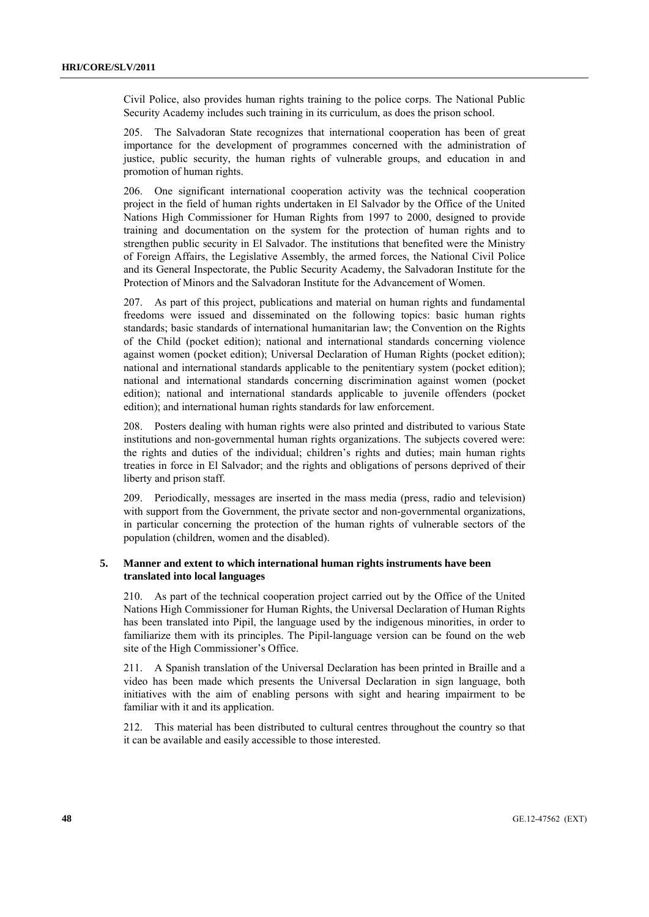Civil Police, also provides human rights training to the police corps. The National Public Security Academy includes such training in its curriculum, as does the prison school.

205. The Salvadoran State recognizes that international cooperation has been of great importance for the development of programmes concerned with the administration of justice, public security, the human rights of vulnerable groups, and education in and promotion of human rights.

206. One significant international cooperation activity was the technical cooperation project in the field of human rights undertaken in El Salvador by the Office of the United Nations High Commissioner for Human Rights from 1997 to 2000, designed to provide training and documentation on the system for the protection of human rights and to strengthen public security in El Salvador. The institutions that benefited were the Ministry of Foreign Affairs, the Legislative Assembly, the armed forces, the National Civil Police and its General Inspectorate, the Public Security Academy, the Salvadoran Institute for the Protection of Minors and the Salvadoran Institute for the Advancement of Women.

207. As part of this project, publications and material on human rights and fundamental freedoms were issued and disseminated on the following topics: basic human rights standards; basic standards of international humanitarian law; the Convention on the Rights of the Child (pocket edition); national and international standards concerning violence against women (pocket edition); Universal Declaration of Human Rights (pocket edition); national and international standards applicable to the penitentiary system (pocket edition); national and international standards concerning discrimination against women (pocket edition); national and international standards applicable to juvenile offenders (pocket edition); and international human rights standards for law enforcement.

208. Posters dealing with human rights were also printed and distributed to various State institutions and non-governmental human rights organizations. The subjects covered were: the rights and duties of the individual; children's rights and duties; main human rights treaties in force in El Salvador; and the rights and obligations of persons deprived of their liberty and prison staff.

209. Periodically, messages are inserted in the mass media (press, radio and television) with support from the Government, the private sector and non-governmental organizations, in particular concerning the protection of the human rights of vulnerable sectors of the population (children, women and the disabled).

## **5. Manner and extent to which international human rights instruments have been translated into local languages**

210. As part of the technical cooperation project carried out by the Office of the United Nations High Commissioner for Human Rights, the Universal Declaration of Human Rights has been translated into Pipil, the language used by the indigenous minorities, in order to familiarize them with its principles. The Pipil-language version can be found on the web site of the High Commissioner's Office.

211. A Spanish translation of the Universal Declaration has been printed in Braille and a video has been made which presents the Universal Declaration in sign language, both initiatives with the aim of enabling persons with sight and hearing impairment to be familiar with it and its application.

212. This material has been distributed to cultural centres throughout the country so that it can be available and easily accessible to those interested.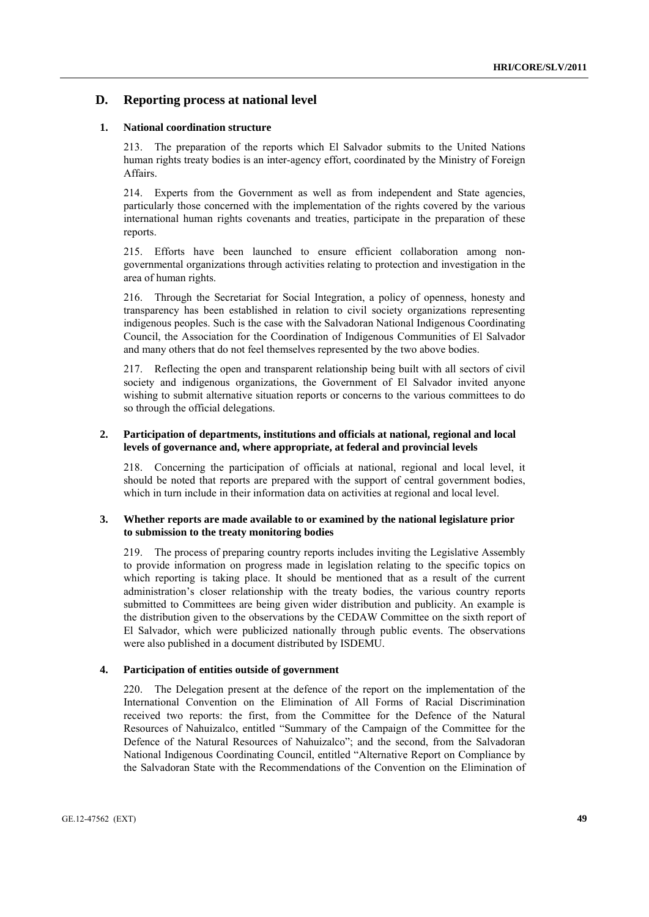# **D. Reporting process at national level**

### **1. National coordination structure**

213. The preparation of the reports which El Salvador submits to the United Nations human rights treaty bodies is an inter-agency effort, coordinated by the Ministry of Foreign Affairs.

214. Experts from the Government as well as from independent and State agencies, particularly those concerned with the implementation of the rights covered by the various international human rights covenants and treaties, participate in the preparation of these reports.

215. Efforts have been launched to ensure efficient collaboration among nongovernmental organizations through activities relating to protection and investigation in the area of human rights.

216. Through the Secretariat for Social Integration, a policy of openness, honesty and transparency has been established in relation to civil society organizations representing indigenous peoples. Such is the case with the Salvadoran National Indigenous Coordinating Council, the Association for the Coordination of Indigenous Communities of El Salvador and many others that do not feel themselves represented by the two above bodies.

217. Reflecting the open and transparent relationship being built with all sectors of civil society and indigenous organizations, the Government of El Salvador invited anyone wishing to submit alternative situation reports or concerns to the various committees to do so through the official delegations.

## **2. Participation of departments, institutions and officials at national, regional and local levels of governance and, where appropriate, at federal and provincial levels**

218. Concerning the participation of officials at national, regional and local level, it should be noted that reports are prepared with the support of central government bodies, which in turn include in their information data on activities at regional and local level.

### **3. Whether reports are made available to or examined by the national legislature prior to submission to the treaty monitoring bodies**

219. The process of preparing country reports includes inviting the Legislative Assembly to provide information on progress made in legislation relating to the specific topics on which reporting is taking place. It should be mentioned that as a result of the current administration's closer relationship with the treaty bodies, the various country reports submitted to Committees are being given wider distribution and publicity. An example is the distribution given to the observations by the CEDAW Committee on the sixth report of El Salvador, which were publicized nationally through public events. The observations were also published in a document distributed by ISDEMU.

## **4. Participation of entities outside of government**

220. The Delegation present at the defence of the report on the implementation of the International Convention on the Elimination of All Forms of Racial Discrimination received two reports: the first, from the Committee for the Defence of the Natural Resources of Nahuizalco, entitled "Summary of the Campaign of the Committee for the Defence of the Natural Resources of Nahuizalco"; and the second, from the Salvadoran National Indigenous Coordinating Council, entitled "Alternative Report on Compliance by the Salvadoran State with the Recommendations of the Convention on the Elimination of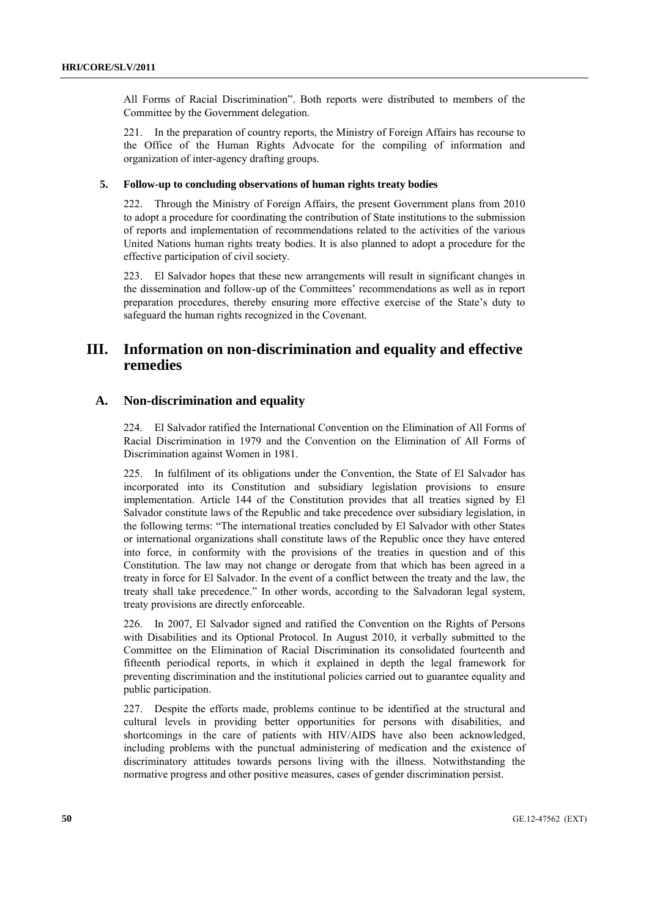All Forms of Racial Discrimination". Both reports were distributed to members of the Committee by the Government delegation.

221. In the preparation of country reports, the Ministry of Foreign Affairs has recourse to the Office of the Human Rights Advocate for the compiling of information and organization of inter-agency drafting groups.

## **5. Follow-up to concluding observations of human rights treaty bodies**

222. Through the Ministry of Foreign Affairs, the present Government plans from 2010 to adopt a procedure for coordinating the contribution of State institutions to the submission of reports and implementation of recommendations related to the activities of the various United Nations human rights treaty bodies. It is also planned to adopt a procedure for the effective participation of civil society.

223. El Salvador hopes that these new arrangements will result in significant changes in the dissemination and follow-up of the Committees' recommendations as well as in report preparation procedures, thereby ensuring more effective exercise of the State's duty to safeguard the human rights recognized in the Covenant.

# **III. Information on non-discrimination and equality and effective remedies**

# **A. Non-discrimination and equality**

224. El Salvador ratified the International Convention on the Elimination of All Forms of Racial Discrimination in 1979 and the Convention on the Elimination of All Forms of Discrimination against Women in 1981.

225. In fulfilment of its obligations under the Convention, the State of El Salvador has incorporated into its Constitution and subsidiary legislation provisions to ensure implementation. Article 144 of the Constitution provides that all treaties signed by El Salvador constitute laws of the Republic and take precedence over subsidiary legislation, in the following terms: "The international treaties concluded by El Salvador with other States or international organizations shall constitute laws of the Republic once they have entered into force, in conformity with the provisions of the treaties in question and of this Constitution. The law may not change or derogate from that which has been agreed in a treaty in force for El Salvador. In the event of a conflict between the treaty and the law, the treaty shall take precedence." In other words, according to the Salvadoran legal system, treaty provisions are directly enforceable.

226. In 2007, El Salvador signed and ratified the Convention on the Rights of Persons with Disabilities and its Optional Protocol. In August 2010, it verbally submitted to the Committee on the Elimination of Racial Discrimination its consolidated fourteenth and fifteenth periodical reports, in which it explained in depth the legal framework for preventing discrimination and the institutional policies carried out to guarantee equality and public participation.

227. Despite the efforts made, problems continue to be identified at the structural and cultural levels in providing better opportunities for persons with disabilities, and shortcomings in the care of patients with HIV/AIDS have also been acknowledged, including problems with the punctual administering of medication and the existence of discriminatory attitudes towards persons living with the illness. Notwithstanding the normative progress and other positive measures, cases of gender discrimination persist.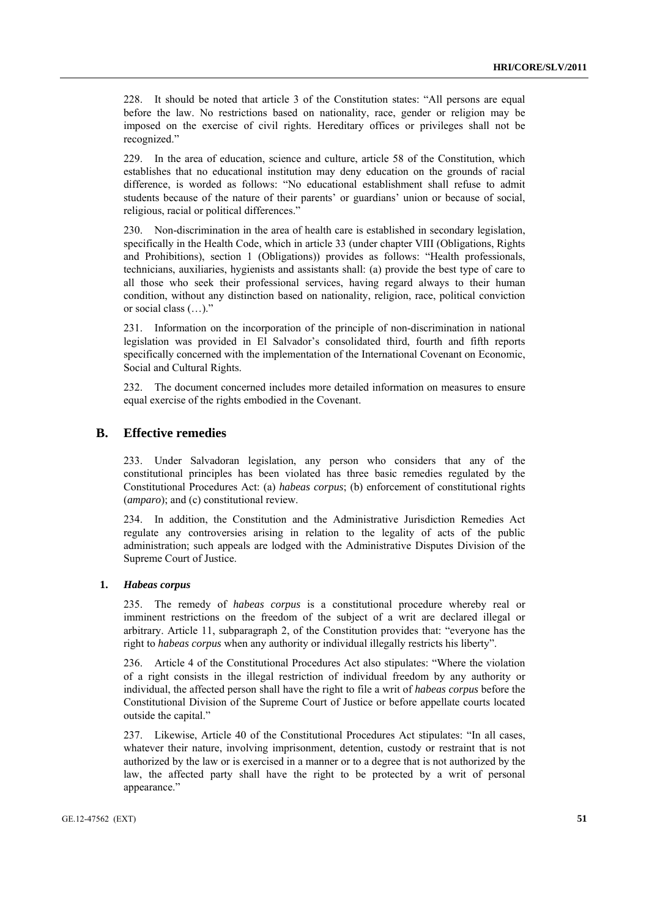228. It should be noted that article 3 of the Constitution states: "All persons are equal before the law. No restrictions based on nationality, race, gender or religion may be imposed on the exercise of civil rights. Hereditary offices or privileges shall not be recognized."

229. In the area of education, science and culture, article 58 of the Constitution, which establishes that no educational institution may deny education on the grounds of racial difference, is worded as follows: "No educational establishment shall refuse to admit students because of the nature of their parents' or guardians' union or because of social, religious, racial or political differences."

230. Non-discrimination in the area of health care is established in secondary legislation, specifically in the Health Code, which in article 33 (under chapter VIII (Obligations, Rights and Prohibitions), section 1 (Obligations)) provides as follows: "Health professionals, technicians, auxiliaries, hygienists and assistants shall: (a) provide the best type of care to all those who seek their professional services, having regard always to their human condition, without any distinction based on nationality, religion, race, political conviction or social class (…)."

231. Information on the incorporation of the principle of non-discrimination in national legislation was provided in El Salvador's consolidated third, fourth and fifth reports specifically concerned with the implementation of the International Covenant on Economic, Social and Cultural Rights.

232. The document concerned includes more detailed information on measures to ensure equal exercise of the rights embodied in the Covenant.

## **B. Effective remedies**

233. Under Salvadoran legislation, any person who considers that any of the constitutional principles has been violated has three basic remedies regulated by the Constitutional Procedures Act: (a) *habeas corpus*; (b) enforcement of constitutional rights (*amparo*); and (c) constitutional review.

234. In addition, the Constitution and the Administrative Jurisdiction Remedies Act regulate any controversies arising in relation to the legality of acts of the public administration; such appeals are lodged with the Administrative Disputes Division of the Supreme Court of Justice.

#### **1.** *Habeas corpus*

235. The remedy of *habeas corpus* is a constitutional procedure whereby real or imminent restrictions on the freedom of the subject of a writ are declared illegal or arbitrary. Article 11, subparagraph 2, of the Constitution provides that: "everyone has the right to *habeas corpus* when any authority or individual illegally restricts his liberty".

236. Article 4 of the Constitutional Procedures Act also stipulates: "Where the violation of a right consists in the illegal restriction of individual freedom by any authority or individual, the affected person shall have the right to file a writ of *habeas corpus* before the Constitutional Division of the Supreme Court of Justice or before appellate courts located outside the capital."

237. Likewise, Article 40 of the Constitutional Procedures Act stipulates: "In all cases, whatever their nature, involving imprisonment, detention, custody or restraint that is not authorized by the law or is exercised in a manner or to a degree that is not authorized by the law, the affected party shall have the right to be protected by a writ of personal appearance."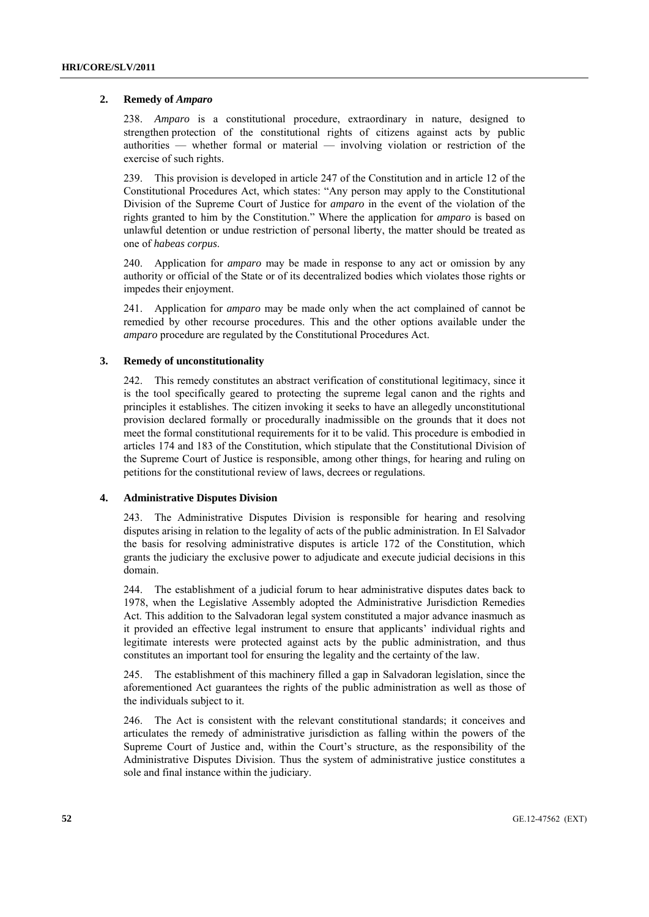### **2. Remedy of** *Amparo*

238. *Amparo* is a constitutional procedure, extraordinary in nature, designed to strengthen protection of the constitutional rights of citizens against acts by public authorities — whether formal or material — involving violation or restriction of the exercise of such rights.

239. This provision is developed in article 247 of the Constitution and in article 12 of the Constitutional Procedures Act, which states: "Any person may apply to the Constitutional Division of the Supreme Court of Justice for *amparo* in the event of the violation of the rights granted to him by the Constitution." Where the application for *amparo* is based on unlawful detention or undue restriction of personal liberty, the matter should be treated as one of *habeas corpus*.

240. Application for *amparo* may be made in response to any act or omission by any authority or official of the State or of its decentralized bodies which violates those rights or impedes their enjoyment.

241. Application for *amparo* may be made only when the act complained of cannot be remedied by other recourse procedures. This and the other options available under the *amparo* procedure are regulated by the Constitutional Procedures Act.

### **3. Remedy of unconstitutionality**

242. This remedy constitutes an abstract verification of constitutional legitimacy, since it is the tool specifically geared to protecting the supreme legal canon and the rights and principles it establishes. The citizen invoking it seeks to have an allegedly unconstitutional provision declared formally or procedurally inadmissible on the grounds that it does not meet the formal constitutional requirements for it to be valid. This procedure is embodied in articles 174 and 183 of the Constitution, which stipulate that the Constitutional Division of the Supreme Court of Justice is responsible, among other things, for hearing and ruling on petitions for the constitutional review of laws, decrees or regulations.

## **4. Administrative Disputes Division**

243. The Administrative Disputes Division is responsible for hearing and resolving disputes arising in relation to the legality of acts of the public administration. In El Salvador the basis for resolving administrative disputes is article 172 of the Constitution, which grants the judiciary the exclusive power to adjudicate and execute judicial decisions in this domain.

244. The establishment of a judicial forum to hear administrative disputes dates back to 1978, when the Legislative Assembly adopted the Administrative Jurisdiction Remedies Act. This addition to the Salvadoran legal system constituted a major advance inasmuch as it provided an effective legal instrument to ensure that applicants' individual rights and legitimate interests were protected against acts by the public administration, and thus constitutes an important tool for ensuring the legality and the certainty of the law.

245. The establishment of this machinery filled a gap in Salvadoran legislation, since the aforementioned Act guarantees the rights of the public administration as well as those of the individuals subject to it.

246. The Act is consistent with the relevant constitutional standards; it conceives and articulates the remedy of administrative jurisdiction as falling within the powers of the Supreme Court of Justice and, within the Court's structure, as the responsibility of the Administrative Disputes Division. Thus the system of administrative justice constitutes a sole and final instance within the judiciary.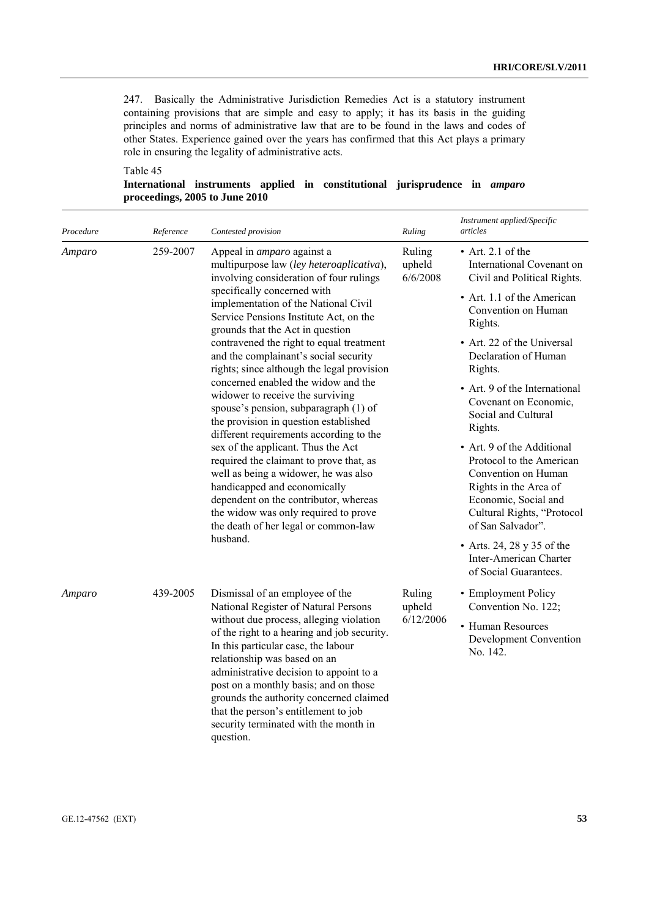247. Basically the Administrative Jurisdiction Remedies Act is a statutory instrument containing provisions that are simple and easy to apply; it has its basis in the guiding principles and norms of administrative law that are to be found in the laws and codes of other States. Experience gained over the years has confirmed that this Act plays a primary role in ensuring the legality of administrative acts.

## Table 45

|                                |  |  | International instruments applied in constitutional jurisprudence in <i>amparo</i> |  |
|--------------------------------|--|--|------------------------------------------------------------------------------------|--|
| proceedings, 2005 to June 2010 |  |  |                                                                                    |  |

| Procedure | Reference | Contested provision                                                                                                                                                                                                                                                                                                                                                                                                                                                                                                                                                                                                                                            | Ruling                       | Instrument applied/Specific<br>articles                                                                                                                                                                                                                                                                                                          |
|-----------|-----------|----------------------------------------------------------------------------------------------------------------------------------------------------------------------------------------------------------------------------------------------------------------------------------------------------------------------------------------------------------------------------------------------------------------------------------------------------------------------------------------------------------------------------------------------------------------------------------------------------------------------------------------------------------------|------------------------------|--------------------------------------------------------------------------------------------------------------------------------------------------------------------------------------------------------------------------------------------------------------------------------------------------------------------------------------------------|
| Amparo    | 259-2007  | Appeal in <i>amparo</i> against a<br>multipurpose law (ley heteroaplicativa),<br>involving consideration of four rulings<br>specifically concerned with<br>implementation of the National Civil<br>Service Pensions Institute Act, on the<br>grounds that the Act in question<br>contravened the right to equal treatment<br>and the complainant's social security<br>rights; since although the legal provision<br>concerned enabled the widow and the<br>widower to receive the surviving<br>spouse's pension, subparagraph (1) of<br>the provision in question established<br>different requirements according to the<br>sex of the applicant. Thus the Act | Ruling<br>upheld<br>6/6/2008 | $\bullet$ Art. 2.1 of the<br>International Covenant on<br>Civil and Political Rights.<br>• Art. 1.1 of the American<br>Convention on Human<br>Rights.<br>• Art. 22 of the Universal<br>Declaration of Human<br>Rights.<br>• Art. 9 of the International<br>Covenant on Economic,<br>Social and Cultural<br>Rights.<br>• Art. 9 of the Additional |
|           |           | required the claimant to prove that, as<br>well as being a widower, he was also<br>handicapped and economically<br>dependent on the contributor, whereas<br>the widow was only required to prove<br>the death of her legal or common-law<br>husband.                                                                                                                                                                                                                                                                                                                                                                                                           |                              | Protocol to the American<br>Convention on Human<br>Rights in the Area of<br>Economic, Social and<br>Cultural Rights, "Protocol<br>of San Salvador".                                                                                                                                                                                              |
|           |           |                                                                                                                                                                                                                                                                                                                                                                                                                                                                                                                                                                                                                                                                |                              | • Arts. 24, 28 y 35 of the<br>Inter-American Charter<br>of Social Guarantees.                                                                                                                                                                                                                                                                    |
| Amparo    | 439-2005  | Dismissal of an employee of the<br>National Register of Natural Persons                                                                                                                                                                                                                                                                                                                                                                                                                                                                                                                                                                                        | Ruling<br>upheld             | • Employment Policy<br>Convention No. 122;                                                                                                                                                                                                                                                                                                       |
|           |           | without due process, alleging violation<br>of the right to a hearing and job security.<br>In this particular case, the labour<br>relationship was based on an<br>administrative decision to appoint to a<br>post on a monthly basis; and on those<br>grounds the authority concerned claimed<br>that the person's entitlement to job<br>security terminated with the month in<br>question.                                                                                                                                                                                                                                                                     | 6/12/2006                    | • Human Resources<br>Development Convention<br>No. 142.                                                                                                                                                                                                                                                                                          |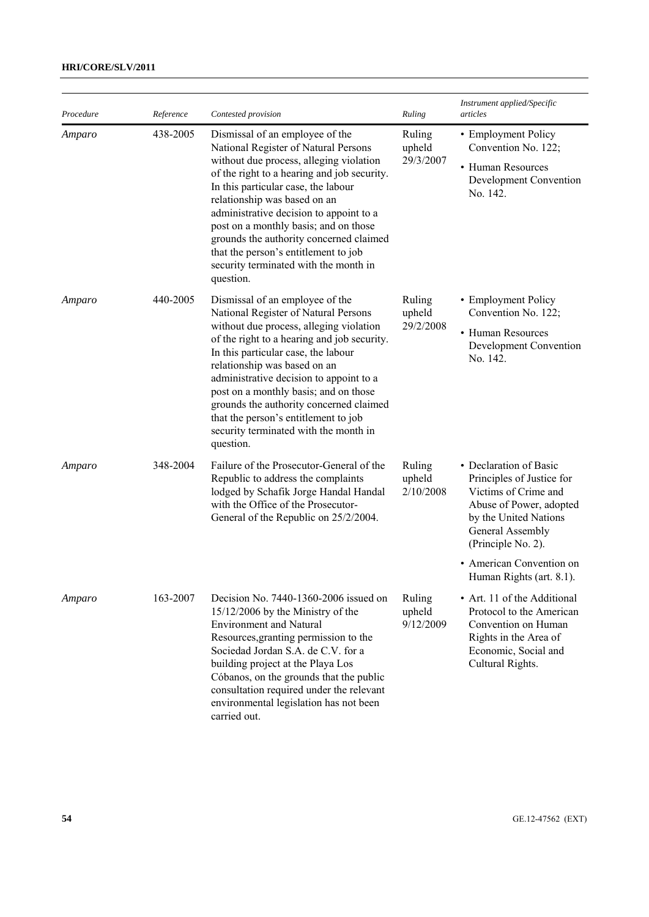# **HRI/CORE/SLV/2011**

| Procedure | Reference | Contested provision                                                                                                                                                                                                                                                                                                                                                                                                                                                   | Ruling                        | Instrument applied/Specific<br>articles                                                                                                                                                                                           |
|-----------|-----------|-----------------------------------------------------------------------------------------------------------------------------------------------------------------------------------------------------------------------------------------------------------------------------------------------------------------------------------------------------------------------------------------------------------------------------------------------------------------------|-------------------------------|-----------------------------------------------------------------------------------------------------------------------------------------------------------------------------------------------------------------------------------|
| Amparo    | 438-2005  | Dismissal of an employee of the<br>National Register of Natural Persons<br>without due process, alleging violation<br>of the right to a hearing and job security.<br>In this particular case, the labour<br>relationship was based on an<br>administrative decision to appoint to a<br>post on a monthly basis; and on those<br>grounds the authority concerned claimed<br>that the person's entitlement to job<br>security terminated with the month in<br>question. | Ruling<br>upheld<br>29/3/2007 | • Employment Policy<br>Convention No. 122;<br>• Human Resources<br>Development Convention<br>No. 142.                                                                                                                             |
| Amparo    | 440-2005  | Dismissal of an employee of the<br>National Register of Natural Persons<br>without due process, alleging violation<br>of the right to a hearing and job security.<br>In this particular case, the labour<br>relationship was based on an<br>administrative decision to appoint to a<br>post on a monthly basis; and on those<br>grounds the authority concerned claimed<br>that the person's entitlement to job<br>security terminated with the month in<br>question. | Ruling<br>upheld<br>29/2/2008 | • Employment Policy<br>Convention No. 122;<br>• Human Resources<br>Development Convention<br>No. 142.                                                                                                                             |
| Amparo    | 348-2004  | Failure of the Prosecutor-General of the<br>Republic to address the complaints<br>lodged by Schafik Jorge Handal Handal<br>with the Office of the Prosecutor-<br>General of the Republic on 25/2/2004.                                                                                                                                                                                                                                                                | Ruling<br>upheld<br>2/10/2008 | • Declaration of Basic<br>Principles of Justice for<br>Victims of Crime and<br>Abuse of Power, adopted<br>by the United Nations<br>General Assembly<br>(Principle No. 2).<br>• American Convention on<br>Human Rights (art. 8.1). |
| Amparo    | 163-2007  | Decision No. 7440-1360-2006 issued on<br>15/12/2006 by the Ministry of the<br><b>Environment and Natural</b><br>Resources, granting permission to the<br>Sociedad Jordan S.A. de C.V. for a<br>building project at the Playa Los<br>Cóbanos, on the grounds that the public<br>consultation required under the relevant<br>environmental legislation has not been<br>carried out.                                                                                     | Ruling<br>upheld<br>9/12/2009 | • Art. 11 of the Additional<br>Protocol to the American<br>Convention on Human<br>Rights in the Area of<br>Economic, Social and<br>Cultural Rights.                                                                               |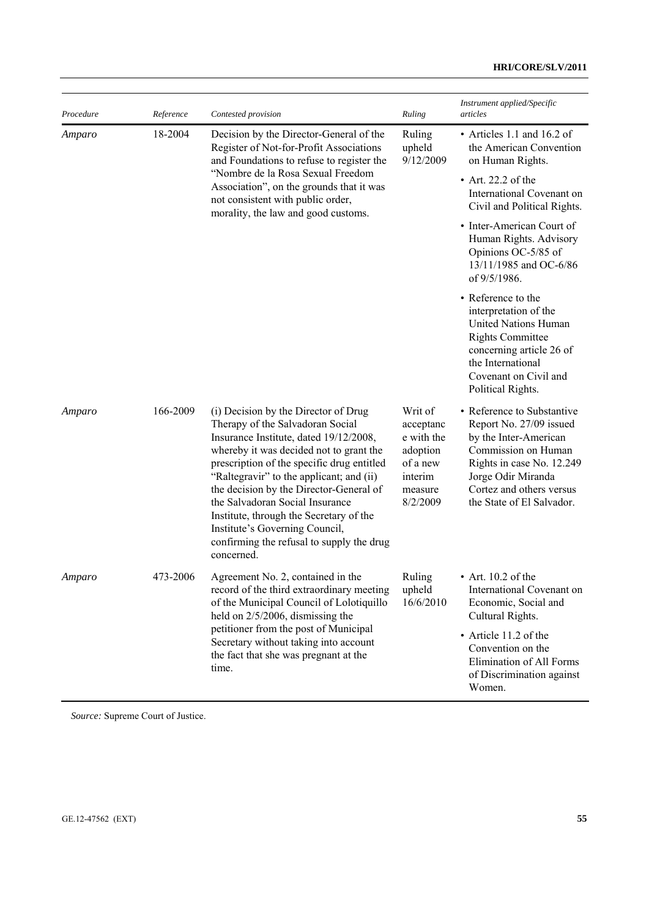| Procedure | Reference | Contested provision                                                                                                                                                                                                                                                                                                                                                                                                                                                           | Ruling                                                                                       | Instrument applied/Specific<br>articles                                                                                                                                                                           |
|-----------|-----------|-------------------------------------------------------------------------------------------------------------------------------------------------------------------------------------------------------------------------------------------------------------------------------------------------------------------------------------------------------------------------------------------------------------------------------------------------------------------------------|----------------------------------------------------------------------------------------------|-------------------------------------------------------------------------------------------------------------------------------------------------------------------------------------------------------------------|
| Amparo    | 18-2004   | Decision by the Director-General of the<br>Register of Not-for-Profit Associations<br>and Foundations to refuse to register the<br>"Nombre de la Rosa Sexual Freedom<br>Association", on the grounds that it was<br>not consistent with public order,<br>morality, the law and good customs.                                                                                                                                                                                  | Ruling<br>upheld<br>9/12/2009                                                                | • Articles 1.1 and 16.2 of<br>the American Convention<br>on Human Rights.                                                                                                                                         |
|           |           |                                                                                                                                                                                                                                                                                                                                                                                                                                                                               |                                                                                              | $\bullet$ Art. 22.2 of the<br>International Covenant on<br>Civil and Political Rights.                                                                                                                            |
|           |           |                                                                                                                                                                                                                                                                                                                                                                                                                                                                               |                                                                                              | • Inter-American Court of<br>Human Rights. Advisory<br>Opinions OC-5/85 of<br>13/11/1985 and OC-6/86<br>of 9/5/1986.                                                                                              |
|           |           |                                                                                                                                                                                                                                                                                                                                                                                                                                                                               |                                                                                              | • Reference to the<br>interpretation of the<br><b>United Nations Human</b><br><b>Rights Committee</b><br>concerning article 26 of<br>the International<br>Covenant on Civil and<br>Political Rights.              |
| Amparo    | 166-2009  | (i) Decision by the Director of Drug<br>Therapy of the Salvadoran Social<br>Insurance Institute, dated 19/12/2008,<br>whereby it was decided not to grant the<br>prescription of the specific drug entitled<br>"Raltegravir" to the applicant; and (ii)<br>the decision by the Director-General of<br>the Salvadoran Social Insurance<br>Institute, through the Secretary of the<br>Institute's Governing Council,<br>confirming the refusal to supply the drug<br>concerned. | Writ of<br>acceptanc<br>e with the<br>adoption<br>of a new<br>interim<br>measure<br>8/2/2009 | • Reference to Substantive<br>Report No. 27/09 issued<br>by the Inter-American<br>Commission on Human<br>Rights in case No. 12.249<br>Jorge Odir Miranda<br>Cortez and others versus<br>the State of El Salvador. |
| Amparo    | 473-2006  | Agreement No. 2, contained in the<br>record of the third extraordinary meeting<br>of the Municipal Council of Lolotiquillo<br>held on $2/5/2006$ , dismissing the<br>petitioner from the post of Municipal<br>Secretary without taking into account<br>the fact that she was pregnant at the<br>time.                                                                                                                                                                         | Ruling<br>upheld<br>16/6/2010                                                                | $\bullet$ Art. 10.2 of the<br>International Covenant on<br>Economic, Social and<br>Cultural Rights.                                                                                                               |
|           |           |                                                                                                                                                                                                                                                                                                                                                                                                                                                                               |                                                                                              | • Article 11.2 of the<br>Convention on the<br>Elimination of All Forms<br>of Discrimination against<br>Women.                                                                                                     |

*Source:* Supreme Court of Justice.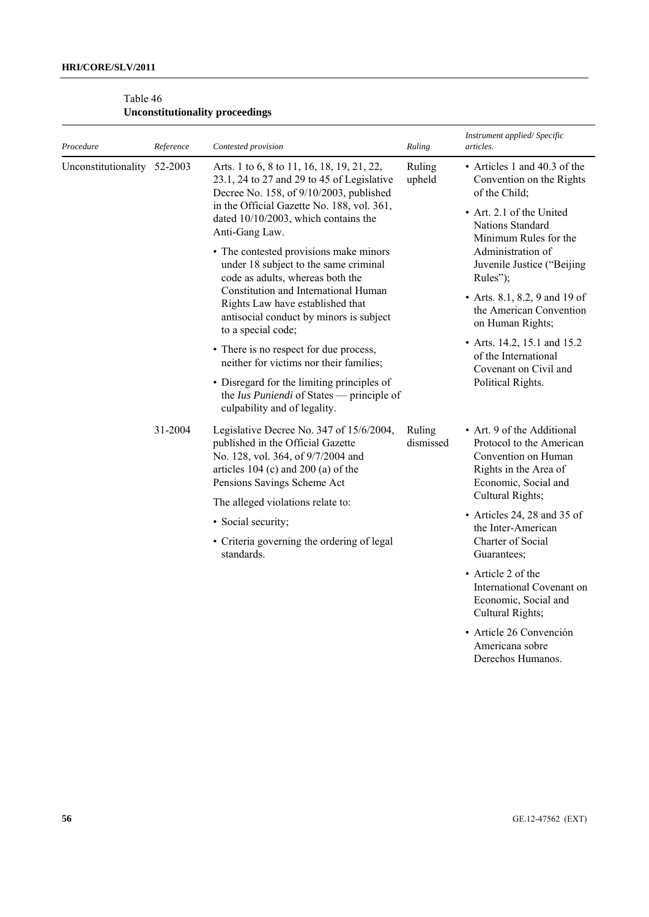| Procedure                   | Reference | Contested provision                                                                                                                                                                           | Ruling              | Instrument applied/Specific<br>articles.                                                                                       |
|-----------------------------|-----------|-----------------------------------------------------------------------------------------------------------------------------------------------------------------------------------------------|---------------------|--------------------------------------------------------------------------------------------------------------------------------|
| Unconstitutionality 52-2003 |           | Arts. 1 to 6, 8 to 11, 16, 18, 19, 21, 22,<br>23.1, 24 to 27 and 29 to 45 of Legislative<br>Decree No. 158, of 9/10/2003, published                                                           | Ruling<br>upheld    | • Articles 1 and 40.3 of the<br>Convention on the Rights<br>of the Child;                                                      |
|                             |           | in the Official Gazette No. 188, vol. 361,<br>dated 10/10/2003, which contains the<br>Anti-Gang Law.                                                                                          |                     | • Art. 2.1 of the United<br>Nations Standard<br>Minimum Rules for the                                                          |
|                             |           | • The contested provisions make minors<br>under 18 subject to the same criminal<br>code as adults, whereas both the                                                                           |                     | Administration of<br>Juvenile Justice ("Beijing<br>Rules");                                                                    |
|                             |           | Constitution and International Human<br>Rights Law have established that<br>antisocial conduct by minors is subject<br>to a special code;                                                     |                     | • Arts. 8.1, 8.2, 9 and 19 of<br>the American Convention<br>on Human Rights;                                                   |
|                             |           | • There is no respect for due process,<br>neither for victims nor their families;                                                                                                             |                     | • Arts. 14.2, 15.1 and 15.2<br>of the International<br>Covenant on Civil and                                                   |
|                             |           | • Disregard for the limiting principles of<br>the Ius Puniendi of States — principle of<br>culpability and of legality.                                                                       |                     | Political Rights.                                                                                                              |
|                             | 31-2004   | Legislative Decree No. 347 of 15/6/2004,<br>published in the Official Gazette<br>No. 128, vol. 364, of 9/7/2004 and<br>articles $104$ (c) and $200$ (a) of the<br>Pensions Savings Scheme Act | Ruling<br>dismissed | • Art. 9 of the Additional<br>Protocol to the American<br>Convention on Human<br>Rights in the Area of<br>Economic, Social and |
|                             |           | The alleged violations relate to:                                                                                                                                                             |                     | Cultural Rights;                                                                                                               |
|                             |           | • Social security;                                                                                                                                                                            |                     | • Articles 24, 28 and 35 of<br>the Inter-American                                                                              |
|                             |           | • Criteria governing the ordering of legal<br>standards.                                                                                                                                      |                     | Charter of Social<br>Guarantees;                                                                                               |
|                             |           |                                                                                                                                                                                               |                     | • Article 2 of the<br>International Covenant on<br>Economic, Social and<br>Cultural Rights;                                    |
|                             |           |                                                                                                                                                                                               |                     | · Article 26 Convención<br>Americana sobre<br>Derechos Humanos.                                                                |

# Table 46 **Unconstitutionality proceedings**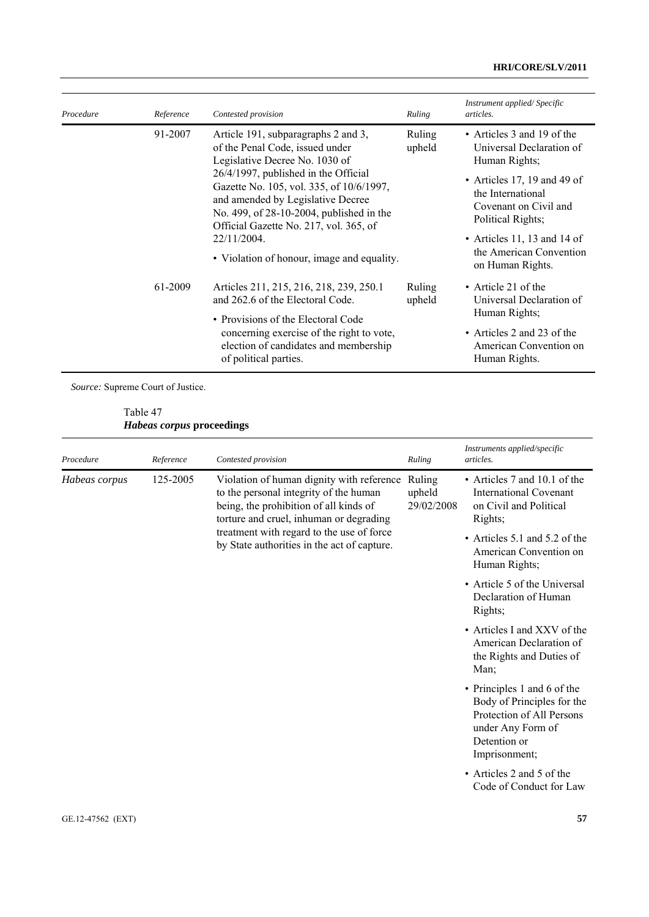# **HRI/CORE/SLV/2011**

| Procedure | Reference | Contested provision                                                                                                                                                                                                        | Ruling           | Instrument applied/Specific<br>articles.                                                                                                                 |
|-----------|-----------|----------------------------------------------------------------------------------------------------------------------------------------------------------------------------------------------------------------------------|------------------|----------------------------------------------------------------------------------------------------------------------------------------------------------|
|           | 91-2007   | Article 191, subparagraphs 2 and 3,<br>of the Penal Code, issued under<br>Legislative Decree No. 1030 of                                                                                                                   | Ruling<br>upheld | • Articles 3 and 19 of the<br>Universal Declaration of<br>Human Rights;                                                                                  |
|           |           | 26/4/1997, published in the Official<br>Gazette No. 105, vol. 335, of 10/6/1997,<br>and amended by Legislative Decree<br>No. 499, of 28-10-2004, published in the<br>Official Gazette No. 217, vol. 365, of<br>22/11/2004. |                  | • Articles 17, 19 and 49 of<br>the International<br>Covenant on Civil and<br>Political Rights;<br>• Articles 11, 13 and 14 of<br>the American Convention |
|           |           | • Violation of honour, image and equality.                                                                                                                                                                                 |                  | on Human Rights.                                                                                                                                         |
|           | 61-2009   | Articles 211, 215, 216, 218, 239, 250.1<br>and 262.6 of the Electoral Code.                                                                                                                                                | Ruling<br>upheld | • Article 21 of the<br>Universal Declaration of<br>Human Rights;                                                                                         |
|           |           | • Provisions of the Electoral Code<br>concerning exercise of the right to vote,<br>election of candidates and membership<br>of political parties.                                                                          |                  | • Articles 2 and 23 of the<br>American Convention on<br>Human Rights.                                                                                    |

*Source:* Supreme Court of Justice.

Table 47 *Habeas corpus* **proceedings** 

| Procedure     | Reference | Contested provision                                                                                                                                                                                                                                                  | Ruling                         | Instruments applied/specific<br>articles.                                                                                                    |
|---------------|-----------|----------------------------------------------------------------------------------------------------------------------------------------------------------------------------------------------------------------------------------------------------------------------|--------------------------------|----------------------------------------------------------------------------------------------------------------------------------------------|
| Habeas corpus | 125-2005  | Violation of human dignity with reference<br>to the personal integrity of the human<br>being, the prohibition of all kinds of<br>torture and cruel, inhuman or degrading<br>treatment with regard to the use of force<br>by State authorities in the act of capture. | Ruling<br>upheld<br>29/02/2008 | • Articles 7 and 10.1 of the<br><b>International Covenant</b><br>on Civil and Political<br>Rights;                                           |
|               |           |                                                                                                                                                                                                                                                                      |                                | • Articles 5.1 and 5.2 of the<br>American Convention on<br>Human Rights;                                                                     |
|               |           |                                                                                                                                                                                                                                                                      |                                | • Article 5 of the Universal<br>Declaration of Human<br>Rights;                                                                              |
|               |           |                                                                                                                                                                                                                                                                      |                                | • Articles I and XXV of the<br>American Declaration of<br>the Rights and Duties of<br>Man;                                                   |
|               |           |                                                                                                                                                                                                                                                                      |                                | • Principles 1 and 6 of the<br>Body of Principles for the<br>Protection of All Persons<br>under Any Form of<br>Detention or<br>Imprisonment; |
|               |           |                                                                                                                                                                                                                                                                      |                                | • Articles 2 and 5 of the<br>Code of Conduct for Law                                                                                         |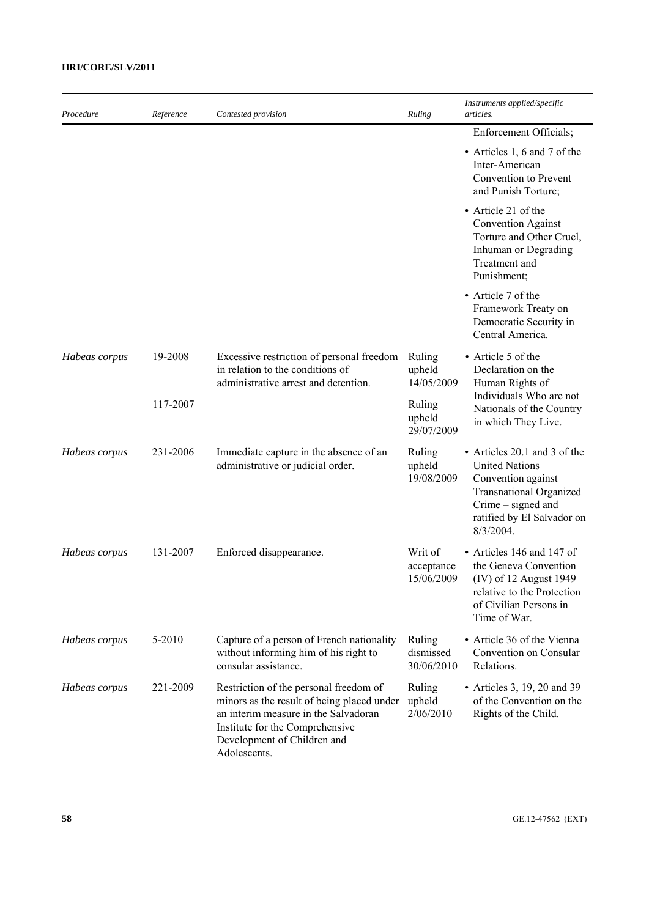| Procedure     | Reference | Contested provision                                                                                                                                                                                            | Ruling                              | Instruments applied/specific<br>articles.                                                                                                                                         |
|---------------|-----------|----------------------------------------------------------------------------------------------------------------------------------------------------------------------------------------------------------------|-------------------------------------|-----------------------------------------------------------------------------------------------------------------------------------------------------------------------------------|
|               |           |                                                                                                                                                                                                                |                                     | Enforcement Officials;                                                                                                                                                            |
|               |           |                                                                                                                                                                                                                |                                     | • Articles 1, 6 and 7 of the<br>Inter-American<br>Convention to Prevent<br>and Punish Torture;                                                                                    |
|               |           |                                                                                                                                                                                                                |                                     | • Article 21 of the<br><b>Convention Against</b><br>Torture and Other Cruel,<br>Inhuman or Degrading<br>Treatment and<br>Punishment;                                              |
|               |           |                                                                                                                                                                                                                |                                     | • Article 7 of the<br>Framework Treaty on<br>Democratic Security in<br>Central America.                                                                                           |
| Habeas corpus | 19-2008   | Excessive restriction of personal freedom<br>in relation to the conditions of<br>administrative arrest and detention.                                                                                          | Ruling<br>upheld<br>14/05/2009      | • Article 5 of the<br>Declaration on the<br>Human Rights of                                                                                                                       |
|               | 117-2007  |                                                                                                                                                                                                                | Ruling<br>upheld<br>29/07/2009      | Individuals Who are not<br>Nationals of the Country<br>in which They Live.                                                                                                        |
| Habeas corpus | 231-2006  | Immediate capture in the absence of an<br>administrative or judicial order.                                                                                                                                    | Ruling<br>upheld<br>19/08/2009      | • Articles 20.1 and 3 of the<br><b>United Nations</b><br>Convention against<br><b>Transnational Organized</b><br>Crime – signed and<br>ratified by El Salvador on<br>$8/3/2004$ . |
| Habeas corpus | 131-2007  | Enforced disappearance.                                                                                                                                                                                        | Writ of<br>acceptance<br>15/06/2009 | • Articles 146 and 147 of<br>the Geneva Convention<br>(IV) of 12 August 1949<br>relative to the Protection<br>of Civilian Persons in<br>Time of War.                              |
| Habeas corpus | 5-2010    | Capture of a person of French nationality<br>without informing him of his right to<br>consular assistance.                                                                                                     | Ruling<br>dismissed<br>30/06/2010   | • Article 36 of the Vienna<br>Convention on Consular<br>Relations.                                                                                                                |
| Habeas corpus | 221-2009  | Restriction of the personal freedom of<br>minors as the result of being placed under<br>an interim measure in the Salvadoran<br>Institute for the Comprehensive<br>Development of Children and<br>Adolescents. | Ruling<br>upheld<br>2/06/2010       | • Articles 3, 19, 20 and 39<br>of the Convention on the<br>Rights of the Child.                                                                                                   |